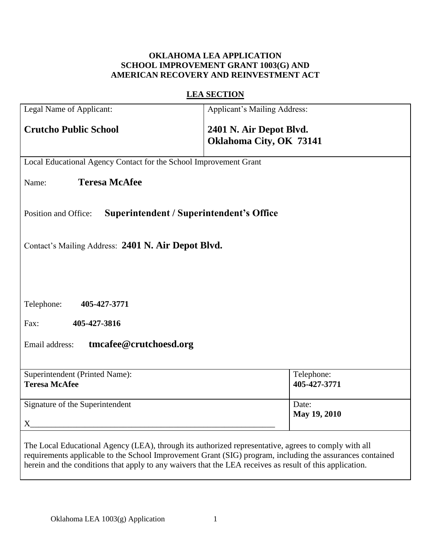# **OKLAHOMA LEA APPLICATION SCHOOL IMPROVEMENT GRANT 1003(G) AND AMERICAN RECOVERY AND REINVESTMENT ACT**

# **LEA SECTION**

| Legal Name of Applicant:                                                                                                                                                                                                                                                                                                      | <b>Applicant's Mailing Address:</b>                |  |  |
|-------------------------------------------------------------------------------------------------------------------------------------------------------------------------------------------------------------------------------------------------------------------------------------------------------------------------------|----------------------------------------------------|--|--|
| <b>Crutcho Public School</b>                                                                                                                                                                                                                                                                                                  | 2401 N. Air Depot Blvd.<br>Oklahoma City, OK 73141 |  |  |
| Local Educational Agency Contact for the School Improvement Grant                                                                                                                                                                                                                                                             |                                                    |  |  |
| <b>Teresa McAfee</b><br>Name:                                                                                                                                                                                                                                                                                                 |                                                    |  |  |
| Superintendent / Superintendent's Office<br>Position and Office:                                                                                                                                                                                                                                                              |                                                    |  |  |
| Contact's Mailing Address: 2401 N. Air Depot Blvd.                                                                                                                                                                                                                                                                            |                                                    |  |  |
|                                                                                                                                                                                                                                                                                                                               |                                                    |  |  |
| Telephone:<br>405-427-3771                                                                                                                                                                                                                                                                                                    |                                                    |  |  |
| Fax:<br>405-427-3816                                                                                                                                                                                                                                                                                                          |                                                    |  |  |
| tmcafee@crutchoesd.org<br>Email address:                                                                                                                                                                                                                                                                                      |                                                    |  |  |
| Superintendent (Printed Name):<br><b>Teresa McAfee</b>                                                                                                                                                                                                                                                                        | Telephone:<br>405-427-3771                         |  |  |
| Signature of the Superintendent                                                                                                                                                                                                                                                                                               | Date:<br>May 19, 2010                              |  |  |
| The Local Educational Agency (LEA), through its authorized representative, agrees to comply with all<br>requirements applicable to the School Improvement Grant (SIG) program, including the assurances contained<br>herein and the conditions that apply to any waivers that the LEA receives as result of this application. |                                                    |  |  |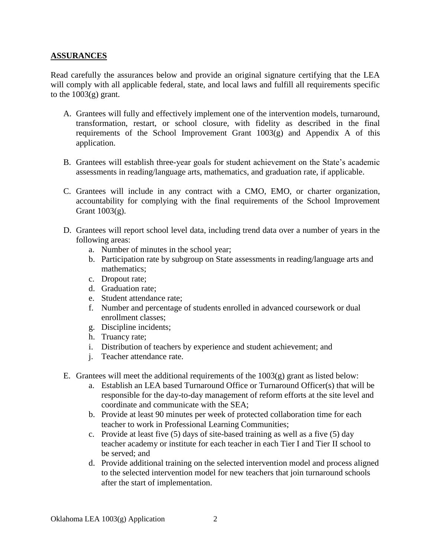## **ASSURANCES**

Read carefully the assurances below and provide an original signature certifying that the LEA will comply with all applicable federal, state, and local laws and fulfill all requirements specific to the  $1003(g)$  grant.

- A. Grantees will fully and effectively implement one of the intervention models, turnaround, transformation, restart, or school closure, with fidelity as described in the final requirements of the School Improvement Grant  $1003(g)$  and Appendix A of this application.
- B. Grantees will establish three-year goals for student achievement on the State's academic assessments in reading/language arts, mathematics, and graduation rate, if applicable.
- C. Grantees will include in any contract with a CMO, EMO, or charter organization, accountability for complying with the final requirements of the School Improvement Grant 1003(g).
- D. Grantees will report school level data, including trend data over a number of years in the following areas:
	- a. Number of minutes in the school year;
	- b. Participation rate by subgroup on State assessments in reading/language arts and mathematics;
	- c. Dropout rate;
	- d. Graduation rate;
	- e. Student attendance rate;
	- f. Number and percentage of students enrolled in advanced coursework or dual enrollment classes;
	- g. Discipline incidents;
	- h. Truancy rate;
	- i. Distribution of teachers by experience and student achievement; and
	- j. Teacher attendance rate.
- E. Grantees will meet the additional requirements of the  $1003(g)$  grant as listed below:
	- a. Establish an LEA based Turnaround Office or Turnaround Officer(s) that will be responsible for the day-to-day management of reform efforts at the site level and coordinate and communicate with the SEA;
	- b. Provide at least 90 minutes per week of protected collaboration time for each teacher to work in Professional Learning Communities;
	- c. Provide at least five (5) days of site-based training as well as a five (5) day teacher academy or institute for each teacher in each Tier I and Tier II school to be served; and
	- d. Provide additional training on the selected intervention model and process aligned to the selected intervention model for new teachers that join turnaround schools after the start of implementation.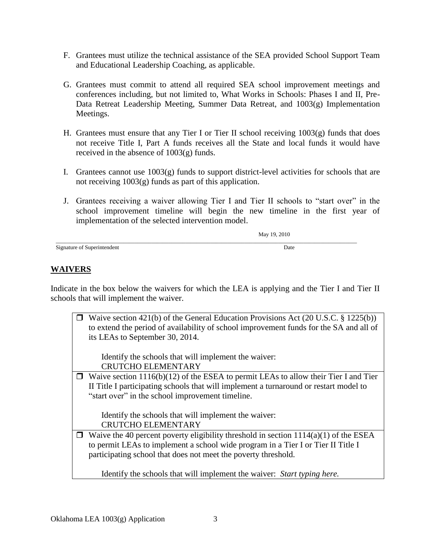- F. Grantees must utilize the technical assistance of the SEA provided School Support Team and Educational Leadership Coaching, as applicable.
- G. Grantees must commit to attend all required SEA school improvement meetings and conferences including, but not limited to, What Works in Schools: Phases I and II, Pre-Data Retreat Leadership Meeting, Summer Data Retreat, and 1003(g) Implementation Meetings.
- H. Grantees must ensure that any Tier I or Tier II school receiving 1003(g) funds that does not receive Title I, Part A funds receives all the State and local funds it would have received in the absence of 1003(g) funds.
- I. Grantees cannot use 1003(g) funds to support district-level activities for schools that are not receiving 1003(g) funds as part of this application.
- J. Grantees receiving a waiver allowing Tier I and Tier II schools to "start over" in the school improvement timeline will begin the new timeline in the first year of implementation of the selected intervention model.

|                             | May 19, 2010 |
|-----------------------------|--------------|
| Signature of Superintendent | Date         |

# **WAIVERS**

Indicate in the box below the waivers for which the LEA is applying and the Tier I and Tier II schools that will implement the waiver.

| $\Box$ Waive section 421(b) of the General Education Provisions Act (20 U.S.C. § 1225(b))<br>to extend the period of availability of school improvement funds for the SA and all of<br>its LEAs to September 30, 2014. |
|------------------------------------------------------------------------------------------------------------------------------------------------------------------------------------------------------------------------|
| Identify the schools that will implement the waiver:                                                                                                                                                                   |
| <b>CRUTCHO ELEMENTARY</b>                                                                                                                                                                                              |
| $\Box$ Waive section 1116(b)(12) of the ESEA to permit LEAs to allow their Tier I and Tier                                                                                                                             |
| II Title I participating schools that will implement a turnaround or restart model to                                                                                                                                  |
| "start over" in the school improvement timeline.                                                                                                                                                                       |
|                                                                                                                                                                                                                        |
| Identify the schools that will implement the waiver:                                                                                                                                                                   |
| <b>CRUTCHO ELEMENTARY</b>                                                                                                                                                                                              |
| $\Box$ Waive the 40 percent poverty eligibility threshold in section 1114(a)(1) of the ESEA                                                                                                                            |
| to permit LEAs to implement a school wide program in a Tier I or Tier II Title I                                                                                                                                       |
| participating school that does not meet the poverty threshold.                                                                                                                                                         |
| Identify the schools that will implement the waiver: Start typing here.                                                                                                                                                |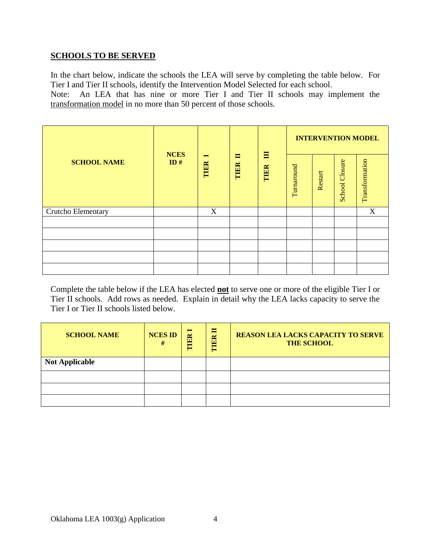## **SCHOOLS TO BE SERVED**

In the chart below, indicate the schools the LEA will serve by completing the table below. For Tier I and Tier II schools, identify the Intervention Model Selected for each school.

Note: An LEA that has nine or more Tier I and Tier II schools may implement the transformation model in no more than 50 percent of those schools.

|                    |                                                           |   |           | <b>INTERVENTION MODEL</b> |         |                       |                |   |
|--------------------|-----------------------------------------------------------|---|-----------|---------------------------|---------|-----------------------|----------------|---|
| <b>SCHOOL NAME</b> | <b>NCES</b><br>Ħ<br>$\blacksquare$<br>ID#<br>TIER<br>TIER |   | 目<br>TIER | Turnaround                | Restart | <b>School Closure</b> | Transformation |   |
| Crutcho Elementary |                                                           | X |           |                           |         |                       |                | X |
|                    |                                                           |   |           |                           |         |                       |                |   |
|                    |                                                           |   |           |                           |         |                       |                |   |
|                    |                                                           |   |           |                           |         |                       |                |   |
|                    |                                                           |   |           |                           |         |                       |                |   |
|                    |                                                           |   |           |                           |         |                       |                |   |

Complete the table below if the LEA has elected **not** to serve one or more of the eligible Tier I or Tier II schools. Add rows as needed. Explain in detail why the LEA lacks capacity to serve the Tier I or Tier II schools listed below.

| <b>SCHOOL NAME</b>    | <b>NCES ID</b><br># | $\blacksquare$<br>TIER | 冒<br>TIER | <b>REASON LEA LACKS CAPACITY TO SERVE</b><br><b>THE SCHOOL</b> |
|-----------------------|---------------------|------------------------|-----------|----------------------------------------------------------------|
| <b>Not Applicable</b> |                     |                        |           |                                                                |
|                       |                     |                        |           |                                                                |
|                       |                     |                        |           |                                                                |
|                       |                     |                        |           |                                                                |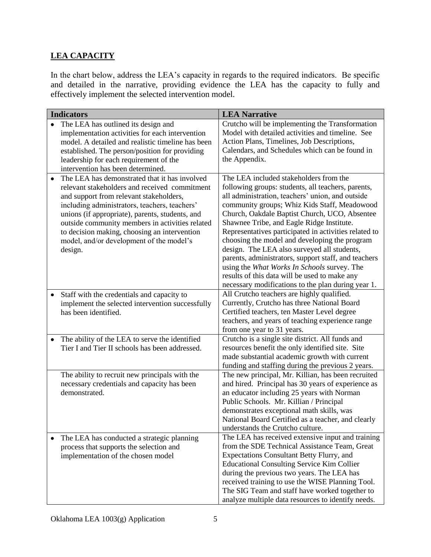# **LEA CAPACITY**

In the chart below, address the LEA's capacity in regards to the required indicators. Be specific and detailed in the narrative, providing evidence the LEA has the capacity to fully and effectively implement the selected intervention model.

| <b>Indicators</b>                                                                                                                                                                                                                                                                                                                                                                                                    | <b>LEA Narrative</b>                                                                                                                                                                                                                                                                                                                                                                                                                                                                                                                                                                                                                                                  |
|----------------------------------------------------------------------------------------------------------------------------------------------------------------------------------------------------------------------------------------------------------------------------------------------------------------------------------------------------------------------------------------------------------------------|-----------------------------------------------------------------------------------------------------------------------------------------------------------------------------------------------------------------------------------------------------------------------------------------------------------------------------------------------------------------------------------------------------------------------------------------------------------------------------------------------------------------------------------------------------------------------------------------------------------------------------------------------------------------------|
| The LEA has outlined its design and<br>implementation activities for each intervention<br>model. A detailed and realistic timeline has been<br>established. The person/position for providing<br>leadership for each requirement of the<br>intervention has been determined.                                                                                                                                         | Crutcho will be implementing the Transformation<br>Model with detailed activities and timeline. See<br>Action Plans, Timelines, Job Descriptions,<br>Calendars, and Schedules which can be found in<br>the Appendix.                                                                                                                                                                                                                                                                                                                                                                                                                                                  |
| The LEA has demonstrated that it has involved<br>$\bullet$<br>relevant stakeholders and received commitment<br>and support from relevant stakeholders,<br>including administrators, teachers, teachers'<br>unions (if appropriate), parents, students, and<br>outside community members in activities related<br>to decision making, choosing an intervention<br>model, and/or development of the model's<br>design. | The LEA included stakeholders from the<br>following groups: students, all teachers, parents,<br>all administration, teachers' union, and outside<br>community groups; Whiz Kids Staff, Meadowood<br>Church, Oakdale Baptist Church, UCO, Absentee<br>Shawnee Tribe, and Eagle Ridge Institute.<br>Representatives participated in activities related to<br>choosing the model and developing the program<br>design. The LEA also surveyed all students,<br>parents, administrators, support staff, and teachers<br>using the What Works In Schools survey. The<br>results of this data will be used to make any<br>necessary modifications to the plan during year 1. |
| Staff with the credentials and capacity to<br>$\bullet$<br>implement the selected intervention successfully<br>has been identified.                                                                                                                                                                                                                                                                                  | All Crutcho teachers are highly qualified.<br>Currently, Crutcho has three National Board<br>Certified teachers, ten Master Level degree<br>teachers, and years of teaching experience range<br>from one year to 31 years.                                                                                                                                                                                                                                                                                                                                                                                                                                            |
| The ability of the LEA to serve the identified<br>٠<br>Tier I and Tier II schools has been addressed.                                                                                                                                                                                                                                                                                                                | Crutcho is a single site district. All funds and<br>resources benefit the only identified site. Site<br>made substantial academic growth with current<br>funding and staffing during the previous 2 years.                                                                                                                                                                                                                                                                                                                                                                                                                                                            |
| The ability to recruit new principals with the<br>necessary credentials and capacity has been<br>demonstrated.                                                                                                                                                                                                                                                                                                       | The new principal, Mr. Killian, has been recruited<br>and hired. Principal has 30 years of experience as<br>an educator including 25 years with Norman<br>Public Schools. Mr. Killian / Principal<br>demonstrates exceptional math skills, was<br>National Board Certified as a teacher, and clearly<br>understands the Crutcho culture.                                                                                                                                                                                                                                                                                                                              |
| The LEA has conducted a strategic planning<br>٠<br>process that supports the selection and<br>implementation of the chosen model                                                                                                                                                                                                                                                                                     | The LEA has received extensive input and training<br>from the SDE Technical Assistance Team, Great<br>Expectations Consultant Betty Flurry, and<br><b>Educational Consulting Service Kim Collier</b><br>during the previous two years. The LEA has<br>received training to use the WISE Planning Tool.<br>The SIG Team and staff have worked together to<br>analyze multiple data resources to identify needs.                                                                                                                                                                                                                                                        |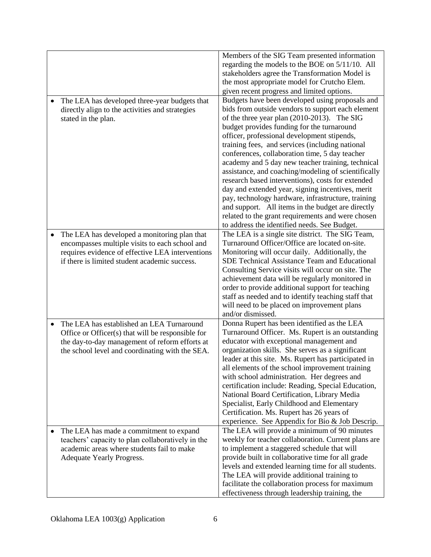|                                                                                                                                                                                                                  | Members of the SIG Team presented information<br>regarding the models to the BOE on 5/11/10. All<br>stakeholders agree the Transformation Model is<br>the most appropriate model for Crutcho Elem.<br>given recent progress and limited options.                                                                                                                                                                                                                                                                                                                                                                                                                                                                                                                                           |
|------------------------------------------------------------------------------------------------------------------------------------------------------------------------------------------------------------------|--------------------------------------------------------------------------------------------------------------------------------------------------------------------------------------------------------------------------------------------------------------------------------------------------------------------------------------------------------------------------------------------------------------------------------------------------------------------------------------------------------------------------------------------------------------------------------------------------------------------------------------------------------------------------------------------------------------------------------------------------------------------------------------------|
| The LEA has developed three-year budgets that<br>٠<br>directly align to the activities and strategies<br>stated in the plan.                                                                                     | Budgets have been developed using proposals and<br>bids from outside vendors to support each element<br>of the three year plan (2010-2013). The SIG<br>budget provides funding for the turnaround<br>officer, professional development stipends,<br>training fees, and services (including national<br>conferences, collaboration time, 5 day teacher<br>academy and 5 day new teacher training, technical<br>assistance, and coaching/modeling of scientifically<br>research based interventions), costs for extended<br>day and extended year, signing incentives, merit<br>pay, technology hardware, infrastructure, training<br>and support. All items in the budget are directly<br>related to the grant requirements and were chosen<br>to address the identified needs. See Budget. |
| The LEA has developed a monitoring plan that<br>$\bullet$<br>encompasses multiple visits to each school and<br>requires evidence of effective LEA interventions<br>if there is limited student academic success. | The LEA is a single site district. The SIG Team,<br>Turnaround Officer/Office are located on-site.<br>Monitoring will occur daily. Additionally, the<br>SDE Technical Assistance Team and Educational<br>Consulting Service visits will occur on site. The<br>achievement data will be regularly monitored in<br>order to provide additional support for teaching<br>staff as needed and to identify teaching staff that<br>will need to be placed on improvement plans<br>and/or dismissed.                                                                                                                                                                                                                                                                                               |
| The LEA has established an LEA Turnaround<br>٠<br>Office or Officer(s) that will be responsible for<br>the day-to-day management of reform efforts at<br>the school level and coordinating with the SEA.         | Donna Rupert has been identified as the LEA<br>Turnaround Officer. Ms. Rupert is an outstanding<br>educator with exceptional management and<br>organization skills. She serves as a significant<br>leader at this site. Ms. Rupert has participated in<br>all elements of the school improvement training<br>with school administration. Her degrees and<br>certification include: Reading, Special Education,<br>National Board Certification, Library Media<br>Specialist, Early Childhood and Elementary<br>Certification. Ms. Rupert has 26 years of<br>experience. See Appendix for Bio & Job Descrip.                                                                                                                                                                                |
| The LEA has made a commitment to expand<br>teachers' capacity to plan collaboratively in the<br>academic areas where students fail to make<br>Adequate Yearly Progress.                                          | The LEA will provide a minimum of 90 minutes<br>weekly for teacher collaboration. Current plans are<br>to implement a staggered schedule that will<br>provide built in collaborative time for all grade<br>levels and extended learning time for all students.<br>The LEA will provide additional training to<br>facilitate the collaboration process for maximum<br>effectiveness through leadership training, the                                                                                                                                                                                                                                                                                                                                                                        |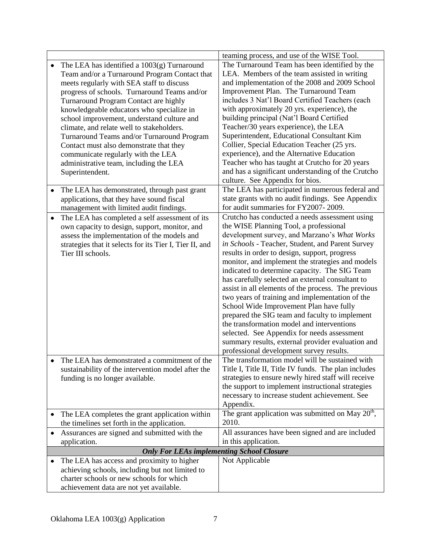|                                                                                                                                                                                                                                                                                                                                                                                                                                                                                                                                                                                     | teaming process, and use of the WISE Tool.                                                                                                                                                                                                                                                                                                                                                                                                                                                                                                                                                                                                                                                                                                                                                                  |
|-------------------------------------------------------------------------------------------------------------------------------------------------------------------------------------------------------------------------------------------------------------------------------------------------------------------------------------------------------------------------------------------------------------------------------------------------------------------------------------------------------------------------------------------------------------------------------------|-------------------------------------------------------------------------------------------------------------------------------------------------------------------------------------------------------------------------------------------------------------------------------------------------------------------------------------------------------------------------------------------------------------------------------------------------------------------------------------------------------------------------------------------------------------------------------------------------------------------------------------------------------------------------------------------------------------------------------------------------------------------------------------------------------------|
| The LEA has identified a 1003(g) Turnaround<br>$\bullet$<br>Team and/or a Turnaround Program Contact that<br>meets regularly with SEA staff to discuss<br>progress of schools. Turnaround Teams and/or<br>Turnaround Program Contact are highly<br>knowledgeable educators who specialize in<br>school improvement, understand culture and<br>climate, and relate well to stakeholders.<br>Turnaround Teams and/or Turnaround Program<br>Contact must also demonstrate that they<br>communicate regularly with the LEA<br>administrative team, including the LEA<br>Superintendent. | The Turnaround Team has been identified by the<br>LEA. Members of the team assisted in writing<br>and implementation of the 2008 and 2009 School<br>Improvement Plan. The Turnaround Team<br>includes 3 Nat'l Board Certified Teachers (each<br>with approximately 20 yrs. experience), the<br>building principal (Nat'l Board Certified<br>Teacher/30 years experience), the LEA<br>Superintendent, Educational Consultant Kim<br>Collier, Special Education Teacher (25 yrs.<br>experience), and the Alternative Education<br>Teacher who has taught at Crutcho for 20 years<br>and has a significant understanding of the Crutcho<br>culture. See Appendix for bios.                                                                                                                                     |
| The LEA has demonstrated, through past grant<br>$\bullet$<br>applications, that they have sound fiscal<br>management with limited audit findings.                                                                                                                                                                                                                                                                                                                                                                                                                                   | The LEA has participated in numerous federal and<br>state grants with no audit findings. See Appendix<br>for audit summaries for FY2007-2009.                                                                                                                                                                                                                                                                                                                                                                                                                                                                                                                                                                                                                                                               |
| The LEA has completed a self assessment of its<br>$\bullet$<br>own capacity to design, support, monitor, and<br>assess the implementation of the models and<br>strategies that it selects for its Tier I, Tier II, and<br>Tier III schools.                                                                                                                                                                                                                                                                                                                                         | Crutcho has conducted a needs assessment using<br>the WISE Planning Tool, a professional<br>development survey, and Marzano's What Works<br>in Schools - Teacher, Student, and Parent Survey<br>results in order to design, support, progress<br>monitor, and implement the strategies and models<br>indicated to determine capacity. The SIG Team<br>has carefully selected an external consultant to<br>assist in all elements of the process. The previous<br>two years of training and implementation of the<br>School Wide Improvement Plan have fully<br>prepared the SIG team and faculty to implement<br>the transformation model and interventions<br>selected. See Appendix for needs assessment<br>summary results, external provider evaluation and<br>professional development survey results. |
| The LEA has demonstrated a commitment of the<br>٠<br>sustainability of the intervention model after the<br>funding is no longer available.                                                                                                                                                                                                                                                                                                                                                                                                                                          | The transformation model will be sustained with<br>Title I, Title II, Title IV funds. The plan includes<br>strategies to ensure newly hired staff will receive<br>the support to implement instructional strategies<br>necessary to increase student achievement. See<br>Appendix.                                                                                                                                                                                                                                                                                                                                                                                                                                                                                                                          |
| The LEA completes the grant application within<br>٠<br>the timelines set forth in the application.                                                                                                                                                                                                                                                                                                                                                                                                                                                                                  | The grant application was submitted on $\overline{\text{May 20}}^{\text{th}}$ ,<br>2010.                                                                                                                                                                                                                                                                                                                                                                                                                                                                                                                                                                                                                                                                                                                    |
| Assurances are signed and submitted with the<br>٠                                                                                                                                                                                                                                                                                                                                                                                                                                                                                                                                   | All assurances have been signed and are included                                                                                                                                                                                                                                                                                                                                                                                                                                                                                                                                                                                                                                                                                                                                                            |
| application.<br><b>Only For LEAs implementing School Closure</b>                                                                                                                                                                                                                                                                                                                                                                                                                                                                                                                    | in this application.                                                                                                                                                                                                                                                                                                                                                                                                                                                                                                                                                                                                                                                                                                                                                                                        |
| The LEA has access and proximity to higher<br>٠<br>achieving schools, including but not limited to<br>charter schools or new schools for which<br>achievement data are not yet available.                                                                                                                                                                                                                                                                                                                                                                                           | Not Applicable                                                                                                                                                                                                                                                                                                                                                                                                                                                                                                                                                                                                                                                                                                                                                                                              |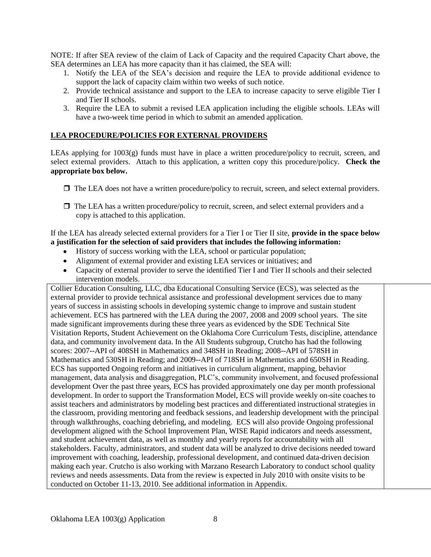NOTE: If after SEA review of the claim of Lack of Capacity and the required Capacity Chart above, the SEA determines an LEA has more capacity than it has claimed, the SEA will:

- 1. Notify the LEA of the SEA's decision and require the LEA to provide additional evidence to support the lack of capacity claim within two weeks of such notice.
- 2. Provide technical assistance and support to the LEA to increase capacity to serve eligible Tier I and Tier II schools.
- 3. Require the LEA to submit a revised LEA application including the eligible schools. LEAs will have a two-week time period in which to submit an amended application.

## **LEA PROCEDURE/POLICIES FOR EXTERNAL PROVIDERS**

LEAs applying for 1003(g) funds must have in place a written procedure/policy to recruit, screen, and select external providers. Attach to this application, a written copy this procedure/policy. **Check the appropriate box below.**

- $\Box$  The LEA does not have a written procedure/policy to recruit, screen, and select external providers.
- $\Box$  The LEA has a written procedure/policy to recruit, screen, and select external providers and a copy is attached to this application.

#### If the LEA has already selected external providers for a Tier I or Tier II site, **provide in the space below a justification for the selection of said providers that includes the following information:**

- History of success working with the LEA, school or particular population;
- Alignment of external provider and existing LEA services or initiatives; and
- Capacity of external provider to serve the identified Tier I and Tier II schools and their selected intervention models.

Collier Education Consulting, LLC, dba Educational Consulting Service (ECS), was selected as the external provider to provide technical assistance and professional development services due to many years of success in assisting schools in developing systemic change to improve and sustain student achievement. ECS has partnered with the LEA during the 2007, 2008 and 2009 school years. The site made significant improvements during these three years as evidenced by the SDE Technical Site Visitation Reports, Student Achievement on the Oklahoma Core Curriculum Tests, discipline, attendance data, and community involvement data. In the All Students subgroup, Crutcho has had the following scores: 2007--API of 408SH in Mathematics and 348SH in Reading; 2008--API of 578SH in Mathematics and 530SH in Reading; and 2009--API of 718SH in Mathematics and 650SH in Reading. ECS has supported Ongoing reform and initiatives in curriculum alignment, mapping, behavior management, data analysis and disaggregation, PLC's, community involvement, and focused professional development Over the past three years, ECS has provided approximately one day per month professional development. In order to support the Transformation Model, ECS will provide weekly on-site coaches to assist teachers and administrators by modeling best practices and differentiated instructional strategies in the classroom, providing mentoring and feedback sessions, and leadership development with the principal through walkthroughs, coaching debriefing, and modeling. ECS will also provide Ongoing professional development aligned with the School Improvement Plan, WISE Rapid indicators and needs assessment, and student achievement data, as well as monthly and yearly reports for accountability with all stakeholders. Faculty, administrators, and student data will be analyzed to drive decisions needed toward improvement with coaching, leadership, professional development, and continued data-driven decision making each year. Crutcho is also working with Marzano Research Laboratory to conduct school quality reviews and needs assessments. Data from the review is expected in July 2010 with onsite visits to be conducted on October 11-13, 2010. See additional information in Appendix.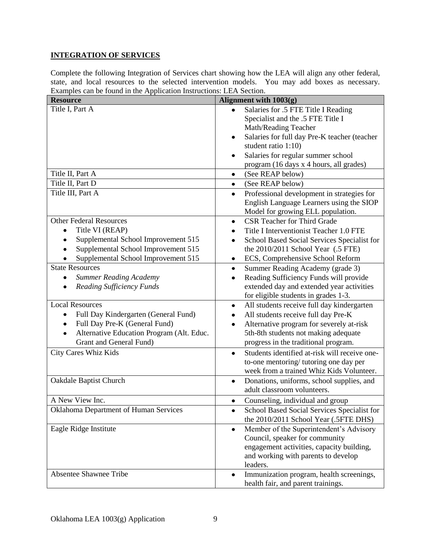# **INTEGRATION OF SERVICES**

Complete the following Integration of Services chart showing how the LEA will align any other federal, state, and local resources to the selected intervention models. You may add boxes as necessary. Examples can be found in the Application Instructions: LEA Section.

| <b>Resource</b>                                                                                                                                                                   | Alignment with 1003(g)                                                                                                                                                                                                                                                                 |
|-----------------------------------------------------------------------------------------------------------------------------------------------------------------------------------|----------------------------------------------------------------------------------------------------------------------------------------------------------------------------------------------------------------------------------------------------------------------------------------|
| Title I, Part A<br>Title II, Part A                                                                                                                                               | Salaries for .5 FTE Title I Reading<br>Specialist and the .5 FTE Title I<br>Math/Reading Teacher<br>Salaries for full day Pre-K teacher (teacher<br>٠<br>student ratio 1:10)<br>Salaries for regular summer school<br>٠<br>program (16 days x 4 hours, all grades)<br>(See REAP below) |
| Title II, Part D                                                                                                                                                                  | $\bullet$                                                                                                                                                                                                                                                                              |
| Title III, Part A                                                                                                                                                                 | (See REAP below)<br>٠<br>Professional development in strategies for<br>$\bullet$<br>English Language Learners using the SIOP<br>Model for growing ELL population.                                                                                                                      |
| <b>Other Federal Resources</b><br>Title VI (REAP)<br>Supplemental School Improvement 515<br>Supplemental School Improvement 515<br>Supplemental School Improvement 515            | CSR Teacher for Third Grade<br>$\bullet$<br>Title I Interventionist Teacher 1.0 FTE<br>School Based Social Services Specialist for<br>٠<br>the 2010/2011 School Year (.5 FTE)<br>ECS, Comprehensive School Reform<br>٠                                                                 |
| <b>State Resources</b><br><b>Summer Reading Academy</b><br>$\bullet$<br><b>Reading Sufficiency Funds</b>                                                                          | Summer Reading Academy (grade 3)<br>$\bullet$<br>Reading Sufficiency Funds will provide<br>$\bullet$<br>extended day and extended year activities<br>for eligible students in grades 1-3.                                                                                              |
| <b>Local Resources</b><br>Full Day Kindergarten (General Fund)<br>٠<br>Full Day Pre-K (General Fund)<br>٠<br>Alternative Education Program (Alt. Educ.<br>Grant and General Fund) | All students receive full day kindergarten<br>$\bullet$<br>All students receive full day Pre-K<br>٠<br>Alternative program for severely at-risk<br>$\bullet$<br>5th-8th students not making adequate<br>progress in the traditional program.                                           |
| City Cares Whiz Kids                                                                                                                                                              | Students identified at-risk will receive one-<br>$\bullet$<br>to-one mentoring/tutoring one day per<br>week from a trained Whiz Kids Volunteer.                                                                                                                                        |
| Oakdale Baptist Church                                                                                                                                                            | Donations, uniforms, school supplies, and<br>٠<br>adult classroom volunteers.                                                                                                                                                                                                          |
| A New View Inc.                                                                                                                                                                   | Counseling, individual and group<br>٠                                                                                                                                                                                                                                                  |
| Oklahoma Department of Human Services                                                                                                                                             | School Based Social Services Specialist for<br>the 2010/2011 School Year (.5FTE DHS)                                                                                                                                                                                                   |
| Eagle Ridge Institute                                                                                                                                                             | Member of the Superintendent's Advisory<br>$\bullet$<br>Council, speaker for community<br>engagement activities, capacity building,<br>and working with parents to develop<br>leaders.                                                                                                 |
| <b>Absentee Shawnee Tribe</b>                                                                                                                                                     | Immunization program, health screenings,<br>$\bullet$<br>health fair, and parent trainings.                                                                                                                                                                                            |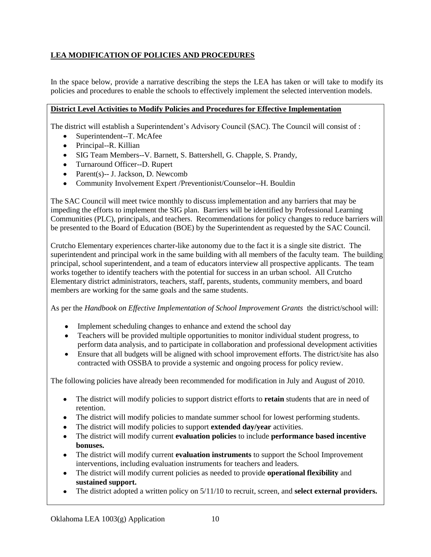# **LEA MODIFICATION OF POLICIES AND PROCEDURES**

In the space below, provide a narrative describing the steps the LEA has taken or will take to modify its policies and procedures to enable the schools to effectively implement the selected intervention models.

## **District Level Activities to Modify Policies and Procedures for Effective Implementation**

The district will establish a Superintendent's Advisory Council (SAC). The Council will consist of :

- Superintendent--T. McAfee
- Principal--R. Killian
- SIG Team Members--V. Barnett, S. Battershell, G. Chapple, S. Prandy,
- Turnaround Officer--D. Rupert
- Parent(s)-- J. Jackson, D. Newcomb
- Community Involvement Expert /Preventionist/Counselor--H. Bouldin

The SAC Council will meet twice monthly to discuss implementation and any barriers that may be impeding the efforts to implement the SIG plan. Barriers will be identified by Professional Learning Communities (PLC), principals, and teachers. Recommendations for policy changes to reduce barriers will be presented to the Board of Education (BOE) by the Superintendent as requested by the SAC Council.

Crutcho Elementary experiences charter-like autonomy due to the fact it is a single site district. The superintendent and principal work in the same building with all members of the faculty team. The building principal, school superintendent, and a team of educators interview all prospective applicants. The team works together to identify teachers with the potential for success in an urban school. All Crutcho Elementary district administrators, teachers, staff, parents, students, community members, and board members are working for the same goals and the same students.

As per the *Handbook on Effective Implementation of School Improvement Grants* the district/school will:

- Implement scheduling changes to enhance and extend the school day
- Teachers will be provided multiple opportunities to monitor individual student progress, to perform data analysis, and to participate in collaboration and professional development activities
- Ensure that all budgets will be aligned with school improvement efforts. The district/site has also contracted with OSSBA to provide a systemic and ongoing process for policy review.

The following policies have already been recommended for modification in July and August of 2010.

- The district will modify policies to support district efforts to **retain** students that are in need of retention.
- The district will modify policies to mandate summer school for lowest performing students.
- The district will modify policies to support **extended day/year** activities.
- The district will modify current **evaluation policies** to include **performance based incentive bonuses.**
- The district will modify current **evaluation instruments** to support the School Improvement interventions, including evaluation instruments for teachers and leaders.
- The district will modify current policies as needed to provide **operational flexibility** and **sustained support.**
- The district adopted a written policy on 5/11/10 to recruit, screen, and **select external providers.**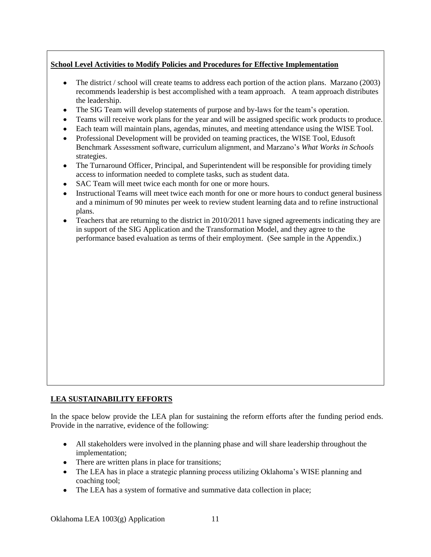## **School Level Activities to Modify Policies and Procedures for Effective Implementation**

- The district / school will create teams to address each portion of the action plans. Marzano (2003) recommends leadership is best accomplished with a team approach. A team approach distributes the leadership.
- The SIG Team will develop statements of purpose and by-laws for the team's operation.
- Teams will receive work plans for the year and will be assigned specific work products to produce.
- Each team will maintain plans, agendas, minutes, and meeting attendance using the WISE Tool.
- Professional Development will be provided on teaming practices, the WISE Tool, Edusoft Benchmark Assessment software, curriculum alignment, and Marzano's *What Works in Schools* strategies.
- The Turnaround Officer, Principal, and Superintendent will be responsible for providing timely access to information needed to complete tasks, such as student data.
- SAC Team will meet twice each month for one or more hours.
- Instructional Teams will meet twice each month for one or more hours to conduct general business and a minimum of 90 minutes per week to review student learning data and to refine instructional plans.
- Teachers that are returning to the district in 2010/2011 have signed agreements indicating they are in support of the SIG Application and the Transformation Model, and they agree to the performance based evaluation as terms of their employment. (See sample in the Appendix.)

## **LEA SUSTAINABILITY EFFORTS**

In the space below provide the LEA plan for sustaining the reform efforts after the funding period ends. Provide in the narrative, evidence of the following:

- All stakeholders were involved in the planning phase and will share leadership throughout the implementation;
- There are written plans in place for transitions;
- The LEA has in place a strategic planning process utilizing Oklahoma's WISE planning and coaching tool;
- The LEA has a system of formative and summative data collection in place;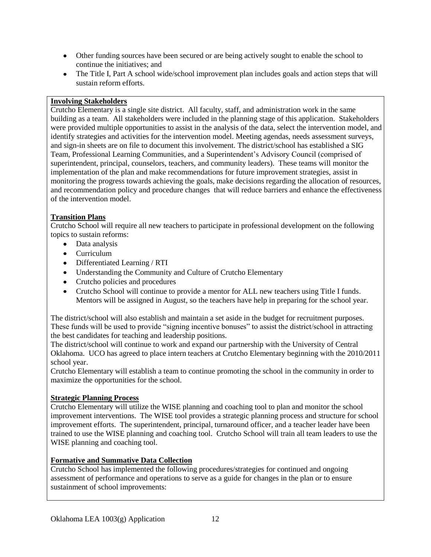- Other funding sources have been secured or are being actively sought to enable the school to continue the initiatives; and
- The Title I, Part A school wide/school improvement plan includes goals and action steps that will sustain reform efforts.

## **Involving Stakeholders**

Crutcho Elementary is a single site district. All faculty, staff, and administration work in the same building as a team. All stakeholders were included in the planning stage of this application. Stakeholders were provided multiple opportunities to assist in the analysis of the data, select the intervention model, and identify strategies and activities for the intervention model. Meeting agendas, needs assessment surveys, and sign-in sheets are on file to document this involvement. The district/school has established a SIG Team, Professional Learning Communities, and a Superintendent's Advisory Council (comprised of superintendent, principal, counselors, teachers, and community leaders). These teams will monitor the implementation of the plan and make recommendations for future improvement strategies, assist in monitoring the progress towards achieving the goals, make decisions regarding the allocation of resources, and recommendation policy and procedure changes that will reduce barriers and enhance the effectiveness of the intervention model.

## **Transition Plans**

Crutcho School will require all new teachers to participate in professional development on the following topics to sustain reforms:

- Data analysis  $\bullet$
- Curriculum
- Differentiated Learning / RTI
- Understanding the Community and Culture of Crutcho Elementary
- Crutcho policies and procedures
- Crutcho School will continue to provide a mentor for ALL new teachers using Title I funds. Mentors will be assigned in August, so the teachers have help in preparing for the school year.

The district/school will also establish and maintain a set aside in the budget for recruitment purposes. These funds will be used to provide "signing incentive bonuses" to assist the district/school in attracting the best candidates for teaching and leadership positions.

The district/school will continue to work and expand our partnership with the University of Central Oklahoma. UCO has agreed to place intern teachers at Crutcho Elementary beginning with the 2010/2011 school year.

Crutcho Elementary will establish a team to continue promoting the school in the community in order to maximize the opportunities for the school.

## **Strategic Planning Process**

Crutcho Elementary will utilize the WISE planning and coaching tool to plan and monitor the school improvement interventions. The WISE tool provides a strategic planning process and structure for school improvement efforts. The superintendent, principal, turnaround officer, and a teacher leader have been trained to use the WISE planning and coaching tool. Crutcho School will train all team leaders to use the WISE planning and coaching tool.

## **Formative and Summative Data Collection**

Crutcho School has implemented the following procedures/strategies for continued and ongoing assessment of performance and operations to serve as a guide for changes in the plan or to ensure sustainment of school improvements: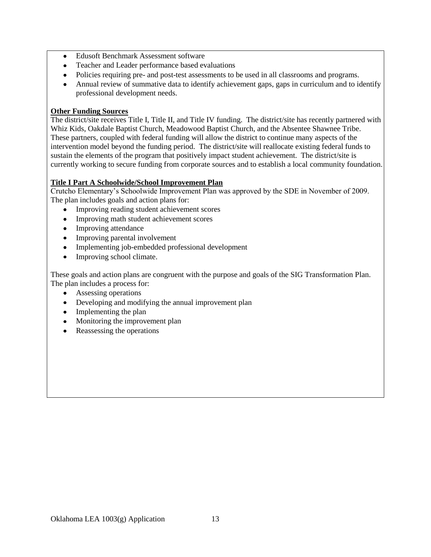- Edusoft Benchmark Assessment software  $\bullet$
- Teacher and Leader performance based evaluations  $\bullet$
- Policies requiring pre- and post-test assessments to be used in all classrooms and programs.
- Annual review of summative data to identify achievement gaps, gaps in curriculum and to identify professional development needs.

#### **Other Funding Sources**

The district/site receives Title I, Title II, and Title IV funding. The district/site has recently partnered with Whiz Kids, Oakdale Baptist Church, Meadowood Baptist Church, and the Absentee Shawnee Tribe. These partners, coupled with federal funding will allow the district to continue many aspects of the intervention model beyond the funding period. The district/site will reallocate existing federal funds to sustain the elements of the program that positively impact student achievement. The district/site is currently working to secure funding from corporate sources and to establish a local community foundation.

## **Title I Part A Schoolwide/School Improvement Plan**

Crutcho Elementary's Schoolwide Improvement Plan was approved by the SDE in November of 2009. The plan includes goals and action plans for:

- Improving reading student achievement scores
- Improving math student achievement scores
- Improving attendance
- Improving parental involvement
- Implementing job-embedded professional development
- $\bullet$ Improving school climate.

These goals and action plans are congruent with the purpose and goals of the SIG Transformation Plan. The plan includes a process for:

- Assessing operations
- Developing and modifying the annual improvement plan
- Implementing the plan
- Monitoring the improvement plan
- Reassessing the operations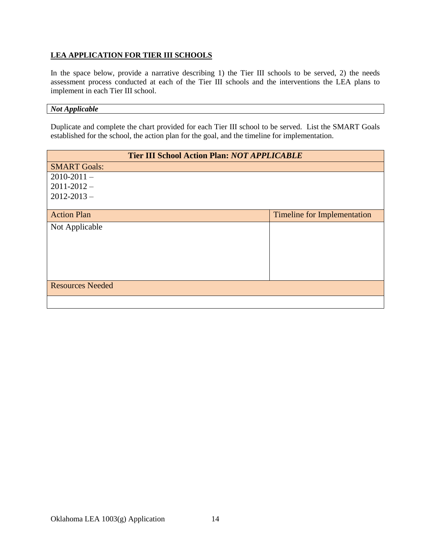## **LEA APPLICATION FOR TIER III SCHOOLS**

In the space below, provide a narrative describing 1) the Tier III schools to be served, 2) the needs assessment process conducted at each of the Tier III schools and the interventions the LEA plans to implement in each Tier III school.

# *Not Applicable*

Duplicate and complete the chart provided for each Tier III school to be served. List the SMART Goals established for the school, the action plan for the goal, and the timeline for implementation.

| <b>Tier III School Action Plan: NOT APPLICABLE</b> |                                    |  |  |
|----------------------------------------------------|------------------------------------|--|--|
| <b>SMART Goals:</b>                                |                                    |  |  |
| $2010 - 2011 -$                                    |                                    |  |  |
| $2011 - 2012 -$                                    |                                    |  |  |
| $2012 - 2013 -$                                    |                                    |  |  |
|                                                    |                                    |  |  |
| <b>Action Plan</b>                                 | <b>Timeline for Implementation</b> |  |  |
| Not Applicable                                     |                                    |  |  |
|                                                    |                                    |  |  |
|                                                    |                                    |  |  |
|                                                    |                                    |  |  |
|                                                    |                                    |  |  |
|                                                    |                                    |  |  |
| <b>Resources Needed</b>                            |                                    |  |  |
|                                                    |                                    |  |  |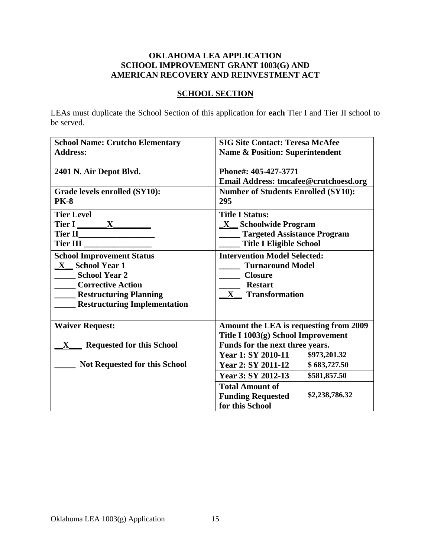## **OKLAHOMA LEA APPLICATION SCHOOL IMPROVEMENT GRANT 1003(G) AND AMERICAN RECOVERY AND REINVESTMENT ACT**

## **SCHOOL SECTION**

LEAs must duplicate the School Section of this application for **each** Tier I and Tier II school to be served.

| <b>School Name: Crutcho Elementary</b> | <b>SIG Site Contact: Teresa McAfee</b>     |                |  |
|----------------------------------------|--------------------------------------------|----------------|--|
| <b>Address:</b>                        | <b>Name &amp; Position: Superintendent</b> |                |  |
|                                        |                                            |                |  |
| 2401 N. Air Depot Blvd.                | Phone#: 405-427-3771                       |                |  |
|                                        | Email Address: tmcafee@crutchoesd.org      |                |  |
| Grade levels enrolled (SY10):          | <b>Number of Students Enrolled (SY10):</b> |                |  |
| <b>PK-8</b>                            | 295                                        |                |  |
| <b>Tier Level</b>                      | <b>Title I Status:</b>                     |                |  |
| Tier I X                               | X Schoolwide Program                       |                |  |
|                                        | <b>Targeted Assistance Program</b>         |                |  |
| Tier III                               | <b>Title I Eligible School</b>             |                |  |
| <b>School Improvement Status</b>       | <b>Intervention Model Selected:</b>        |                |  |
| X School Year 1                        | <b>Turnaround Model</b>                    |                |  |
| <b>School Year 2</b>                   | <b>Closure</b>                             |                |  |
| <b>Corrective Action</b>               | <b>Restart</b>                             |                |  |
| <b>EXAMPLE Planning</b> Planning       | X Transformation                           |                |  |
| <b>Restructuring Implementation</b>    |                                            |                |  |
|                                        |                                            |                |  |
| <b>Waiver Request:</b>                 | Amount the LEA is requesting from 2009     |                |  |
|                                        | Title I 1003(g) School Improvement         |                |  |
| <b>Requested for this School</b><br>X  | Funds for the next three years.            |                |  |
|                                        | Year 1: SY 2010-11                         | \$973,201.32   |  |
| <b>Not Requested for this School</b>   | Year 2: SY 2011-12                         | \$683,727.50   |  |
|                                        | Year 3: SY 2012-13                         | \$581,857.50   |  |
|                                        | <b>Total Amount of</b>                     |                |  |
|                                        | <b>Funding Requested</b>                   | \$2,238,786.32 |  |
|                                        | for this School                            |                |  |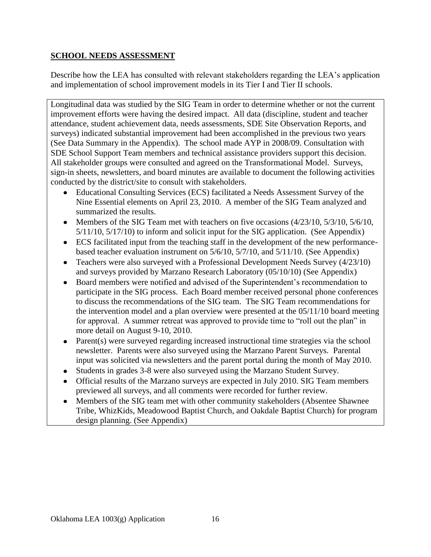# **SCHOOL NEEDS ASSESSMENT**

Describe how the LEA has consulted with relevant stakeholders regarding the LEA's application and implementation of school improvement models in its Tier I and Tier II schools.

Longitudinal data was studied by the SIG Team in order to determine whether or not the current improvement efforts were having the desired impact. All data (discipline, student and teacher attendance, student achievement data, needs assessments, SDE Site Observation Reports, and surveys) indicated substantial improvement had been accomplished in the previous two years (See Data Summary in the Appendix). The school made AYP in 2008/09. Consultation with SDE School Support Team members and technical assistance providers support this decision. All stakeholder groups were consulted and agreed on the Transformational Model. Surveys, sign-in sheets, newsletters, and board minutes are available to document the following activities conducted by the district/site to consult with stakeholders.

- Educational Consulting Services (ECS) facilitated a Needs Assessment Survey of the Nine Essential elements on April 23, 2010. A member of the SIG Team analyzed and summarized the results.
- Members of the SIG Team met with teachers on five occasions  $(4/23/10, 5/3/10, 5/6/10, 5/6/10)$ 5/11/10, 5/17/10) to inform and solicit input for the SIG application. (See Appendix)
- ECS facilitated input from the teaching staff in the development of the new performancebased teacher evaluation instrument on 5/6/10, 5/7/10, and 5/11/10. (See Appendix)
- Teachers were also surveyed with a Professional Development Needs Survey (4/23/10) and surveys provided by Marzano Research Laboratory (05/10/10) (See Appendix)
- Board members were notified and advised of the Superintendent's recommendation to participate in the SIG process. Each Board member received personal phone conferences to discuss the recommendations of the SIG team. The SIG Team recommendations for the intervention model and a plan overview were presented at the 05/11/10 board meeting for approval. A summer retreat was approved to provide time to "roll out the plan" in more detail on August 9-10, 2010.
- Parent(s) were surveyed regarding increased instructional time strategies via the school newsletter. Parents were also surveyed using the Marzano Parent Surveys. Parental input was solicited via newsletters and the parent portal during the month of May 2010.
- Students in grades 3-8 were also surveyed using the Marzano Student Survey.
- Official results of the Marzano surveys are expected in July 2010. SIG Team members previewed all surveys, and all comments were recorded for further review.
- Members of the SIG team met with other community stakeholders (Absentee Shawnee  $\bullet$ Tribe, WhizKids, Meadowood Baptist Church, and Oakdale Baptist Church) for program design planning. (See Appendix)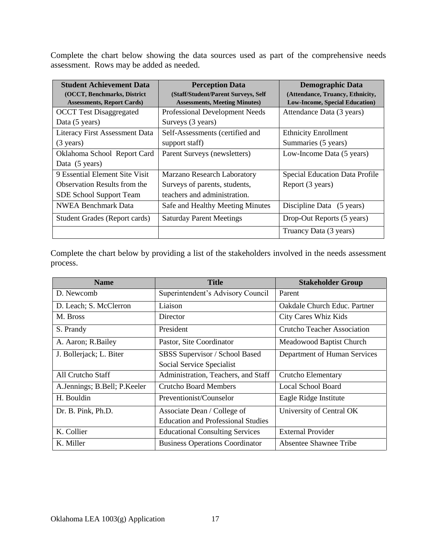Complete the chart below showing the data sources used as part of the comprehensive needs assessment. Rows may be added as needed.

| <b>Student Achievement Data</b>      | <b>Perception Data</b>               | <b>Demographic Data</b>                |
|--------------------------------------|--------------------------------------|----------------------------------------|
| (OCCT, Benchmarks, District          | (Staff/Student/Parent Surveys, Self  | (Attendance, Truancy, Ethnicity,       |
| <b>Assessments, Report Cards</b> )   | <b>Assessments, Meeting Minutes)</b> | <b>Low-Income, Special Education</b> ) |
| <b>OCCT</b> Test Disaggregated       | Professional Development Needs       | Attendance Data (3 years)              |
| Data (5 years)                       | Surveys (3 years)                    |                                        |
| Literacy First Assessment Data       | Self-Assessments (certified and      | <b>Ethnicity Enrollment</b>            |
| $(3 \text{ years})$                  | support staff)                       | Summaries (5 years)                    |
| Oklahoma School Report Card          | Parent Surveys (newsletters)         | Low-Income Data (5 years)              |
| Data (5 years)                       |                                      |                                        |
| 9 Essential Element Site Visit       | Marzano Research Laboratory          | <b>Special Education Data Profile</b>  |
| <b>Observation Results from the</b>  | Surveys of parents, students,        | Report (3 years)                       |
| <b>SDE School Support Team</b>       | teachers and administration.         |                                        |
| <b>NWEA Benchmark Data</b>           | Safe and Healthy Meeting Minutes     | Discipline Data (5 years)              |
| <b>Student Grades (Report cards)</b> | <b>Saturday Parent Meetings</b>      | Drop-Out Reports (5 years)             |
|                                      |                                      | Truancy Data (3 years)                 |

Complete the chart below by providing a list of the stakeholders involved in the needs assessment process.

| <b>Name</b>                  | Title                                     | <b>Stakeholder Group</b>     |
|------------------------------|-------------------------------------------|------------------------------|
| D. Newcomb                   | Superintendent's Advisory Council         | Parent                       |
| D. Leach; S. McClerron       | Liaison                                   | Oakdale Church Educ. Partner |
| M. Bross                     | Director                                  | <b>City Cares Whiz Kids</b>  |
| S. Prandy                    | President                                 | Crutcho Teacher Association  |
| A. Aaron; R. Bailey          | Pastor, Site Coordinator                  | Meadowood Baptist Church     |
| J. Bollerjack; L. Biter      | SBSS Supervisor / School Based            | Department of Human Services |
|                              | Social Service Specialist                 |                              |
| All Crutcho Staff            | Administration, Teachers, and Staff       | Crutcho Elementary           |
| A.Jennings; B.Bell; P.Keeler | <b>Crutcho Board Members</b>              | Local School Board           |
| H. Bouldin                   | Preventionist/Counselor                   | Eagle Ridge Institute        |
| Dr. B. Pink, Ph.D.           | Associate Dean / College of               | University of Central OK     |
|                              | <b>Education and Professional Studies</b> |                              |
| K. Collier                   | <b>Educational Consulting Services</b>    | <b>External Provider</b>     |
| K. Miller                    | <b>Business Operations Coordinator</b>    | Absentee Shawnee Tribe       |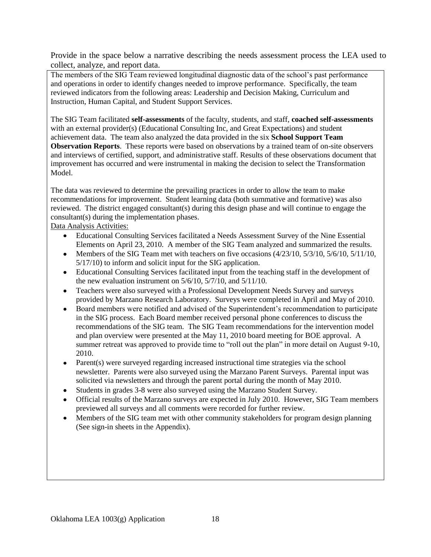Provide in the space below a narrative describing the needs assessment process the LEA used to collect, analyze, and report data.

The members of the SIG Team reviewed longitudinal diagnostic data of the school's past performance and operations in order to identify changes needed to improve performance. Specifically, the team reviewed indicators from the following areas: Leadership and Decision Making, Curriculum and Instruction, Human Capital, and Student Support Services.

The SIG Team facilitated **self-assessments** of the faculty, students, and staff, **coached self-assessments** with an external provider(s) (Educational Consulting Inc, and Great Expectations) and student achievement data. The team also analyzed the data provided in the six **School Support Team Observation Reports**. These reports were based on observations by a trained team of on-site observers and interviews of certified, support, and administrative staff. Results of these observations document that improvement has occurred and were instrumental in making the decision to select the Transformation Model.

The data was reviewed to determine the prevailing practices in order to allow the team to make recommendations for improvement. Student learning data (both summative and formative) was also reviewed. The district engaged consultant(s) during this design phase and will continue to engage the consultant(s) during the implementation phases.

Data Analysis Activities:

- Educational Consulting Services facilitated a Needs Assessment Survey of the Nine Essential  $\bullet$ Elements on April 23, 2010. A member of the SIG Team analyzed and summarized the results.
- Members of the SIG Team met with teachers on five occasions (4/23/10, 5/3/10, 5/6/10, 5/11/10,  $\bullet$ 5/17/10) to inform and solicit input for the SIG application.
- Educational Consulting Services facilitated input from the teaching staff in the development of the new evaluation instrument on 5/6/10, 5/7/10, and 5/11/10.
- Teachers were also surveyed with a Professional Development Needs Survey and surveys  $\bullet$ provided by Marzano Research Laboratory. Surveys were completed in April and May of 2010.
- Board members were notified and advised of the Superintendent's recommendation to participate in the SIG process. Each Board member received personal phone conferences to discuss the recommendations of the SIG team. The SIG Team recommendations for the intervention model and plan overview were presented at the May 11, 2010 board meeting for BOE approval. A summer retreat was approved to provide time to "roll out the plan" in more detail on August 9-10, 2010.
- Parent(s) were surveyed regarding increased instructional time strategies via the school  $\bullet$ newsletter. Parents were also surveyed using the Marzano Parent Surveys. Parental input was solicited via newsletters and through the parent portal during the month of May 2010.
- Students in grades 3-8 were also surveyed using the Marzano Student Survey.
- Official results of the Marzano surveys are expected in July 2010. However, SIG Team members previewed all surveys and all comments were recorded for further review.
- Members of the SIG team met with other community stakeholders for program design planning  $\bullet$ (See sign-in sheets in the Appendix).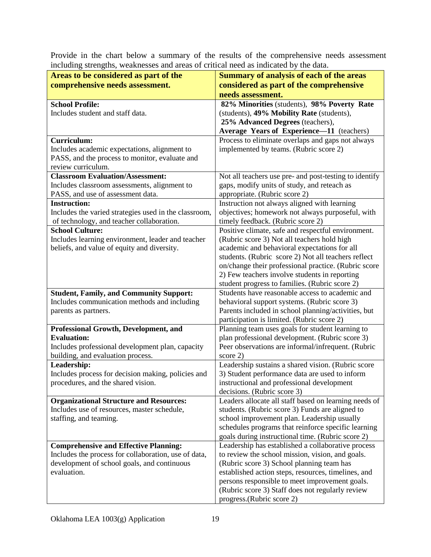Provide in the chart below a summary of the results of the comprehensive needs assessment including strengths, weaknesses and areas of critical need as indicated by the data.

| Areas to be considered as part of the                 | <b>Summary of analysis of each of the areas</b>                                                   |
|-------------------------------------------------------|---------------------------------------------------------------------------------------------------|
| comprehensive needs assessment.                       | considered as part of the comprehensive                                                           |
|                                                       | needs assessment.                                                                                 |
| <b>School Profile:</b>                                | 82% Minorities (students), 98% Poverty Rate                                                       |
| Includes student and staff data.                      | (students), 49% Mobility Rate (students),                                                         |
|                                                       | 25% Advanced Degrees (teachers),                                                                  |
|                                                       | Average Years of Experience-11 (teachers)                                                         |
| <b>Curriculum:</b>                                    | Process to eliminate overlaps and gaps not always                                                 |
| Includes academic expectations, alignment to          | implemented by teams. (Rubric score 2)                                                            |
| PASS, and the process to monitor, evaluate and        |                                                                                                   |
| review curriculum.                                    |                                                                                                   |
| <b>Classroom Evaluation/Assessment:</b>               | Not all teachers use pre- and post-testing to identify                                            |
| Includes classroom assessments, alignment to          | gaps, modify units of study, and reteach as                                                       |
| PASS, and use of assessment data.                     | appropriate. (Rubric score 2)                                                                     |
| <b>Instruction:</b>                                   | Instruction not always aligned with learning                                                      |
| Includes the varied strategies used in the classroom, | objectives; homework not always purposeful, with                                                  |
| of technology, and teacher collaboration.             | timely feedback. (Rubric score 2)                                                                 |
| <b>School Culture:</b>                                | Positive climate, safe and respectful environment.                                                |
| Includes learning environment, leader and teacher     | (Rubric score 3) Not all teachers hold high                                                       |
| beliefs, and value of equity and diversity.           | academic and behavioral expectations for all                                                      |
|                                                       | students. (Rubric score 2) Not all teachers reflect                                               |
|                                                       | on/change their professional practice. (Rubric score                                              |
|                                                       | 2) Few teachers involve students in reporting                                                     |
| <b>Student, Family, and Community Support:</b>        | student progress to families. (Rubric score 2)<br>Students have reasonable access to academic and |
| Includes communication methods and including          | behavioral support systems. (Rubric score 3)                                                      |
| parents as partners.                                  | Parents included in school planning/activities, but                                               |
|                                                       | participation is limited. (Rubric score 2)                                                        |
| Professional Growth, Development, and                 | Planning team uses goals for student learning to                                                  |
| <b>Evaluation:</b>                                    | plan professional development. (Rubric score 3)                                                   |
| Includes professional development plan, capacity      | Peer observations are informal/infrequent. (Rubric                                                |
| building, and evaluation process.                     | score 2)                                                                                          |
| Leadership:                                           | Leadership sustains a shared vision. (Rubric score                                                |
| Includes process for decision making, policies and    | 3) Student performance data are used to inform                                                    |
| procedures, and the shared vision.                    | instructional and professional development                                                        |
|                                                       | decisions. (Rubric score 3)                                                                       |
| <b>Organizational Structure and Resources:</b>        | Leaders allocate all staff based on learning needs of                                             |
| Includes use of resources, master schedule,           | students. (Rubric score 3) Funds are aligned to                                                   |
| staffing, and teaming.                                | school improvement plan. Leadership usually                                                       |
|                                                       | schedules programs that reinforce specific learning                                               |
|                                                       | goals during instructional time. (Rubric score 2)                                                 |
| <b>Comprehensive and Effective Planning:</b>          | Leadership has established a collaborative process                                                |
| Includes the process for collaboration, use of data,  | to review the school mission, vision, and goals.                                                  |
| development of school goals, and continuous           | (Rubric score 3) School planning team has                                                         |
| evaluation.                                           | established action steps, resources, timelines, and                                               |
|                                                       | persons responsible to meet improvement goals.                                                    |
|                                                       | (Rubric score 3) Staff does not regularly review                                                  |
|                                                       | progress.(Rubric score 2)                                                                         |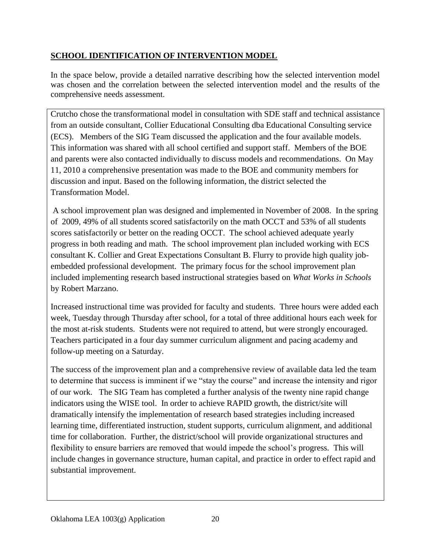# **SCHOOL IDENTIFICATION OF INTERVENTION MODEL**

In the space below, provide a detailed narrative describing how the selected intervention model was chosen and the correlation between the selected intervention model and the results of the comprehensive needs assessment.

Crutcho chose the transformational model in consultation with SDE staff and technical assistance from an outside consultant, Collier Educational Consulting dba Educational Consulting service (ECS). Members of the SIG Team discussed the application and the four available models. This information was shared with all school certified and support staff. Members of the BOE and parents were also contacted individually to discuss models and recommendations. On May 11, 2010 a comprehensive presentation was made to the BOE and community members for discussion and input. Based on the following information, the district selected the Transformation Model.

A school improvement plan was designed and implemented in November of 2008. In the spring of 2009, 49% of all students scored satisfactorily on the math OCCT and 53% of all students scores satisfactorily or better on the reading OCCT. The school achieved adequate yearly progress in both reading and math. The school improvement plan included working with ECS consultant K. Collier and Great Expectations Consultant B. Flurry to provide high quality jobembedded professional development. The primary focus for the school improvement plan included implementing research based instructional strategies based on *What Works in Schools* by Robert Marzano.

Increased instructional time was provided for faculty and students. Three hours were added each week, Tuesday through Thursday after school, for a total of three additional hours each week for the most at-risk students. Students were not required to attend, but were strongly encouraged. Teachers participated in a four day summer curriculum alignment and pacing academy and follow-up meeting on a Saturday.

The success of the improvement plan and a comprehensive review of available data led the team to determine that success is imminent if we "stay the course" and increase the intensity and rigor of our work. The SIG Team has completed a further analysis of the twenty nine rapid change indicators using the WISE tool. In order to achieve RAPID growth, the district/site will dramatically intensify the implementation of research based strategies including increased learning time, differentiated instruction, student supports, curriculum alignment, and additional time for collaboration. Further, the district/school will provide organizational structures and flexibility to ensure barriers are removed that would impede the school's progress. This will include changes in governance structure, human capital, and practice in order to effect rapid and substantial improvement.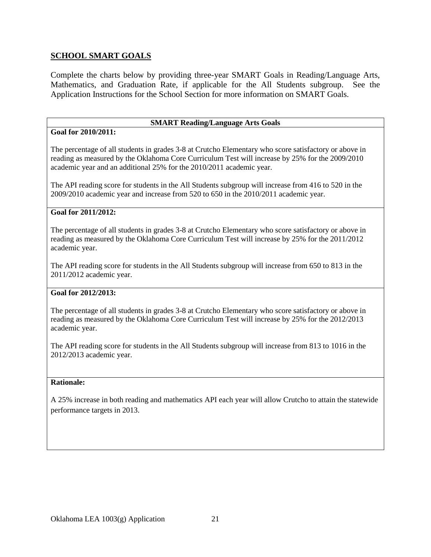## **SCHOOL SMART GOALS**

Complete the charts below by providing three-year SMART Goals in Reading/Language Arts, Mathematics, and Graduation Rate, if applicable for the All Students subgroup. See the Application Instructions for the School Section for more information on SMART Goals.

#### **SMART Reading/Language Arts Goals**

#### **Goal for 2010/2011:**

The percentage of all students in grades 3-8 at Crutcho Elementary who score satisfactory or above in reading as measured by the Oklahoma Core Curriculum Test will increase by 25% for the 2009/2010 academic year and an additional 25% for the 2010/2011 academic year.

The API reading score for students in the All Students subgroup will increase from 416 to 520 in the 2009/2010 academic year and increase from 520 to 650 in the 2010/2011 academic year.

#### **Goal for 2011/2012:**

The percentage of all students in grades 3-8 at Crutcho Elementary who score satisfactory or above in reading as measured by the Oklahoma Core Curriculum Test will increase by 25% for the 2011/2012 academic year.

The API reading score for students in the All Students subgroup will increase from 650 to 813 in the 2011/2012 academic year.

#### **Goal for 2012/2013:**

The percentage of all students in grades 3-8 at Crutcho Elementary who score satisfactory or above in reading as measured by the Oklahoma Core Curriculum Test will increase by 25% for the 2012/2013 academic year.

The API reading score for students in the All Students subgroup will increase from 813 to 1016 in the 2012/2013 academic year.

#### **Rationale:**

A 25% increase in both reading and mathematics API each year will allow Crutcho to attain the statewide performance targets in 2013.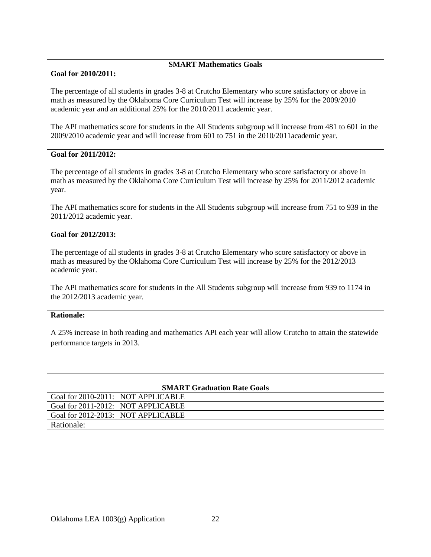#### **SMART Mathematics Goals**

#### **Goal for 2010/2011:**

The percentage of all students in grades 3-8 at Crutcho Elementary who score satisfactory or above in math as measured by the Oklahoma Core Curriculum Test will increase by 25% for the 2009/2010 academic year and an additional 25% for the 2010/2011 academic year.

The API mathematics score for students in the All Students subgroup will increase from 481 to 601 in the 2009/2010 academic year and will increase from 601 to 751 in the 2010/2011academic year.

#### **Goal for 2011/2012:**

The percentage of all students in grades 3-8 at Crutcho Elementary who score satisfactory or above in math as measured by the Oklahoma Core Curriculum Test will increase by 25% for 2011/2012 academic year.

The API mathematics score for students in the All Students subgroup will increase from 751 to 939 in the 2011/2012 academic year.

#### **Goal for 2012/2013:**

The percentage of all students in grades 3-8 at Crutcho Elementary who score satisfactory or above in math as measured by the Oklahoma Core Curriculum Test will increase by 25% for the 2012/2013 academic year.

The API mathematics score for students in the All Students subgroup will increase from 939 to 1174 in the 2012/2013 academic year.

## **Rationale:**

A 25% increase in both reading and mathematics API each year will allow Crutcho to attain the statewide performance targets in 2013.

| <b>SMART Graduation Rate Goals</b> |                                    |  |  |
|------------------------------------|------------------------------------|--|--|
|                                    |                                    |  |  |
| Goal for 2010-2011: NOT APPLICABLE |                                    |  |  |
|                                    |                                    |  |  |
| Goal for 2011-2012: NOT APPLICABLE |                                    |  |  |
|                                    |                                    |  |  |
|                                    | Goal for 2012-2013: NOT APPLICABLE |  |  |
|                                    |                                    |  |  |
|                                    |                                    |  |  |
| Rationale:                         |                                    |  |  |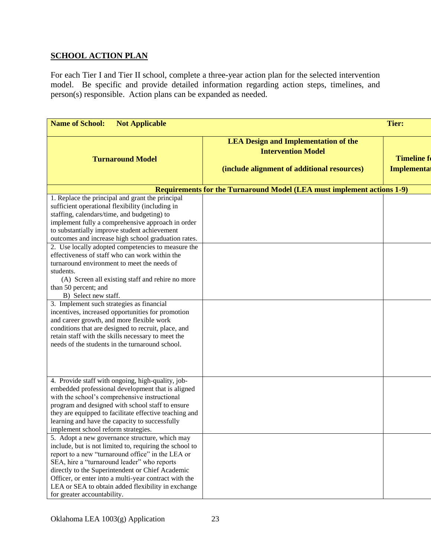# **SCHOOL ACTION PLAN**

For each Tier I and Tier II school, complete a three-year action plan for the selected intervention model. Be specific and provide detailed information regarding action steps, timelines, and person(s) responsible. Action plans can be expanded as needed.

| <b>Name of School:</b><br><b>Not Applicable</b>                                                                                                                                                                                                                                                                                                                                                                                                                                                                                                                                                                                                                                                                                                                                                                                                                                                        |                                                                                                                         | <b>Tier:</b>                                    |
|--------------------------------------------------------------------------------------------------------------------------------------------------------------------------------------------------------------------------------------------------------------------------------------------------------------------------------------------------------------------------------------------------------------------------------------------------------------------------------------------------------------------------------------------------------------------------------------------------------------------------------------------------------------------------------------------------------------------------------------------------------------------------------------------------------------------------------------------------------------------------------------------------------|-------------------------------------------------------------------------------------------------------------------------|-------------------------------------------------|
| <b>Turnaround Model</b>                                                                                                                                                                                                                                                                                                                                                                                                                                                                                                                                                                                                                                                                                                                                                                                                                                                                                | <b>LEA Design and Implementation of the</b><br><b>Intervention Model</b><br>(include alignment of additional resources) | <b>Timeline formation</b><br><b>Implemental</b> |
|                                                                                                                                                                                                                                                                                                                                                                                                                                                                                                                                                                                                                                                                                                                                                                                                                                                                                                        | Requirements for the Turnaround Model (LEA must implement actions 1-9)                                                  |                                                 |
| 1. Replace the principal and grant the principal<br>sufficient operational flexibility (including in<br>staffing, calendars/time, and budgeting) to<br>implement fully a comprehensive approach in order<br>to substantially improve student achievement<br>outcomes and increase high school graduation rates.<br>2. Use locally adopted competencies to measure the<br>effectiveness of staff who can work within the<br>turnaround environment to meet the needs of<br>students.<br>(A) Screen all existing staff and rehire no more<br>than 50 percent; and<br>B) Select new staff.<br>3. Implement such strategies as financial<br>incentives, increased opportunities for promotion<br>and career growth, and more flexible work<br>conditions that are designed to recruit, place, and<br>retain staff with the skills necessary to meet the<br>needs of the students in the turnaround school. |                                                                                                                         |                                                 |
|                                                                                                                                                                                                                                                                                                                                                                                                                                                                                                                                                                                                                                                                                                                                                                                                                                                                                                        |                                                                                                                         |                                                 |
| 4. Provide staff with ongoing, high-quality, job-<br>embedded professional development that is aligned<br>with the school's comprehensive instructional<br>program and designed with school staff to ensure<br>they are equipped to facilitate effective teaching and<br>learning and have the capacity to successfully<br>implement school reform strategies.                                                                                                                                                                                                                                                                                                                                                                                                                                                                                                                                         |                                                                                                                         |                                                 |
| 5. Adopt a new governance structure, which may<br>include, but is not limited to, requiring the school to<br>report to a new "turnaround office" in the LEA or<br>SEA, hire a "turnaround leader" who reports<br>directly to the Superintendent or Chief Academic<br>Officer, or enter into a multi-year contract with the<br>LEA or SEA to obtain added flexibility in exchange<br>for greater accountability.                                                                                                                                                                                                                                                                                                                                                                                                                                                                                        |                                                                                                                         |                                                 |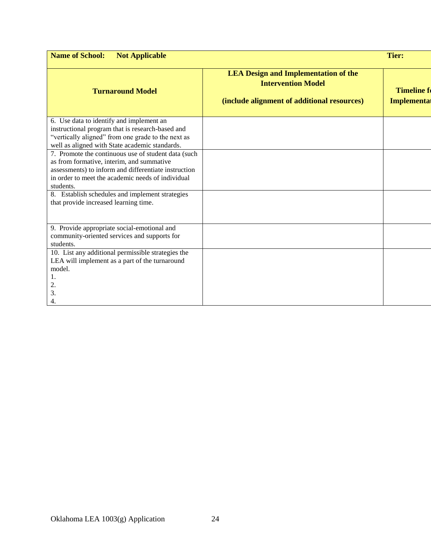| <b>Name of School:</b><br><b>Not Applicable</b>                                                                                                                                                                            |                                                                                                                         | <b>Tier:</b>                                 |
|----------------------------------------------------------------------------------------------------------------------------------------------------------------------------------------------------------------------------|-------------------------------------------------------------------------------------------------------------------------|----------------------------------------------|
| <b>Turnaround Model</b>                                                                                                                                                                                                    | <b>LEA Design and Implementation of the</b><br><b>Intervention Model</b><br>(include alignment of additional resources) | <b>Timeline formal</b><br><b>Implementat</b> |
| 6. Use data to identify and implement an<br>instructional program that is research-based and<br>"vertically aligned" from one grade to the next as<br>well as aligned with State academic standards.                       |                                                                                                                         |                                              |
| 7. Promote the continuous use of student data (such<br>as from formative, interim, and summative<br>assessments) to inform and differentiate instruction<br>in order to meet the academic needs of individual<br>students. |                                                                                                                         |                                              |
| 8. Establish schedules and implement strategies<br>that provide increased learning time.                                                                                                                                   |                                                                                                                         |                                              |
| 9. Provide appropriate social-emotional and<br>community-oriented services and supports for<br>students.                                                                                                                   |                                                                                                                         |                                              |
| 10. List any additional permissible strategies the<br>LEA will implement as a part of the turnaround<br>model.<br>Ī.<br>2.<br>3.<br>4.                                                                                     |                                                                                                                         |                                              |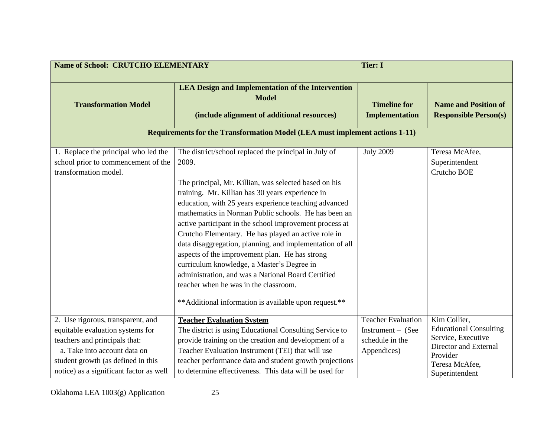| <b>Name of School: CRUTCHO ELEMENTARY</b>                                                                                                                                                                               |                                                                                                                                                                                                                                                                                                                                                                                                                                                                                                                                                                                                                                                                                                                                     | <b>Tier: I</b>                                                            |                                                                                                                                              |
|-------------------------------------------------------------------------------------------------------------------------------------------------------------------------------------------------------------------------|-------------------------------------------------------------------------------------------------------------------------------------------------------------------------------------------------------------------------------------------------------------------------------------------------------------------------------------------------------------------------------------------------------------------------------------------------------------------------------------------------------------------------------------------------------------------------------------------------------------------------------------------------------------------------------------------------------------------------------------|---------------------------------------------------------------------------|----------------------------------------------------------------------------------------------------------------------------------------------|
| <b>Transformation Model</b>                                                                                                                                                                                             | <b>LEA Design and Implementation of the Intervention</b><br><b>Model</b><br>(include alignment of additional resources)<br><b>Requirements for the Transformation Model (LEA must implement actions 1-11)</b>                                                                                                                                                                                                                                                                                                                                                                                                                                                                                                                       | <b>Timeline for</b><br><b>Implementation</b>                              | <b>Name and Position of</b><br><b>Responsible Person(s)</b>                                                                                  |
| 1. Replace the principal who led the<br>school prior to commencement of the<br>transformation model.                                                                                                                    | The district/school replaced the principal in July of<br>2009.<br>The principal, Mr. Killian, was selected based on his<br>training. Mr. Killian has 30 years experience in<br>education, with 25 years experience teaching advanced<br>mathematics in Norman Public schools. He has been an<br>active participant in the school improvement process at<br>Crutcho Elementary. He has played an active role in<br>data disaggregation, planning, and implementation of all<br>aspects of the improvement plan. He has strong<br>curriculum knowledge, a Master's Degree in<br>administration, and was a National Board Certified<br>teacher when he was in the classroom.<br>** Additional information is available upon request.** | <b>July 2009</b>                                                          | Teresa McAfee,<br>Superintendent<br>Crutcho BOE                                                                                              |
| 2. Use rigorous, transparent, and<br>equitable evaluation systems for<br>teachers and principals that:<br>a. Take into account data on<br>student growth (as defined in this<br>notice) as a significant factor as well | <b>Teacher Evaluation System</b><br>The district is using Educational Consulting Service to<br>provide training on the creation and development of a<br>Teacher Evaluation Instrument (TEI) that will use<br>teacher performance data and student growth projections<br>to determine effectiveness. This data will be used for                                                                                                                                                                                                                                                                                                                                                                                                      | Teacher Evaluation<br>Instrument - (See<br>schedule in the<br>Appendices) | Kim Collier,<br><b>Educational Consulting</b><br>Service, Executive<br>Director and External<br>Provider<br>Teresa McAfee,<br>Superintendent |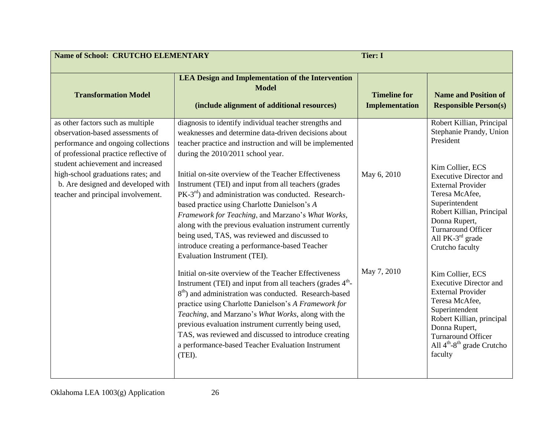| <b>Name of School: CRUTCHO ELEMENTARY</b>                                                                                                                                                                                                                                                                     |                                                                                                                                                                                                                                                                                                                                                                                                                                                                                                                                                                                                                                                                                                | <b>Tier: I</b>                               |                                                                                                                                                                                                                                                                                                               |
|---------------------------------------------------------------------------------------------------------------------------------------------------------------------------------------------------------------------------------------------------------------------------------------------------------------|------------------------------------------------------------------------------------------------------------------------------------------------------------------------------------------------------------------------------------------------------------------------------------------------------------------------------------------------------------------------------------------------------------------------------------------------------------------------------------------------------------------------------------------------------------------------------------------------------------------------------------------------------------------------------------------------|----------------------------------------------|---------------------------------------------------------------------------------------------------------------------------------------------------------------------------------------------------------------------------------------------------------------------------------------------------------------|
| <b>Transformation Model</b>                                                                                                                                                                                                                                                                                   | <b>LEA Design and Implementation of the Intervention</b><br><b>Model</b><br>(include alignment of additional resources)                                                                                                                                                                                                                                                                                                                                                                                                                                                                                                                                                                        | <b>Timeline for</b><br><b>Implementation</b> | <b>Name and Position of</b><br><b>Responsible Person(s)</b>                                                                                                                                                                                                                                                   |
| as other factors such as multiple<br>observation-based assessments of<br>performance and ongoing collections<br>of professional practice reflective of<br>student achievement and increased<br>high-school graduations rates; and<br>b. Are designed and developed with<br>teacher and principal involvement. | diagnosis to identify individual teacher strengths and<br>weaknesses and determine data-driven decisions about<br>teacher practice and instruction and will be implemented<br>during the 2010/2011 school year.<br>Initial on-site overview of the Teacher Effectiveness<br>Instrument (TEI) and input from all teachers (grades<br>$PK-3rd$ ) and administration was conducted. Research-<br>based practice using Charlotte Danielson's A<br>Framework for Teaching, and Marzano's What Works,<br>along with the previous evaluation instrument currently<br>being used, TAS, was reviewed and discussed to<br>introduce creating a performance-based Teacher<br>Evaluation Instrument (TEI). | May 6, 2010                                  | Robert Killian, Principal<br>Stephanie Prandy, Union<br>President<br>Kim Collier, ECS<br><b>Executive Director and</b><br><b>External Provider</b><br>Teresa McAfee,<br>Superintendent<br>Robert Killian, Principal<br>Donna Rupert,<br>Turnaround Officer<br>All PK-3 <sup>rd</sup> grade<br>Crutcho faculty |
|                                                                                                                                                                                                                                                                                                               | Initial on-site overview of the Teacher Effectiveness<br>Instrument (TEI) and input from all teachers (grades $4th$ -<br>$8th$ ) and administration was conducted. Research-based<br>practice using Charlotte Danielson's A Framework for<br>Teaching, and Marzano's What Works, along with the<br>previous evaluation instrument currently being used,<br>TAS, was reviewed and discussed to introduce creating<br>a performance-based Teacher Evaluation Instrument<br>(TEI).                                                                                                                                                                                                                | May 7, 2010                                  | Kim Collier, ECS<br><b>Executive Director and</b><br><b>External Provider</b><br>Teresa McAfee,<br>Superintendent<br>Robert Killian, principal<br>Donna Rupert,<br><b>Turnaround Officer</b><br>All $4th-8th$ grade Crutcho<br>faculty                                                                        |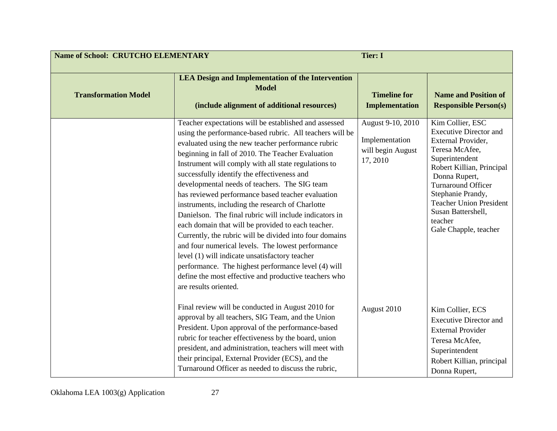| <b>Name of School: CRUTCHO ELEMENTARY</b> |                                                                                                                                                                                                                                                                                                                                                                                                                                                                                                                                                                                                                                                                                                                                                                                                                                                                                                                          | <b>Tier: I</b>                                                       |                                                                                                                                                                                                                                                                                                  |
|-------------------------------------------|--------------------------------------------------------------------------------------------------------------------------------------------------------------------------------------------------------------------------------------------------------------------------------------------------------------------------------------------------------------------------------------------------------------------------------------------------------------------------------------------------------------------------------------------------------------------------------------------------------------------------------------------------------------------------------------------------------------------------------------------------------------------------------------------------------------------------------------------------------------------------------------------------------------------------|----------------------------------------------------------------------|--------------------------------------------------------------------------------------------------------------------------------------------------------------------------------------------------------------------------------------------------------------------------------------------------|
| <b>Transformation Model</b>               | <b>LEA Design and Implementation of the Intervention</b><br><b>Model</b><br>(include alignment of additional resources)                                                                                                                                                                                                                                                                                                                                                                                                                                                                                                                                                                                                                                                                                                                                                                                                  | <b>Timeline for</b><br><b>Implementation</b>                         | <b>Name and Position of</b><br><b>Responsible Person(s)</b>                                                                                                                                                                                                                                      |
|                                           | Teacher expectations will be established and assessed<br>using the performance-based rubric. All teachers will be<br>evaluated using the new teacher performance rubric<br>beginning in fall of 2010. The Teacher Evaluation<br>Instrument will comply with all state regulations to<br>successfully identify the effectiveness and<br>developmental needs of teachers. The SIG team<br>has reviewed performance based teacher evaluation<br>instruments, including the research of Charlotte<br>Danielson. The final rubric will include indicators in<br>each domain that will be provided to each teacher.<br>Currently, the rubric will be divided into four domains<br>and four numerical levels. The lowest performance<br>level (1) will indicate unsatisfactory teacher<br>performance. The highest performance level (4) will<br>define the most effective and productive teachers who<br>are results oriented. | August 9-10, 2010<br>Implementation<br>will begin August<br>17, 2010 | Kim Collier, ESC<br><b>Executive Director and</b><br>External Provider,<br>Teresa McAfee,<br>Superintendent<br>Robert Killian, Principal<br>Donna Rupert,<br>Turnaround Officer<br>Stephanie Prandy,<br><b>Teacher Union President</b><br>Susan Battershell,<br>teacher<br>Gale Chapple, teacher |
|                                           | Final review will be conducted in August 2010 for<br>approval by all teachers, SIG Team, and the Union<br>President. Upon approval of the performance-based<br>rubric for teacher effectiveness by the board, union<br>president, and administration, teachers will meet with<br>their principal, External Provider (ECS), and the<br>Turnaround Officer as needed to discuss the rubric,                                                                                                                                                                                                                                                                                                                                                                                                                                                                                                                                | August 2010                                                          | Kim Collier, ECS<br><b>Executive Director and</b><br><b>External Provider</b><br>Teresa McAfee,<br>Superintendent<br>Robert Killian, principal<br>Donna Rupert,                                                                                                                                  |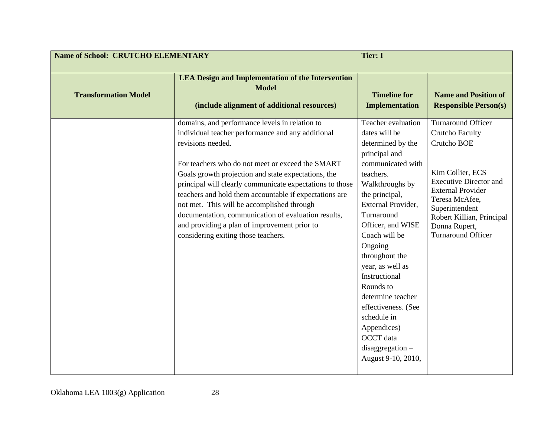| <b>Name of School: CRUTCHO ELEMENTARY</b> |                                                                                                                                                                                                                                                                                                                                                                                                                                                                                                                                                       | <b>Tier: I</b>                                                                                                                                                                                                                                                                                                                                                                                                                                      |                                                                                                                                                                                                                                                                    |
|-------------------------------------------|-------------------------------------------------------------------------------------------------------------------------------------------------------------------------------------------------------------------------------------------------------------------------------------------------------------------------------------------------------------------------------------------------------------------------------------------------------------------------------------------------------------------------------------------------------|-----------------------------------------------------------------------------------------------------------------------------------------------------------------------------------------------------------------------------------------------------------------------------------------------------------------------------------------------------------------------------------------------------------------------------------------------------|--------------------------------------------------------------------------------------------------------------------------------------------------------------------------------------------------------------------------------------------------------------------|
| <b>Transformation Model</b>               | <b>LEA Design and Implementation of the Intervention</b><br><b>Model</b><br>(include alignment of additional resources)                                                                                                                                                                                                                                                                                                                                                                                                                               | <b>Timeline for</b><br><b>Implementation</b>                                                                                                                                                                                                                                                                                                                                                                                                        | <b>Name and Position of</b><br><b>Responsible Person(s)</b>                                                                                                                                                                                                        |
|                                           | domains, and performance levels in relation to<br>individual teacher performance and any additional<br>revisions needed.<br>For teachers who do not meet or exceed the SMART<br>Goals growth projection and state expectations, the<br>principal will clearly communicate expectations to those<br>teachers and hold them accountable if expectations are<br>not met. This will be accomplished through<br>documentation, communication of evaluation results,<br>and providing a plan of improvement prior to<br>considering exiting those teachers. | Teacher evaluation<br>dates will be<br>determined by the<br>principal and<br>communicated with<br>teachers.<br>Walkthroughs by<br>the principal,<br>External Provider,<br>Turnaround<br>Officer, and WISE<br>Coach will be<br>Ongoing<br>throughout the<br>year, as well as<br>Instructional<br>Rounds to<br>determine teacher<br>effectiveness. (See<br>schedule in<br>Appendices)<br><b>OCCT</b> data<br>$disaggregation -$<br>August 9-10, 2010, | <b>Turnaround Officer</b><br><b>Crutcho Faculty</b><br>Crutcho BOE<br>Kim Collier, ECS<br><b>Executive Director and</b><br><b>External Provider</b><br>Teresa McAfee,<br>Superintendent<br>Robert Killian, Principal<br>Donna Rupert,<br><b>Turnaround Officer</b> |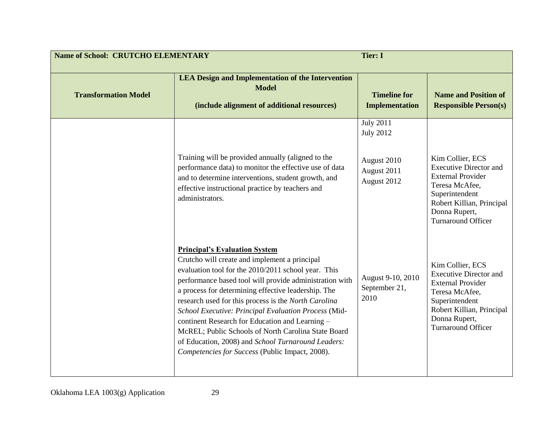| <b>Name of School: CRUTCHO ELEMENTARY</b> |                                                                                                                                                                                                                                                                                                                                                                                                                                                                                                                                                                                                   | <b>Tier: I</b>                                                                    |                                                                                                                                                                                              |
|-------------------------------------------|---------------------------------------------------------------------------------------------------------------------------------------------------------------------------------------------------------------------------------------------------------------------------------------------------------------------------------------------------------------------------------------------------------------------------------------------------------------------------------------------------------------------------------------------------------------------------------------------------|-----------------------------------------------------------------------------------|----------------------------------------------------------------------------------------------------------------------------------------------------------------------------------------------|
| <b>Transformation Model</b>               | <b>LEA Design and Implementation of the Intervention</b><br><b>Model</b><br>(include alignment of additional resources)                                                                                                                                                                                                                                                                                                                                                                                                                                                                           | <b>Timeline for</b><br><b>Implementation</b>                                      | <b>Name and Position of</b><br><b>Responsible Person(s)</b>                                                                                                                                  |
|                                           | Training will be provided annually (aligned to the<br>performance data) to monitor the effective use of data<br>and to determine interventions, student growth, and<br>effective instructional practice by teachers and<br>administrators.                                                                                                                                                                                                                                                                                                                                                        | <b>July 2011</b><br><b>July 2012</b><br>August 2010<br>August 2011<br>August 2012 | Kim Collier, ECS<br><b>Executive Director and</b><br><b>External Provider</b><br>Teresa McAfee,<br>Superintendent<br>Robert Killian, Principal<br>Donna Rupert,<br><b>Turnaround Officer</b> |
|                                           | <b>Principal's Evaluation System</b><br>Crutcho will create and implement a principal<br>evaluation tool for the 2010/2011 school year. This<br>performance based tool will provide administration with<br>a process for determining effective leadership. The<br>research used for this process is the North Carolina<br>School Executive: Principal Evaluation Process (Mid-<br>continent Research for Education and Learning -<br>McREL; Public Schools of North Carolina State Board<br>of Education, 2008) and School Turnaround Leaders:<br>Competencies for Success (Public Impact, 2008). | August 9-10, 2010<br>September 21,<br>2010                                        | Kim Collier, ECS<br><b>Executive Director and</b><br><b>External Provider</b><br>Teresa McAfee,<br>Superintendent<br>Robert Killian, Principal<br>Donna Rupert,<br><b>Turnaround Officer</b> |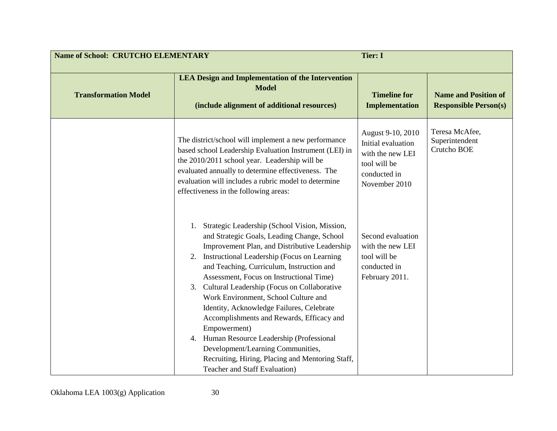| <b>Name of School: CRUTCHO ELEMENTARY</b> |                                                                                                                                                                                                                                                                                                                                                                                                                                                                                                                                                                                                                                                                                             | <b>Tier: I</b>                                                                                               |                                                             |
|-------------------------------------------|---------------------------------------------------------------------------------------------------------------------------------------------------------------------------------------------------------------------------------------------------------------------------------------------------------------------------------------------------------------------------------------------------------------------------------------------------------------------------------------------------------------------------------------------------------------------------------------------------------------------------------------------------------------------------------------------|--------------------------------------------------------------------------------------------------------------|-------------------------------------------------------------|
| <b>Transformation Model</b>               | <b>LEA Design and Implementation of the Intervention</b><br><b>Model</b><br>(include alignment of additional resources)                                                                                                                                                                                                                                                                                                                                                                                                                                                                                                                                                                     | <b>Timeline for</b><br><b>Implementation</b>                                                                 | <b>Name and Position of</b><br><b>Responsible Person(s)</b> |
|                                           | The district/school will implement a new performance<br>based school Leadership Evaluation Instrument (LEI) in<br>the 2010/2011 school year. Leadership will be<br>evaluated annually to determine effectiveness. The<br>evaluation will includes a rubric model to determine<br>effectiveness in the following areas:                                                                                                                                                                                                                                                                                                                                                                      | August 9-10, 2010<br>Initial evaluation<br>with the new LEI<br>tool will be<br>conducted in<br>November 2010 | Teresa McAfee,<br>Superintendent<br>Crutcho BOE             |
|                                           | Strategic Leadership (School Vision, Mission,<br>1.<br>and Strategic Goals, Leading Change, School<br>Improvement Plan, and Distributive Leadership<br>Instructional Leadership (Focus on Learning<br>2.<br>and Teaching, Curriculum, Instruction and<br>Assessment, Focus on Instructional Time)<br>Cultural Leadership (Focus on Collaborative<br>3.<br>Work Environment, School Culture and<br>Identity, Acknowledge Failures, Celebrate<br>Accomplishments and Rewards, Efficacy and<br>Empowerment)<br>Human Resource Leadership (Professional<br>4.<br>Development/Learning Communities,<br>Recruiting, Hiring, Placing and Mentoring Staff,<br><b>Teacher and Staff Evaluation</b> ) | Second evaluation<br>with the new LEI<br>tool will be<br>conducted in<br>February 2011.                      |                                                             |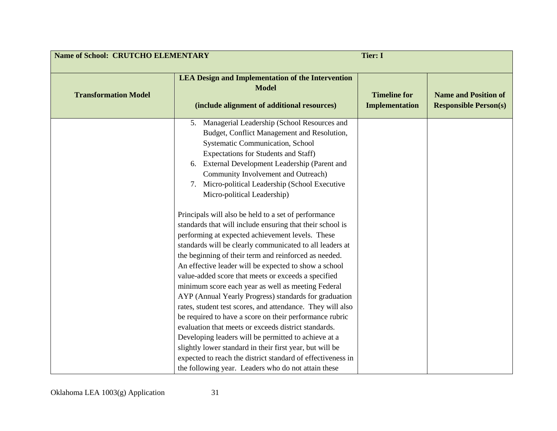| <b>Name of School: CRUTCHO ELEMENTARY</b> |                                                                                                                                                                                                                                                                                                                                                                                                                                                                                                                                                                                                                                                    | <b>Tier: I</b>                               |                                                             |
|-------------------------------------------|----------------------------------------------------------------------------------------------------------------------------------------------------------------------------------------------------------------------------------------------------------------------------------------------------------------------------------------------------------------------------------------------------------------------------------------------------------------------------------------------------------------------------------------------------------------------------------------------------------------------------------------------------|----------------------------------------------|-------------------------------------------------------------|
| <b>Transformation Model</b>               | <b>LEA Design and Implementation of the Intervention</b><br><b>Model</b><br>(include alignment of additional resources)                                                                                                                                                                                                                                                                                                                                                                                                                                                                                                                            | <b>Timeline for</b><br><b>Implementation</b> | <b>Name and Position of</b><br><b>Responsible Person(s)</b> |
|                                           | 5. Managerial Leadership (School Resources and<br>Budget, Conflict Management and Resolution,<br><b>Systematic Communication, School</b><br>Expectations for Students and Staff)<br>6. External Development Leadership (Parent and<br>Community Involvement and Outreach)<br>Micro-political Leadership (School Executive<br>7.<br>Micro-political Leadership)                                                                                                                                                                                                                                                                                     |                                              |                                                             |
|                                           | Principals will also be held to a set of performance<br>standards that will include ensuring that their school is<br>performing at expected achievement levels. These<br>standards will be clearly communicated to all leaders at<br>the beginning of their term and reinforced as needed.<br>An effective leader will be expected to show a school<br>value-added score that meets or exceeds a specified<br>minimum score each year as well as meeting Federal<br>AYP (Annual Yearly Progress) standards for graduation<br>rates, student test scores, and attendance. They will also<br>be required to have a score on their performance rubric |                                              |                                                             |
|                                           | evaluation that meets or exceeds district standards.<br>Developing leaders will be permitted to achieve at a<br>slightly lower standard in their first year, but will be<br>expected to reach the district standard of effectiveness in<br>the following year. Leaders who do not attain these                                                                                                                                                                                                                                                                                                                                                     |                                              |                                                             |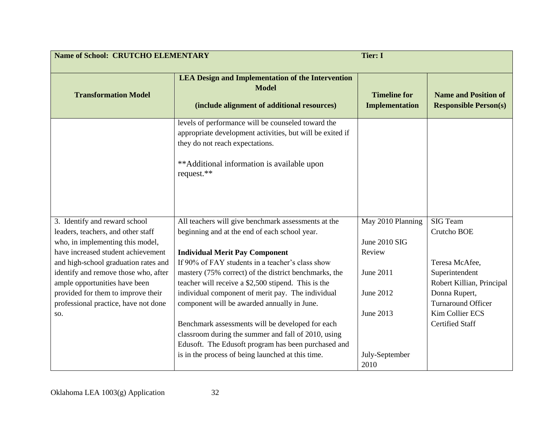| <b>Name of School: CRUTCHO ELEMENTARY</b>                              |                                                                                                                                                                                                                | <b>Tier: I</b>                               |                                                             |
|------------------------------------------------------------------------|----------------------------------------------------------------------------------------------------------------------------------------------------------------------------------------------------------------|----------------------------------------------|-------------------------------------------------------------|
| <b>Transformation Model</b>                                            | <b>LEA Design and Implementation of the Intervention</b><br><b>Model</b><br>(include alignment of additional resources)                                                                                        | <b>Timeline for</b><br><b>Implementation</b> | <b>Name and Position of</b><br><b>Responsible Person(s)</b> |
|                                                                        | levels of performance will be counseled toward the<br>appropriate development activities, but will be exited if<br>they do not reach expectations.<br>**Additional information is available upon<br>request.** |                                              |                                                             |
| 3. Identify and reward school                                          | All teachers will give benchmark assessments at the                                                                                                                                                            | May 2010 Planning                            | <b>SIG Team</b>                                             |
| leaders, teachers, and other staff                                     | beginning and at the end of each school year.                                                                                                                                                                  |                                              | Crutcho BOE                                                 |
| who, in implementing this model,<br>have increased student achievement |                                                                                                                                                                                                                | June 2010 SIG                                |                                                             |
| and high-school graduation rates and                                   | <b>Individual Merit Pay Component</b><br>If 90% of FAY students in a teacher's class show                                                                                                                      | Review                                       | Teresa McAfee,                                              |
| identify and remove those who, after                                   | mastery (75% correct) of the district benchmarks, the                                                                                                                                                          | June 2011                                    | Superintendent                                              |
| ample opportunities have been                                          | teacher will receive a \$2,500 stipend. This is the                                                                                                                                                            |                                              | Robert Killian, Principal                                   |
| provided for them to improve their                                     | individual component of merit pay. The individual                                                                                                                                                              | June 2012                                    | Donna Rupert,                                               |
| professional practice, have not done                                   | component will be awarded annually in June.                                                                                                                                                                    |                                              | <b>Turnaround Officer</b>                                   |
| SO.                                                                    |                                                                                                                                                                                                                | June 2013                                    | Kim Collier ECS                                             |
|                                                                        | Benchmark assessments will be developed for each                                                                                                                                                               |                                              | <b>Certified Staff</b>                                      |
|                                                                        | classroom during the summer and fall of 2010, using                                                                                                                                                            |                                              |                                                             |
|                                                                        | Edusoft. The Edusoft program has been purchased and                                                                                                                                                            |                                              |                                                             |
|                                                                        | is in the process of being launched at this time.                                                                                                                                                              | July-September                               |                                                             |
|                                                                        |                                                                                                                                                                                                                | 2010                                         |                                                             |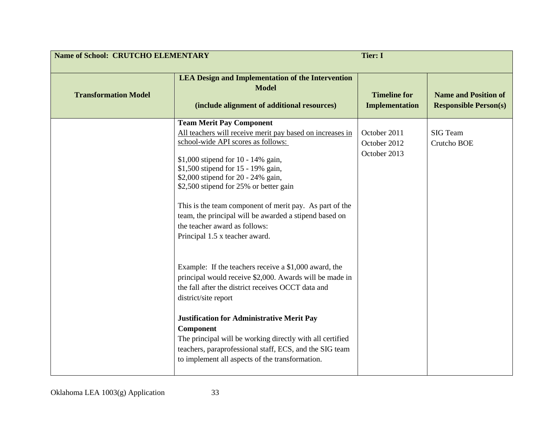| <b>Name of School: CRUTCHO ELEMENTARY</b><br><b>Tier: I</b> |                                                                                                                                                                                                                                                                                                                                                                                                                                                                                                                                                                                                                                                                                                                                                                                                                                                                                                                                       |                                              |                                                             |
|-------------------------------------------------------------|---------------------------------------------------------------------------------------------------------------------------------------------------------------------------------------------------------------------------------------------------------------------------------------------------------------------------------------------------------------------------------------------------------------------------------------------------------------------------------------------------------------------------------------------------------------------------------------------------------------------------------------------------------------------------------------------------------------------------------------------------------------------------------------------------------------------------------------------------------------------------------------------------------------------------------------|----------------------------------------------|-------------------------------------------------------------|
| <b>Transformation Model</b>                                 | <b>LEA Design and Implementation of the Intervention</b><br><b>Model</b><br>(include alignment of additional resources)                                                                                                                                                                                                                                                                                                                                                                                                                                                                                                                                                                                                                                                                                                                                                                                                               | <b>Timeline for</b><br><b>Implementation</b> | <b>Name and Position of</b><br><b>Responsible Person(s)</b> |
|                                                             | <b>Team Merit Pay Component</b><br>All teachers will receive merit pay based on increases in<br>school-wide API scores as follows:<br>\$1,000 stipend for 10 - 14% gain,<br>\$1,500 stipend for 15 - 19% gain,<br>\$2,000 stipend for 20 - 24% gain,<br>\$2,500 stipend for 25% or better gain<br>This is the team component of merit pay. As part of the<br>team, the principal will be awarded a stipend based on<br>the teacher award as follows:<br>Principal 1.5 x teacher award.<br>Example: If the teachers receive a \$1,000 award, the<br>principal would receive \$2,000. Awards will be made in<br>the fall after the district receives OCCT data and<br>district/site report<br><b>Justification for Administrative Merit Pay</b><br>Component<br>The principal will be working directly with all certified<br>teachers, paraprofessional staff, ECS, and the SIG team<br>to implement all aspects of the transformation. | October 2011<br>October 2012<br>October 2013 | <b>SIG</b> Team<br>Crutcho BOE                              |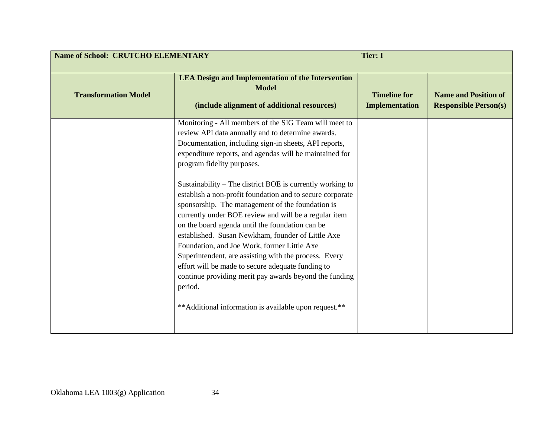| <b>Name of School: CRUTCHO ELEMENTARY</b> |                                                                                                                                                                                                                                                                                                                                                                                                                                                                                                                                                                                                                                         | <b>Tier: I</b>                               |                                                             |
|-------------------------------------------|-----------------------------------------------------------------------------------------------------------------------------------------------------------------------------------------------------------------------------------------------------------------------------------------------------------------------------------------------------------------------------------------------------------------------------------------------------------------------------------------------------------------------------------------------------------------------------------------------------------------------------------------|----------------------------------------------|-------------------------------------------------------------|
| <b>Transformation Model</b>               | <b>LEA Design and Implementation of the Intervention</b><br><b>Model</b><br>(include alignment of additional resources)                                                                                                                                                                                                                                                                                                                                                                                                                                                                                                                 | <b>Timeline for</b><br><b>Implementation</b> | <b>Name and Position of</b><br><b>Responsible Person(s)</b> |
|                                           | Monitoring - All members of the SIG Team will meet to<br>review API data annually and to determine awards.<br>Documentation, including sign-in sheets, API reports,<br>expenditure reports, and agendas will be maintained for<br>program fidelity purposes.                                                                                                                                                                                                                                                                                                                                                                            |                                              |                                                             |
|                                           | Sustainability – The district BOE is currently working to<br>establish a non-profit foundation and to secure corporate<br>sponsorship. The management of the foundation is<br>currently under BOE review and will be a regular item<br>on the board agenda until the foundation can be<br>established. Susan Newkham, founder of Little Axe<br>Foundation, and Joe Work, former Little Axe<br>Superintendent, are assisting with the process. Every<br>effort will be made to secure adequate funding to<br>continue providing merit pay awards beyond the funding<br>period.<br>** Additional information is available upon request.** |                                              |                                                             |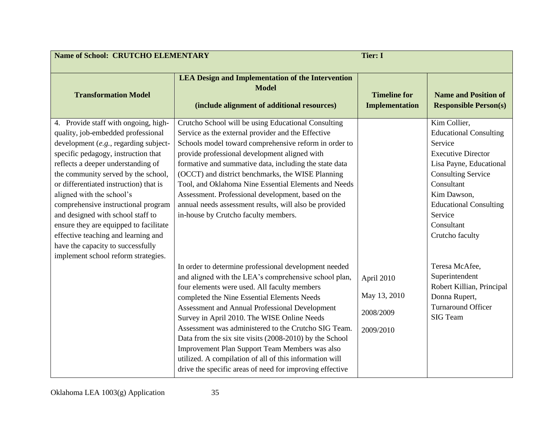| <b>Name of School: CRUTCHO ELEMENTARY</b><br><b>Tier: I</b>                                                                                                                                                                                                                                                                                                                                                                                                                                                                                             |                                                                                                                                                                                                                                                                                                                                                                                                                                                                                                                                                                                                            |                                                      |                                                                                                                                                                                                                                                         |
|---------------------------------------------------------------------------------------------------------------------------------------------------------------------------------------------------------------------------------------------------------------------------------------------------------------------------------------------------------------------------------------------------------------------------------------------------------------------------------------------------------------------------------------------------------|------------------------------------------------------------------------------------------------------------------------------------------------------------------------------------------------------------------------------------------------------------------------------------------------------------------------------------------------------------------------------------------------------------------------------------------------------------------------------------------------------------------------------------------------------------------------------------------------------------|------------------------------------------------------|---------------------------------------------------------------------------------------------------------------------------------------------------------------------------------------------------------------------------------------------------------|
| <b>Transformation Model</b>                                                                                                                                                                                                                                                                                                                                                                                                                                                                                                                             | <b>LEA Design and Implementation of the Intervention</b><br><b>Model</b><br>(include alignment of additional resources)                                                                                                                                                                                                                                                                                                                                                                                                                                                                                    | <b>Timeline for</b><br><b>Implementation</b>         | <b>Name and Position of</b><br><b>Responsible Person(s)</b>                                                                                                                                                                                             |
| 4. Provide staff with ongoing, high-<br>quality, job-embedded professional<br>development (e.g., regarding subject-<br>specific pedagogy, instruction that<br>reflects a deeper understanding of<br>the community served by the school,<br>or differentiated instruction) that is<br>aligned with the school's<br>comprehensive instructional program<br>and designed with school staff to<br>ensure they are equipped to facilitate<br>effective teaching and learning and<br>have the capacity to successfully<br>implement school reform strategies. | Crutcho School will be using Educational Consulting<br>Service as the external provider and the Effective<br>Schools model toward comprehensive reform in order to<br>provide professional development aligned with<br>formative and summative data, including the state data<br>(OCCT) and district benchmarks, the WISE Planning<br>Tool, and Oklahoma Nine Essential Elements and Needs<br>Assessment. Professional development, based on the<br>annual needs assessment results, will also be provided<br>in-house by Crutcho faculty members.                                                         |                                                      | Kim Collier,<br><b>Educational Consulting</b><br>Service<br><b>Executive Director</b><br>Lisa Payne, Educational<br><b>Consulting Service</b><br>Consultant<br>Kim Dawson,<br><b>Educational Consulting</b><br>Service<br>Consultant<br>Crutcho faculty |
|                                                                                                                                                                                                                                                                                                                                                                                                                                                                                                                                                         | In order to determine professional development needed<br>and aligned with the LEA's comprehensive school plan,<br>four elements were used. All faculty members<br>completed the Nine Essential Elements Needs<br>Assessment and Annual Professional Development<br>Survey in April 2010. The WISE Online Needs<br>Assessment was administered to the Crutcho SIG Team.<br>Data from the six site visits (2008-2010) by the School<br>Improvement Plan Support Team Members was also<br>utilized. A compilation of all of this information will<br>drive the specific areas of need for improving effective | April 2010<br>May 13, 2010<br>2008/2009<br>2009/2010 | Teresa McAfee,<br>Superintendent<br>Robert Killian, Principal<br>Donna Rupert,<br><b>Turnaround Officer</b><br><b>SIG Team</b>                                                                                                                          |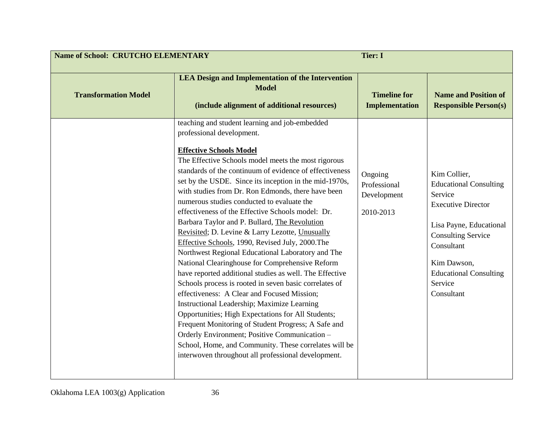| <b>Name of School: CRUTCHO ELEMENTARY</b><br><b>Tier: I</b> |                                                                                                                                                                                                                                                                                                                                                                                                                                                                                                                                                                                                                                                                                                                                                                                                                                                                                                                                                                                                                                                                                                                                                                                                                     |                                                     |                                                                                                                                                                                                                                      |
|-------------------------------------------------------------|---------------------------------------------------------------------------------------------------------------------------------------------------------------------------------------------------------------------------------------------------------------------------------------------------------------------------------------------------------------------------------------------------------------------------------------------------------------------------------------------------------------------------------------------------------------------------------------------------------------------------------------------------------------------------------------------------------------------------------------------------------------------------------------------------------------------------------------------------------------------------------------------------------------------------------------------------------------------------------------------------------------------------------------------------------------------------------------------------------------------------------------------------------------------------------------------------------------------|-----------------------------------------------------|--------------------------------------------------------------------------------------------------------------------------------------------------------------------------------------------------------------------------------------|
| <b>Transformation Model</b>                                 | <b>LEA Design and Implementation of the Intervention</b><br><b>Model</b><br>(include alignment of additional resources)                                                                                                                                                                                                                                                                                                                                                                                                                                                                                                                                                                                                                                                                                                                                                                                                                                                                                                                                                                                                                                                                                             | <b>Timeline for</b><br><b>Implementation</b>        | <b>Name and Position of</b><br><b>Responsible Person(s)</b>                                                                                                                                                                          |
|                                                             | teaching and student learning and job-embedded<br>professional development.<br><b>Effective Schools Model</b><br>The Effective Schools model meets the most rigorous<br>standards of the continuum of evidence of effectiveness<br>set by the USDE. Since its inception in the mid-1970s,<br>with studies from Dr. Ron Edmonds, there have been<br>numerous studies conducted to evaluate the<br>effectiveness of the Effective Schools model: Dr.<br>Barbara Taylor and P. Bullard, The Revolution<br>Revisited; D. Levine & Larry Lezotte, Unusually<br>Effective Schools, 1990, Revised July, 2000. The<br>Northwest Regional Educational Laboratory and The<br>National Clearinghouse for Comprehensive Reform<br>have reported additional studies as well. The Effective<br>Schools process is rooted in seven basic correlates of<br>effectiveness: A Clear and Focused Mission;<br>Instructional Leadership; Maximize Learning<br>Opportunities; High Expectations for All Students;<br>Frequent Monitoring of Student Progress; A Safe and<br>Orderly Environment; Positive Communication -<br>School, Home, and Community. These correlates will be<br>interwoven throughout all professional development. | Ongoing<br>Professional<br>Development<br>2010-2013 | Kim Collier,<br><b>Educational Consulting</b><br>Service<br><b>Executive Director</b><br>Lisa Payne, Educational<br><b>Consulting Service</b><br>Consultant<br>Kim Dawson,<br><b>Educational Consulting</b><br>Service<br>Consultant |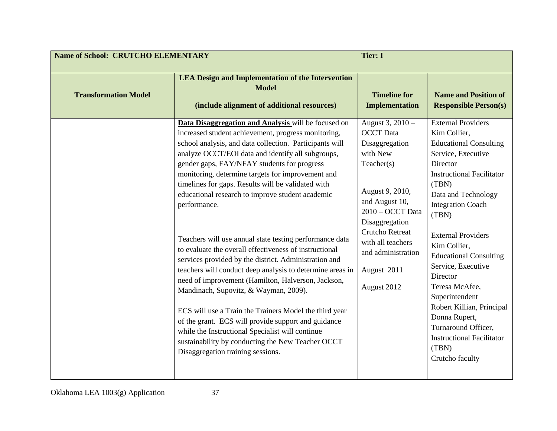| <b>Name of School: CRUTCHO ELEMENTARY</b> |                                                                                                                                                                                                                                                                                                                                                                                                                                                                                                                                                                                                                                                                                                                                                                                                                                                                                                                                                                                                                                                                   | <b>Tier: I</b>                                                                                                                                                                                                                                                 |                                                                                                                                                                                                                                                                                                                                                                                                                                                                                                                |
|-------------------------------------------|-------------------------------------------------------------------------------------------------------------------------------------------------------------------------------------------------------------------------------------------------------------------------------------------------------------------------------------------------------------------------------------------------------------------------------------------------------------------------------------------------------------------------------------------------------------------------------------------------------------------------------------------------------------------------------------------------------------------------------------------------------------------------------------------------------------------------------------------------------------------------------------------------------------------------------------------------------------------------------------------------------------------------------------------------------------------|----------------------------------------------------------------------------------------------------------------------------------------------------------------------------------------------------------------------------------------------------------------|----------------------------------------------------------------------------------------------------------------------------------------------------------------------------------------------------------------------------------------------------------------------------------------------------------------------------------------------------------------------------------------------------------------------------------------------------------------------------------------------------------------|
| <b>Transformation Model</b>               | <b>LEA Design and Implementation of the Intervention</b><br><b>Model</b><br>(include alignment of additional resources)                                                                                                                                                                                                                                                                                                                                                                                                                                                                                                                                                                                                                                                                                                                                                                                                                                                                                                                                           | <b>Timeline for</b><br><b>Implementation</b>                                                                                                                                                                                                                   | <b>Name and Position of</b><br><b>Responsible Person(s)</b>                                                                                                                                                                                                                                                                                                                                                                                                                                                    |
|                                           | Data Disaggregation and Analysis will be focused on<br>increased student achievement, progress monitoring,<br>school analysis, and data collection. Participants will<br>analyze OCCT/EOI data and identify all subgroups,<br>gender gaps, FAY/NFAY students for progress<br>monitoring, determine targets for improvement and<br>timelines for gaps. Results will be validated with<br>educational research to improve student academic<br>performance.<br>Teachers will use annual state testing performance data<br>to evaluate the overall effectiveness of instructional<br>services provided by the district. Administration and<br>teachers will conduct deep analysis to determine areas in<br>need of improvement (Hamilton, Halverson, Jackson,<br>Mandinach, Supovitz, & Wayman, 2009).<br>ECS will use a Train the Trainers Model the third year<br>of the grant. ECS will provide support and guidance<br>while the Instructional Specialist will continue<br>sustainability by conducting the New Teacher OCCT<br>Disaggregation training sessions. | August 3, 2010 -<br><b>OCCT</b> Data<br>Disaggregation<br>with New<br>Teacher(s)<br>August 9, 2010,<br>and August 10,<br>2010 - OCCT Data<br>Disaggregation<br><b>Crutcho Retreat</b><br>with all teachers<br>and administration<br>August 2011<br>August 2012 | <b>External Providers</b><br>Kim Collier,<br><b>Educational Consulting</b><br>Service, Executive<br>Director<br><b>Instructional Facilitator</b><br>(TBN)<br>Data and Technology<br><b>Integration Coach</b><br>(TBN)<br><b>External Providers</b><br>Kim Collier,<br><b>Educational Consulting</b><br>Service, Executive<br>Director<br>Teresa McAfee,<br>Superintendent<br>Robert Killian, Principal<br>Donna Rupert,<br>Turnaround Officer,<br><b>Instructional Facilitator</b><br>(TBN)<br>Crutcho faculty |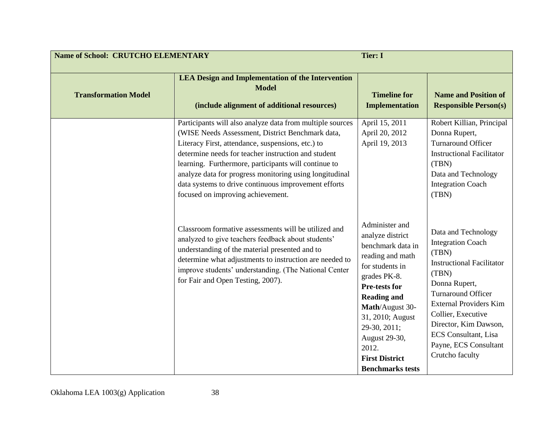| <b>Name of School: CRUTCHO ELEMENTARY</b> |                                                                                                                                                                                                                                                                                                                                                                                                                                           | <b>Tier: I</b>                                                                                                                                                                                                                                                                             |                                                                                                                                                                                                                                                                                                                |
|-------------------------------------------|-------------------------------------------------------------------------------------------------------------------------------------------------------------------------------------------------------------------------------------------------------------------------------------------------------------------------------------------------------------------------------------------------------------------------------------------|--------------------------------------------------------------------------------------------------------------------------------------------------------------------------------------------------------------------------------------------------------------------------------------------|----------------------------------------------------------------------------------------------------------------------------------------------------------------------------------------------------------------------------------------------------------------------------------------------------------------|
| <b>Transformation Model</b>               | <b>LEA Design and Implementation of the Intervention</b><br><b>Model</b><br>(include alignment of additional resources)                                                                                                                                                                                                                                                                                                                   | <b>Timeline for</b><br><b>Implementation</b>                                                                                                                                                                                                                                               | <b>Name and Position of</b><br><b>Responsible Person(s)</b>                                                                                                                                                                                                                                                    |
|                                           | Participants will also analyze data from multiple sources<br>(WISE Needs Assessment, District Benchmark data,<br>Literacy First, attendance, suspensions, etc.) to<br>determine needs for teacher instruction and student<br>learning. Furthermore, participants will continue to<br>analyze data for progress monitoring using longitudinal<br>data systems to drive continuous improvement efforts<br>focused on improving achievement. | April 15, 2011<br>April 20, 2012<br>April 19, 2013                                                                                                                                                                                                                                         | Robert Killian, Principal<br>Donna Rupert,<br><b>Turnaround Officer</b><br><b>Instructional Facilitator</b><br>(TBN)<br>Data and Technology<br><b>Integration Coach</b><br>(TBN)                                                                                                                               |
|                                           | Classroom formative assessments will be utilized and<br>analyzed to give teachers feedback about students'<br>understanding of the material presented and to<br>determine what adjustments to instruction are needed to<br>improve students' understanding. (The National Center<br>for Fair and Open Testing, 2007).                                                                                                                     | Administer and<br>analyze district<br>benchmark data in<br>reading and math<br>for students in<br>grades PK-8.<br>Pre-tests for<br><b>Reading and</b><br>Math/August 30-<br>31, 2010; August<br>29-30, 2011;<br>August 29-30,<br>2012.<br><b>First District</b><br><b>Benchmarks tests</b> | Data and Technology<br><b>Integration Coach</b><br>(TBN)<br><b>Instructional Facilitator</b><br>(TBN)<br>Donna Rupert,<br><b>Turnaround Officer</b><br><b>External Providers Kim</b><br>Collier, Executive<br>Director, Kim Dawson,<br><b>ECS</b> Consultant, Lisa<br>Payne, ECS Consultant<br>Crutcho faculty |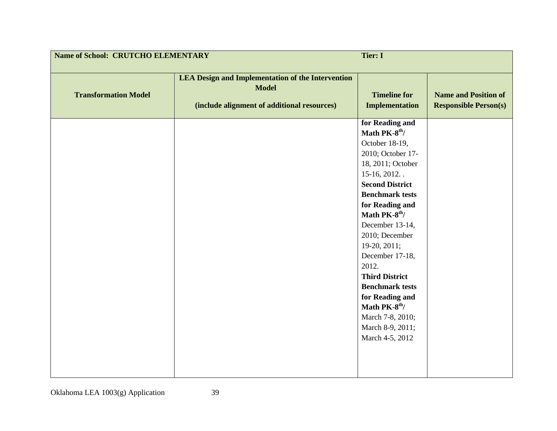| <b>Name of School: CRUTCHO ELEMENTARY</b><br><b>Tier: I</b> |                                                                                                                         |                                                                                                                                                                                                                                                                                                                                                                                                                                                                                 |                                                             |
|-------------------------------------------------------------|-------------------------------------------------------------------------------------------------------------------------|---------------------------------------------------------------------------------------------------------------------------------------------------------------------------------------------------------------------------------------------------------------------------------------------------------------------------------------------------------------------------------------------------------------------------------------------------------------------------------|-------------------------------------------------------------|
| <b>Transformation Model</b>                                 | <b>LEA Design and Implementation of the Intervention</b><br><b>Model</b><br>(include alignment of additional resources) | <b>Timeline for</b><br><b>Implementation</b>                                                                                                                                                                                                                                                                                                                                                                                                                                    | <b>Name and Position of</b><br><b>Responsible Person(s)</b> |
|                                                             |                                                                                                                         | for Reading and<br>Math PK-8 <sup>th</sup> /<br>October 18-19,<br>2010; October 17-<br>18, 2011; October<br>$15-16, 2012.$ .<br><b>Second District</b><br><b>Benchmark tests</b><br>for Reading and<br>Math PK-8 <sup>th</sup> /<br>December 13-14,<br>2010; December<br>19-20, 2011;<br>December 17-18,<br>2012.<br><b>Third District</b><br><b>Benchmark tests</b><br>for Reading and<br>Math PK-8 <sup>th</sup> /<br>March 7-8, 2010;<br>March 8-9, 2011;<br>March 4-5, 2012 |                                                             |
|                                                             |                                                                                                                         |                                                                                                                                                                                                                                                                                                                                                                                                                                                                                 |                                                             |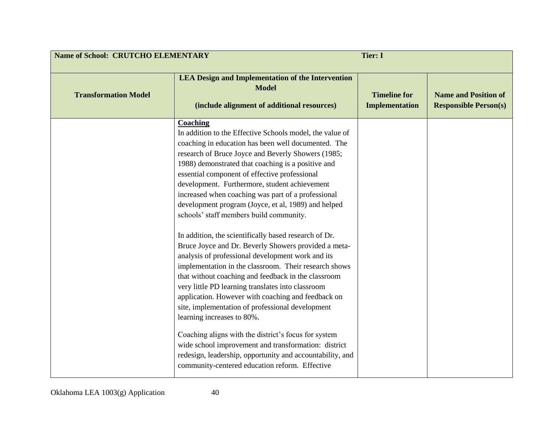| <b>Name of School: CRUTCHO ELEMENTARY</b><br><b>Tier: I</b> |                                                                                                                                                                                                                                                                                                                                                                                                                                                                                                                                                                                                                                                                                                                                                                                                                                                                                                                                                                                                                                                                                                                                                                                                                     |                                              |                                                             |
|-------------------------------------------------------------|---------------------------------------------------------------------------------------------------------------------------------------------------------------------------------------------------------------------------------------------------------------------------------------------------------------------------------------------------------------------------------------------------------------------------------------------------------------------------------------------------------------------------------------------------------------------------------------------------------------------------------------------------------------------------------------------------------------------------------------------------------------------------------------------------------------------------------------------------------------------------------------------------------------------------------------------------------------------------------------------------------------------------------------------------------------------------------------------------------------------------------------------------------------------------------------------------------------------|----------------------------------------------|-------------------------------------------------------------|
| <b>Transformation Model</b>                                 | <b>LEA Design and Implementation of the Intervention</b><br><b>Model</b><br>(include alignment of additional resources)                                                                                                                                                                                                                                                                                                                                                                                                                                                                                                                                                                                                                                                                                                                                                                                                                                                                                                                                                                                                                                                                                             | <b>Timeline for</b><br><b>Implementation</b> | <b>Name and Position of</b><br><b>Responsible Person(s)</b> |
|                                                             | Coaching<br>In addition to the Effective Schools model, the value of<br>coaching in education has been well documented. The<br>research of Bruce Joyce and Beverly Showers (1985;<br>1988) demonstrated that coaching is a positive and<br>essential component of effective professional<br>development. Furthermore, student achievement<br>increased when coaching was part of a professional<br>development program (Joyce, et al, 1989) and helped<br>schools' staff members build community.<br>In addition, the scientifically based research of Dr.<br>Bruce Joyce and Dr. Beverly Showers provided a meta-<br>analysis of professional development work and its<br>implementation in the classroom. Their research shows<br>that without coaching and feedback in the classroom<br>very little PD learning translates into classroom<br>application. However with coaching and feedback on<br>site, implementation of professional development<br>learning increases to 80%.<br>Coaching aligns with the district's focus for system<br>wide school improvement and transformation: district<br>redesign, leadership, opportunity and accountability, and<br>community-centered education reform. Effective |                                              |                                                             |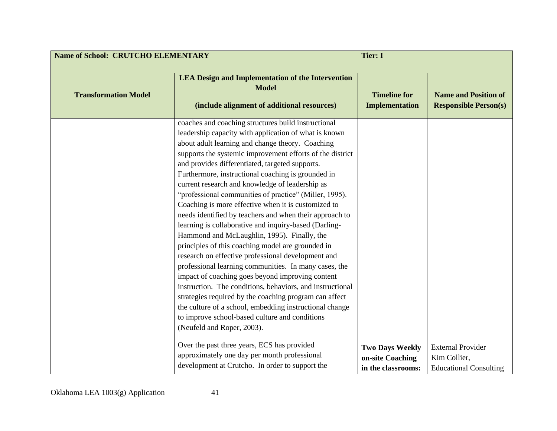| <b>Name of School: CRUTCHO ELEMENTARY</b><br><b>Tier: I</b> |                                                                                                                                                                                                                                                                                                                                                                                                                                                                                                                                                                                                                                                                                                                                                                                                                                                                                                                                                                                                                                                                                                                                                                                                                                                                                                                           |                                                                  |                                                                           |
|-------------------------------------------------------------|---------------------------------------------------------------------------------------------------------------------------------------------------------------------------------------------------------------------------------------------------------------------------------------------------------------------------------------------------------------------------------------------------------------------------------------------------------------------------------------------------------------------------------------------------------------------------------------------------------------------------------------------------------------------------------------------------------------------------------------------------------------------------------------------------------------------------------------------------------------------------------------------------------------------------------------------------------------------------------------------------------------------------------------------------------------------------------------------------------------------------------------------------------------------------------------------------------------------------------------------------------------------------------------------------------------------------|------------------------------------------------------------------|---------------------------------------------------------------------------|
| <b>Transformation Model</b>                                 | <b>LEA Design and Implementation of the Intervention</b><br><b>Model</b><br>(include alignment of additional resources)                                                                                                                                                                                                                                                                                                                                                                                                                                                                                                                                                                                                                                                                                                                                                                                                                                                                                                                                                                                                                                                                                                                                                                                                   | <b>Timeline for</b><br><b>Implementation</b>                     | <b>Name and Position of</b><br><b>Responsible Person(s)</b>               |
|                                                             | coaches and coaching structures build instructional<br>leadership capacity with application of what is known<br>about adult learning and change theory. Coaching<br>supports the systemic improvement efforts of the district<br>and provides differentiated, targeted supports.<br>Furthermore, instructional coaching is grounded in<br>current research and knowledge of leadership as<br>"professional communities of practice" (Miller, 1995).<br>Coaching is more effective when it is customized to<br>needs identified by teachers and when their approach to<br>learning is collaborative and inquiry-based (Darling-<br>Hammond and McLaughlin, 1995). Finally, the<br>principles of this coaching model are grounded in<br>research on effective professional development and<br>professional learning communities. In many cases, the<br>impact of coaching goes beyond improving content<br>instruction. The conditions, behaviors, and instructional<br>strategies required by the coaching program can affect<br>the culture of a school, embedding instructional change<br>to improve school-based culture and conditions<br>(Neufeld and Roper, 2003).<br>Over the past three years, ECS has provided<br>approximately one day per month professional<br>development at Crutcho. In order to support the | <b>Two Days Weekly</b><br>on-site Coaching<br>in the classrooms: | <b>External Provider</b><br>Kim Collier,<br><b>Educational Consulting</b> |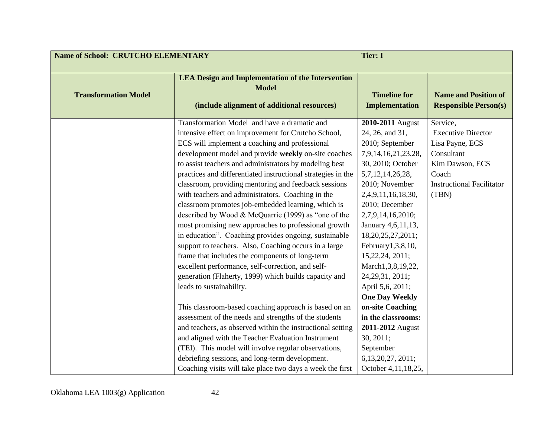| <b>Name of School: CRUTCHO ELEMENTARY</b> |                                                                                                                         | <b>Tier: I</b>                               |                                                             |
|-------------------------------------------|-------------------------------------------------------------------------------------------------------------------------|----------------------------------------------|-------------------------------------------------------------|
| <b>Transformation Model</b>               | <b>LEA Design and Implementation of the Intervention</b><br><b>Model</b><br>(include alignment of additional resources) | <b>Timeline for</b><br><b>Implementation</b> | <b>Name and Position of</b><br><b>Responsible Person(s)</b> |
|                                           | Transformation Model and have a dramatic and                                                                            | 2010-2011 August                             | Service,                                                    |
|                                           | intensive effect on improvement for Crutcho School,                                                                     | 24, 26, and 31,                              | <b>Executive Director</b>                                   |
|                                           | ECS will implement a coaching and professional                                                                          | 2010; September                              | Lisa Payne, ECS                                             |
|                                           | development model and provide weekly on-site coaches                                                                    | 7,9,14,16,21,23,28,                          | Consultant                                                  |
|                                           | to assist teachers and administrators by modeling best                                                                  | 30, 2010; October                            | Kim Dawson, ECS                                             |
|                                           | practices and differentiated instructional strategies in the                                                            | 5,7,12,14,26,28,                             | Coach                                                       |
|                                           | classroom, providing mentoring and feedback sessions                                                                    | 2010; November                               | <b>Instructional Facilitator</b>                            |
|                                           | with teachers and administrators. Coaching in the                                                                       | 2,4,9,11,16,18,30,                           | (TBN)                                                       |
|                                           | classroom promotes job-embedded learning, which is                                                                      | 2010; December                               |                                                             |
|                                           | described by Wood & McQuarrie (1999) as "one of the                                                                     | 2,7,9,14,16,2010;                            |                                                             |
|                                           | most promising new approaches to professional growth                                                                    | January 4,6,11,13,                           |                                                             |
|                                           | in education". Coaching provides ongoing, sustainable                                                                   | 18,20,25,27,2011;                            |                                                             |
|                                           | support to teachers. Also, Coaching occurs in a large                                                                   | February1,3,8,10,                            |                                                             |
|                                           | frame that includes the components of long-term                                                                         | 15,22,24, 2011;                              |                                                             |
|                                           | excellent performance, self-correction, and self-                                                                       | March1,3,8,19,22,                            |                                                             |
|                                           | generation (Flaherty, 1999) which builds capacity and                                                                   | 24, 29, 31, 2011;                            |                                                             |
|                                           | leads to sustainability.                                                                                                | April 5,6, 2011;                             |                                                             |
|                                           |                                                                                                                         | <b>One Day Weekly</b>                        |                                                             |
|                                           | This classroom-based coaching approach is based on an                                                                   | on-site Coaching                             |                                                             |
|                                           | assessment of the needs and strengths of the students                                                                   | in the classrooms:                           |                                                             |
|                                           | and teachers, as observed within the instructional setting                                                              | 2011-2012 August                             |                                                             |
|                                           | and aligned with the Teacher Evaluation Instrument                                                                      | 30, 2011;                                    |                                                             |
|                                           | (TEI). This model will involve regular observations,                                                                    | September                                    |                                                             |
|                                           | debriefing sessions, and long-term development.                                                                         | 6, 13, 20, 27, 2011;                         |                                                             |
|                                           | Coaching visits will take place two days a week the first                                                               | October 4,11,18,25,                          |                                                             |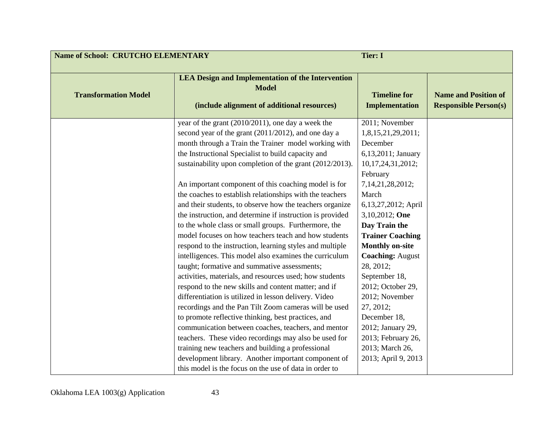| <b>Name of School: CRUTCHO ELEMENTARY</b> |                                                           | <b>Tier: I</b>          |                              |
|-------------------------------------------|-----------------------------------------------------------|-------------------------|------------------------------|
|                                           |                                                           |                         |                              |
|                                           | <b>LEA Design and Implementation of the Intervention</b>  |                         |                              |
| <b>Transformation Model</b>               | <b>Model</b>                                              | <b>Timeline for</b>     | <b>Name and Position of</b>  |
|                                           |                                                           |                         |                              |
|                                           | (include alignment of additional resources)               | <b>Implementation</b>   | <b>Responsible Person(s)</b> |
|                                           | year of the grant (2010/2011), one day a week the         | 2011; November          |                              |
|                                           | second year of the grant (2011/2012), and one day a       | 1,8,15,21,29,2011;      |                              |
|                                           | month through a Train the Trainer model working with      | December                |                              |
|                                           | the Instructional Specialist to build capacity and        | 6,13,2011; January      |                              |
|                                           | sustainability upon completion of the grant (2012/2013).  | 10,17,24,31,2012;       |                              |
|                                           |                                                           | February                |                              |
|                                           | An important component of this coaching model is for      | 7, 14, 21, 28, 2012;    |                              |
|                                           | the coaches to establish relationships with the teachers  | March                   |                              |
|                                           | and their students, to observe how the teachers organize  | 6,13,27,2012; April     |                              |
|                                           | the instruction, and determine if instruction is provided | 3,10,2012; One          |                              |
|                                           | to the whole class or small groups. Furthermore, the      | Day Train the           |                              |
|                                           | model focuses on how teachers teach and how students      | <b>Trainer Coaching</b> |                              |
|                                           | respond to the instruction, learning styles and multiple  | <b>Monthly on-site</b>  |                              |
|                                           | intelligences. This model also examines the curriculum    | <b>Coaching: August</b> |                              |
|                                           | taught; formative and summative assessments;              | 28, 2012;               |                              |
|                                           | activities, materials, and resources used; how students   | September 18,           |                              |
|                                           | respond to the new skills and content matter; and if      | 2012; October 29,       |                              |
|                                           | differentiation is utilized in lesson delivery. Video     | 2012; November          |                              |
|                                           | recordings and the Pan Tilt Zoom cameras will be used     | 27, 2012;               |                              |
|                                           | to promote reflective thinking, best practices, and       | December 18,            |                              |
|                                           | communication between coaches, teachers, and mentor       | 2012; January 29,       |                              |
|                                           | teachers. These video recordings may also be used for     | 2013; February 26,      |                              |
|                                           | training new teachers and building a professional         | 2013; March 26,         |                              |
|                                           | development library. Another important component of       | 2013; April 9, 2013     |                              |
|                                           | this model is the focus on the use of data in order to    |                         |                              |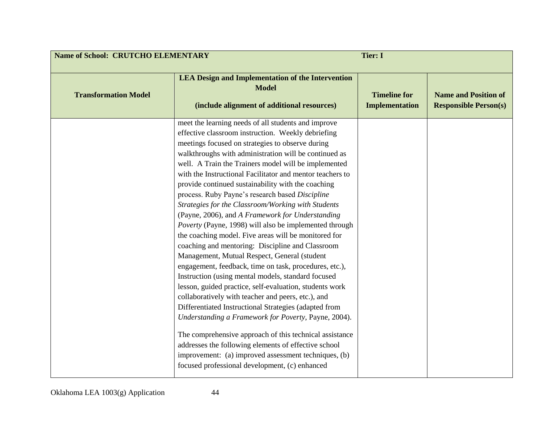| <b>Name of School: CRUTCHO ELEMENTARY</b><br><b>Tier: I</b> |                                                                                                                                                                                                                                                                                                                                                                                                                                                                                                                                                                                                                                                                                                                                                                                                                                                                                                                                                                                                                                                                                                                                                                                                                                                                                                                                                                     |                                              |                                                             |
|-------------------------------------------------------------|---------------------------------------------------------------------------------------------------------------------------------------------------------------------------------------------------------------------------------------------------------------------------------------------------------------------------------------------------------------------------------------------------------------------------------------------------------------------------------------------------------------------------------------------------------------------------------------------------------------------------------------------------------------------------------------------------------------------------------------------------------------------------------------------------------------------------------------------------------------------------------------------------------------------------------------------------------------------------------------------------------------------------------------------------------------------------------------------------------------------------------------------------------------------------------------------------------------------------------------------------------------------------------------------------------------------------------------------------------------------|----------------------------------------------|-------------------------------------------------------------|
| <b>Transformation Model</b>                                 | <b>LEA Design and Implementation of the Intervention</b><br><b>Model</b><br>(include alignment of additional resources)                                                                                                                                                                                                                                                                                                                                                                                                                                                                                                                                                                                                                                                                                                                                                                                                                                                                                                                                                                                                                                                                                                                                                                                                                                             | <b>Timeline for</b><br><b>Implementation</b> | <b>Name and Position of</b><br><b>Responsible Person(s)</b> |
|                                                             | meet the learning needs of all students and improve<br>effective classroom instruction. Weekly debriefing<br>meetings focused on strategies to observe during<br>walkthroughs with administration will be continued as<br>well. A Train the Trainers model will be implemented<br>with the Instructional Facilitator and mentor teachers to<br>provide continued sustainability with the coaching<br>process. Ruby Payne's research based Discipline<br>Strategies for the Classroom/Working with Students<br>(Payne, 2006), and A Framework for Understanding<br>Poverty (Payne, 1998) will also be implemented through<br>the coaching model. Five areas will be monitored for<br>coaching and mentoring: Discipline and Classroom<br>Management, Mutual Respect, General (student<br>engagement, feedback, time on task, procedures, etc.),<br>Instruction (using mental models, standard focused<br>lesson, guided practice, self-evaluation, students work<br>collaboratively with teacher and peers, etc.), and<br>Differentiated Instructional Strategies (adapted from<br>Understanding a Framework for Poverty, Payne, 2004).<br>The comprehensive approach of this technical assistance<br>addresses the following elements of effective school<br>improvement: (a) improved assessment techniques, (b)<br>focused professional development, (c) enhanced |                                              |                                                             |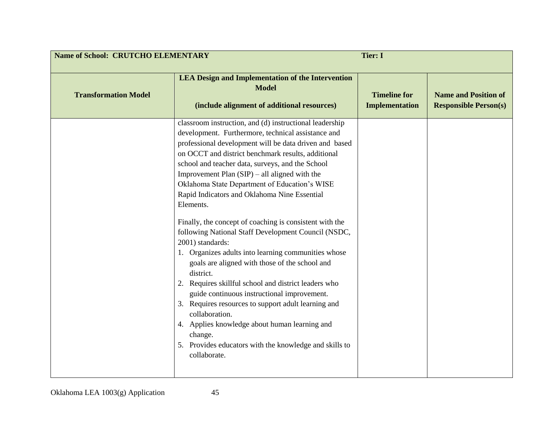| <b>Name of School: CRUTCHO ELEMENTARY</b><br><b>Tier: I</b> |                                                                                                                                                                                                                                                                                                                                                                                                                                                                                                                                                                                                                                                                                                                                                                                                                                                                                                                                                                                                                                      |                                              |                                                             |
|-------------------------------------------------------------|--------------------------------------------------------------------------------------------------------------------------------------------------------------------------------------------------------------------------------------------------------------------------------------------------------------------------------------------------------------------------------------------------------------------------------------------------------------------------------------------------------------------------------------------------------------------------------------------------------------------------------------------------------------------------------------------------------------------------------------------------------------------------------------------------------------------------------------------------------------------------------------------------------------------------------------------------------------------------------------------------------------------------------------|----------------------------------------------|-------------------------------------------------------------|
| <b>Transformation Model</b>                                 | <b>LEA Design and Implementation of the Intervention</b><br><b>Model</b><br>(include alignment of additional resources)                                                                                                                                                                                                                                                                                                                                                                                                                                                                                                                                                                                                                                                                                                                                                                                                                                                                                                              | <b>Timeline for</b><br><b>Implementation</b> | <b>Name and Position of</b><br><b>Responsible Person(s)</b> |
|                                                             | classroom instruction, and (d) instructional leadership<br>development. Furthermore, technical assistance and<br>professional development will be data driven and based<br>on OCCT and district benchmark results, additional<br>school and teacher data, surveys, and the School<br>Improvement Plan $(SIP)$ – all aligned with the<br>Oklahoma State Department of Education's WISE<br>Rapid Indicators and Oklahoma Nine Essential<br>Elements.<br>Finally, the concept of coaching is consistent with the<br>following National Staff Development Council (NSDC,<br>2001) standards:<br>1. Organizes adults into learning communities whose<br>goals are aligned with those of the school and<br>district.<br>2. Requires skillful school and district leaders who<br>guide continuous instructional improvement.<br>3. Requires resources to support adult learning and<br>collaboration.<br>4. Applies knowledge about human learning and<br>change.<br>5. Provides educators with the knowledge and skills to<br>collaborate. |                                              |                                                             |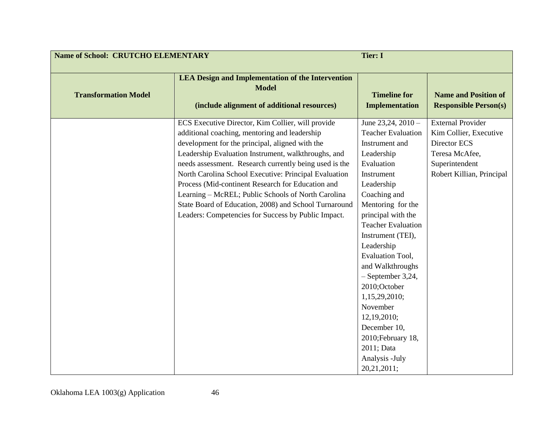| <b>Name of School: CRUTCHO ELEMENTARY</b> |                                                                                                                                                                                                                                                                                                                                                                                                                                                                                                                                                            | <b>Tier: I</b>                                                                                                                                                                                                                                                                                                                                                                                                                                               |                                                                                                                                     |
|-------------------------------------------|------------------------------------------------------------------------------------------------------------------------------------------------------------------------------------------------------------------------------------------------------------------------------------------------------------------------------------------------------------------------------------------------------------------------------------------------------------------------------------------------------------------------------------------------------------|--------------------------------------------------------------------------------------------------------------------------------------------------------------------------------------------------------------------------------------------------------------------------------------------------------------------------------------------------------------------------------------------------------------------------------------------------------------|-------------------------------------------------------------------------------------------------------------------------------------|
| <b>Transformation Model</b>               | <b>LEA Design and Implementation of the Intervention</b><br><b>Model</b><br>(include alignment of additional resources)                                                                                                                                                                                                                                                                                                                                                                                                                                    | <b>Timeline for</b><br><b>Implementation</b>                                                                                                                                                                                                                                                                                                                                                                                                                 | <b>Name and Position of</b><br><b>Responsible Person(s)</b>                                                                         |
|                                           | ECS Executive Director, Kim Collier, will provide<br>additional coaching, mentoring and leadership<br>development for the principal, aligned with the<br>Leadership Evaluation Instrument, walkthroughs, and<br>needs assessment. Research currently being used is the<br>North Carolina School Executive: Principal Evaluation<br>Process (Mid-continent Research for Education and<br>Learning – McREL; Public Schools of North Carolina<br>State Board of Education, 2008) and School Turnaround<br>Leaders: Competencies for Success by Public Impact. | June $23,24,2010-$<br><b>Teacher Evaluation</b><br>Instrument and<br>Leadership<br>Evaluation<br>Instrument<br>Leadership<br>Coaching and<br>Mentoring for the<br>principal with the<br><b>Teacher Evaluation</b><br>Instrument (TEI),<br>Leadership<br><b>Evaluation Tool,</b><br>and Walkthroughs<br>$-$ September 3,24,<br>2010;October<br>1,15,29,2010;<br>November<br>12,19,2010;<br>December 10,<br>2010; February 18,<br>2011; Data<br>Analysis -July | <b>External Provider</b><br>Kim Collier, Executive<br>Director ECS<br>Teresa McAfee,<br>Superintendent<br>Robert Killian, Principal |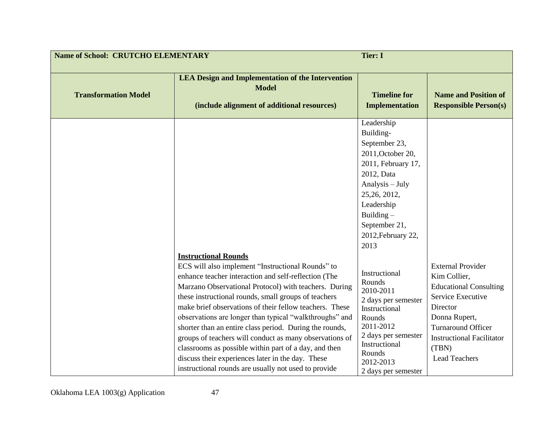| <b>Name of School: CRUTCHO ELEMENTARY</b><br><b>Tier: I</b> |                                                                                                                                                                                                                                                                                                                                                     |                                                                                                                                                                                                                                                                                                    |                                                                                                                 |
|-------------------------------------------------------------|-----------------------------------------------------------------------------------------------------------------------------------------------------------------------------------------------------------------------------------------------------------------------------------------------------------------------------------------------------|----------------------------------------------------------------------------------------------------------------------------------------------------------------------------------------------------------------------------------------------------------------------------------------------------|-----------------------------------------------------------------------------------------------------------------|
| <b>Transformation Model</b>                                 | <b>LEA Design and Implementation of the Intervention</b><br><b>Model</b><br>(include alignment of additional resources)                                                                                                                                                                                                                             | <b>Timeline for</b><br><b>Implementation</b>                                                                                                                                                                                                                                                       | <b>Name and Position of</b><br><b>Responsible Person(s)</b>                                                     |
|                                                             | <b>Instructional Rounds</b><br>ECS will also implement "Instructional Rounds" to<br>enhance teacher interaction and self-reflection (The<br>Marzano Observational Protocol) with teachers. During<br>these instructional rounds, small groups of teachers<br>make brief observations of their fellow teachers. These                                | Leadership<br>Building-<br>September 23,<br>2011, October 20,<br>2011, February 17,<br>2012, Data<br>Analysis - July<br>25, 26, 2012,<br>Leadership<br>Building $-$<br>September 21,<br>2012, February 22,<br>2013<br>Instructional<br>Rounds<br>2010-2011<br>2 days per semester<br>Instructional | <b>External Provider</b><br>Kim Collier,<br><b>Educational Consulting</b><br>Service Executive<br>Director      |
|                                                             | observations are longer than typical "walkthroughs" and<br>shorter than an entire class period. During the rounds,<br>groups of teachers will conduct as many observations of<br>classrooms as possible within part of a day, and then<br>discuss their experiences later in the day. These<br>instructional rounds are usually not used to provide | Rounds<br>2011-2012<br>2 days per semester<br>Instructional<br>Rounds<br>2012-2013<br>2 days per semester                                                                                                                                                                                          | Donna Rupert,<br><b>Turnaround Officer</b><br><b>Instructional Facilitator</b><br>(TBN)<br><b>Lead Teachers</b> |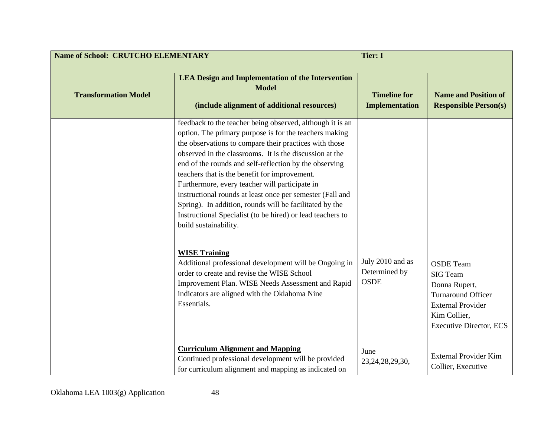| <b>Name of School: CRUTCHO ELEMENTARY</b> |                                                                                                                                                                                                                                                                                                                                                                                                                                                                                                                                                                                                                                                                                                                                                                                                                                                                           | <b>Tier: I</b>                                   |                                                                                                                                                                 |
|-------------------------------------------|---------------------------------------------------------------------------------------------------------------------------------------------------------------------------------------------------------------------------------------------------------------------------------------------------------------------------------------------------------------------------------------------------------------------------------------------------------------------------------------------------------------------------------------------------------------------------------------------------------------------------------------------------------------------------------------------------------------------------------------------------------------------------------------------------------------------------------------------------------------------------|--------------------------------------------------|-----------------------------------------------------------------------------------------------------------------------------------------------------------------|
| <b>Transformation Model</b>               | <b>LEA Design and Implementation of the Intervention</b><br><b>Model</b><br>(include alignment of additional resources)                                                                                                                                                                                                                                                                                                                                                                                                                                                                                                                                                                                                                                                                                                                                                   | <b>Timeline for</b><br><b>Implementation</b>     | <b>Name and Position of</b><br><b>Responsible Person(s)</b>                                                                                                     |
|                                           | feedback to the teacher being observed, although it is an<br>option. The primary purpose is for the teachers making<br>the observations to compare their practices with those<br>observed in the classrooms. It is the discussion at the<br>end of the rounds and self-reflection by the observing<br>teachers that is the benefit for improvement.<br>Furthermore, every teacher will participate in<br>instructional rounds at least once per semester (Fall and<br>Spring). In addition, rounds will be facilitated by the<br>Instructional Specialist (to be hired) or lead teachers to<br>build sustainability.<br><b>WISE Training</b><br>Additional professional development will be Ongoing in<br>order to create and revise the WISE School<br>Improvement Plan. WISE Needs Assessment and Rapid<br>indicators are aligned with the Oklahoma Nine<br>Essentials. | July 2010 and as<br>Determined by<br><b>OSDE</b> | <b>OSDE</b> Team<br><b>SIG</b> Team<br>Donna Rupert,<br><b>Turnaround Officer</b><br><b>External Provider</b><br>Kim Collier,<br><b>Executive Director, ECS</b> |
|                                           | <b>Curriculum Alignment and Mapping</b><br>Continued professional development will be provided<br>for curriculum alignment and mapping as indicated on                                                                                                                                                                                                                                                                                                                                                                                                                                                                                                                                                                                                                                                                                                                    | June<br>23, 24, 28, 29, 30,                      | <b>External Provider Kim</b><br>Collier, Executive                                                                                                              |

Oklahoma LEA 1003(g) Application 48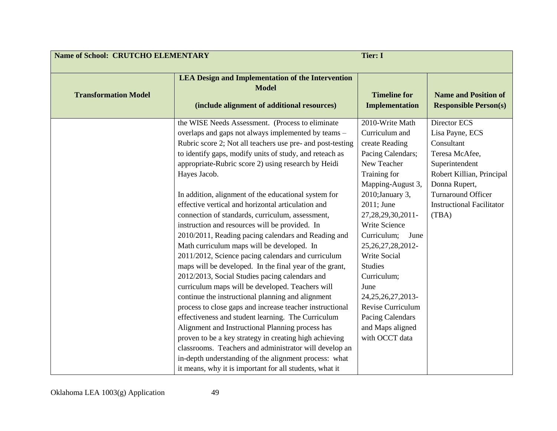| <b>Name of School: CRUTCHO ELEMENTARY</b> |                                                                                                                                                                                                                                                                                                                                                                                                                                                                                                                                                                                                                                                                                                                                                                                                                                                                                                                                                                                                                                                                                                                                                                                                        | <b>Tier: I</b>                                                                                                                                                                                                                                                                                                                                                                                                                          |                                                                                                                                                                                                           |
|-------------------------------------------|--------------------------------------------------------------------------------------------------------------------------------------------------------------------------------------------------------------------------------------------------------------------------------------------------------------------------------------------------------------------------------------------------------------------------------------------------------------------------------------------------------------------------------------------------------------------------------------------------------------------------------------------------------------------------------------------------------------------------------------------------------------------------------------------------------------------------------------------------------------------------------------------------------------------------------------------------------------------------------------------------------------------------------------------------------------------------------------------------------------------------------------------------------------------------------------------------------|-----------------------------------------------------------------------------------------------------------------------------------------------------------------------------------------------------------------------------------------------------------------------------------------------------------------------------------------------------------------------------------------------------------------------------------------|-----------------------------------------------------------------------------------------------------------------------------------------------------------------------------------------------------------|
| <b>Transformation Model</b>               | <b>LEA Design and Implementation of the Intervention</b><br><b>Model</b><br>(include alignment of additional resources)                                                                                                                                                                                                                                                                                                                                                                                                                                                                                                                                                                                                                                                                                                                                                                                                                                                                                                                                                                                                                                                                                | <b>Timeline for</b><br><b>Implementation</b>                                                                                                                                                                                                                                                                                                                                                                                            | <b>Name and Position of</b><br><b>Responsible Person(s)</b>                                                                                                                                               |
|                                           | the WISE Needs Assessment. (Process to eliminate<br>overlaps and gaps not always implemented by teams -<br>Rubric score 2; Not all teachers use pre- and post-testing<br>to identify gaps, modify units of study, and reteach as<br>appropriate-Rubric score 2) using research by Heidi<br>Hayes Jacob.<br>In addition, alignment of the educational system for<br>effective vertical and horizontal articulation and<br>connection of standards, curriculum, assessment,<br>instruction and resources will be provided. In<br>2010/2011, Reading pacing calendars and Reading and<br>Math curriculum maps will be developed. In<br>2011/2012, Science pacing calendars and curriculum<br>maps will be developed. In the final year of the grant,<br>2012/2013, Social Studies pacing calendars and<br>curriculum maps will be developed. Teachers will<br>continue the instructional planning and alignment<br>process to close gaps and increase teacher instructional<br>effectiveness and student learning. The Curriculum<br>Alignment and Instructional Planning process has<br>proven to be a key strategy in creating high achieving<br>classrooms. Teachers and administrator will develop an | 2010-Write Math<br>Curriculum and<br>create Reading<br>Pacing Calendars;<br>New Teacher<br>Training for<br>Mapping-August 3,<br>2010; January 3,<br>2011; June<br>27, 28, 29, 30, 2011-<br><b>Write Science</b><br>Curriculum;<br>June<br>25, 26, 27, 28, 2012-<br><b>Write Social</b><br><b>Studies</b><br>Curriculum;<br>June<br>24, 25, 26, 27, 2013-<br>Revise Curriculum<br>Pacing Calendars<br>and Maps aligned<br>with OCCT data | Director ECS<br>Lisa Payne, ECS<br>Consultant<br>Teresa McAfee,<br>Superintendent<br>Robert Killian, Principal<br>Donna Rupert,<br><b>Turnaround Officer</b><br><b>Instructional Facilitator</b><br>(TBA) |
|                                           | in-depth understanding of the alignment process: what<br>it means, why it is important for all students, what it                                                                                                                                                                                                                                                                                                                                                                                                                                                                                                                                                                                                                                                                                                                                                                                                                                                                                                                                                                                                                                                                                       |                                                                                                                                                                                                                                                                                                                                                                                                                                         |                                                                                                                                                                                                           |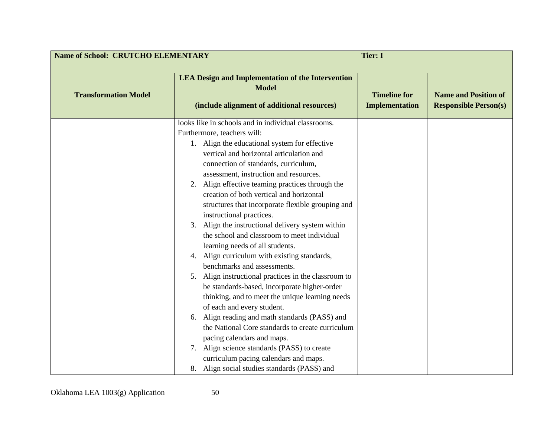| <b>Name of School: CRUTCHO ELEMENTARY</b><br><b>Tier: I</b> |                                                                                                                                                                                                                                                                                                                                                                                                                                                                                                                                                                                                                                                                                                                                                                                                                                                                                                                                                                                                                                                                                                                                                              |                                              |                                                             |
|-------------------------------------------------------------|--------------------------------------------------------------------------------------------------------------------------------------------------------------------------------------------------------------------------------------------------------------------------------------------------------------------------------------------------------------------------------------------------------------------------------------------------------------------------------------------------------------------------------------------------------------------------------------------------------------------------------------------------------------------------------------------------------------------------------------------------------------------------------------------------------------------------------------------------------------------------------------------------------------------------------------------------------------------------------------------------------------------------------------------------------------------------------------------------------------------------------------------------------------|----------------------------------------------|-------------------------------------------------------------|
| <b>Transformation Model</b>                                 | <b>LEA Design and Implementation of the Intervention</b><br><b>Model</b><br>(include alignment of additional resources)                                                                                                                                                                                                                                                                                                                                                                                                                                                                                                                                                                                                                                                                                                                                                                                                                                                                                                                                                                                                                                      | <b>Timeline for</b><br><b>Implementation</b> | <b>Name and Position of</b><br><b>Responsible Person(s)</b> |
|                                                             | looks like in schools and in individual classrooms.<br>Furthermore, teachers will:<br>1. Align the educational system for effective<br>vertical and horizontal articulation and<br>connection of standards, curriculum,<br>assessment, instruction and resources.<br>2. Align effective teaming practices through the<br>creation of both vertical and horizontal<br>structures that incorporate flexible grouping and<br>instructional practices.<br>Align the instructional delivery system within<br>3.<br>the school and classroom to meet individual<br>learning needs of all students.<br>Align curriculum with existing standards,<br>4.<br>benchmarks and assessments.<br>Align instructional practices in the classroom to<br>5.<br>be standards-based, incorporate higher-order<br>thinking, and to meet the unique learning needs<br>of each and every student.<br>Align reading and math standards (PASS) and<br>6.<br>the National Core standards to create curriculum<br>pacing calendars and maps.<br>Align science standards (PASS) to create<br>7.<br>curriculum pacing calendars and maps.<br>8. Align social studies standards (PASS) and |                                              |                                                             |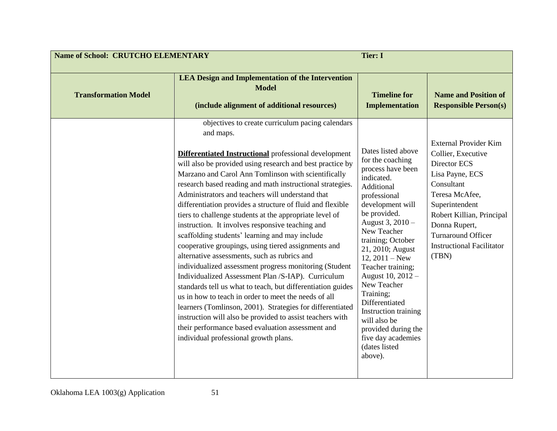| <b>Name of School: CRUTCHO ELEMENTARY</b><br><b>Tier: I</b> |                                                                                                                                                                                                                                                                                                                                                                                                                                                                                                                                                                                                                                                                                                                                                                                                                                                                                                                                                                                                                                                                                                              |                                                                                                                                                                                                                                                                                                                                                                                                                                                      |                                                                                                                                                                                                                                                                 |
|-------------------------------------------------------------|--------------------------------------------------------------------------------------------------------------------------------------------------------------------------------------------------------------------------------------------------------------------------------------------------------------------------------------------------------------------------------------------------------------------------------------------------------------------------------------------------------------------------------------------------------------------------------------------------------------------------------------------------------------------------------------------------------------------------------------------------------------------------------------------------------------------------------------------------------------------------------------------------------------------------------------------------------------------------------------------------------------------------------------------------------------------------------------------------------------|------------------------------------------------------------------------------------------------------------------------------------------------------------------------------------------------------------------------------------------------------------------------------------------------------------------------------------------------------------------------------------------------------------------------------------------------------|-----------------------------------------------------------------------------------------------------------------------------------------------------------------------------------------------------------------------------------------------------------------|
| <b>Transformation Model</b>                                 | <b>LEA Design and Implementation of the Intervention</b><br><b>Model</b><br>(include alignment of additional resources)<br>objectives to create curriculum pacing calendars                                                                                                                                                                                                                                                                                                                                                                                                                                                                                                                                                                                                                                                                                                                                                                                                                                                                                                                                  | <b>Timeline for</b><br><b>Implementation</b>                                                                                                                                                                                                                                                                                                                                                                                                         | <b>Name and Position of</b><br><b>Responsible Person(s)</b>                                                                                                                                                                                                     |
|                                                             | and maps.<br>Differentiated Instructional professional development<br>will also be provided using research and best practice by<br>Marzano and Carol Ann Tomlinson with scientifically<br>research based reading and math instructional strategies.<br>Administrators and teachers will understand that<br>differentiation provides a structure of fluid and flexible<br>tiers to challenge students at the appropriate level of<br>instruction. It involves responsive teaching and<br>scaffolding students' learning and may include<br>cooperative groupings, using tiered assignments and<br>alternative assessments, such as rubrics and<br>individualized assessment progress monitoring (Student<br>Individualized Assessment Plan /S-IAP). Curriculum<br>standards tell us what to teach, but differentiation guides<br>us in how to teach in order to meet the needs of all<br>learners (Tomlinson, 2001). Strategies for differentiated<br>instruction will also be provided to assist teachers with<br>their performance based evaluation assessment and<br>individual professional growth plans. | Dates listed above<br>for the coaching<br>process have been<br>indicated.<br>Additional<br>professional<br>development will<br>be provided.<br>August 3, 2010 -<br>New Teacher<br>training; October<br>21, 2010; August<br>$12, 2011 - New$<br>Teacher training;<br>August 10, 2012 -<br>New Teacher<br>Training;<br>Differentiated<br>Instruction training<br>will also be<br>provided during the<br>five day academies<br>(dates listed<br>above). | <b>External Provider Kim</b><br>Collier, Executive<br>Director ECS<br>Lisa Payne, ECS<br>Consultant<br>Teresa McAfee,<br>Superintendent<br>Robert Killian, Principal<br>Donna Rupert,<br><b>Turnaround Officer</b><br><b>Instructional Facilitator</b><br>(TBN) |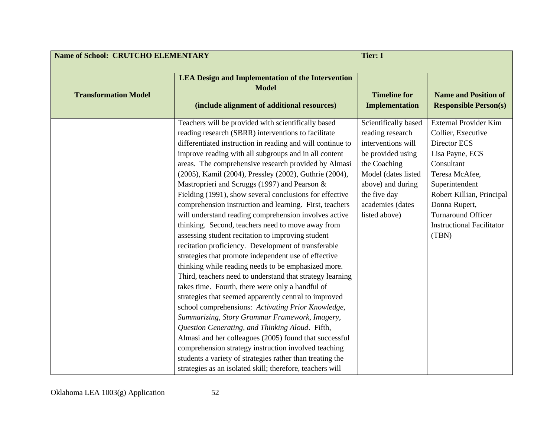| <b>Name of School: CRUTCHO ELEMENTARY</b><br><b>Tier: I</b> |                                                                                                                                                                                                                                                                                                                                                                                                                                                                                                                                                                                                                                                                                                                                                                                                                                                                                                                                                                                                                                                                                                                                                                                                                                                                                                                                                                                                                                                      |                                                                                                                                                                                                      |                                                                                                                                                                                                                                                                 |
|-------------------------------------------------------------|------------------------------------------------------------------------------------------------------------------------------------------------------------------------------------------------------------------------------------------------------------------------------------------------------------------------------------------------------------------------------------------------------------------------------------------------------------------------------------------------------------------------------------------------------------------------------------------------------------------------------------------------------------------------------------------------------------------------------------------------------------------------------------------------------------------------------------------------------------------------------------------------------------------------------------------------------------------------------------------------------------------------------------------------------------------------------------------------------------------------------------------------------------------------------------------------------------------------------------------------------------------------------------------------------------------------------------------------------------------------------------------------------------------------------------------------------|------------------------------------------------------------------------------------------------------------------------------------------------------------------------------------------------------|-----------------------------------------------------------------------------------------------------------------------------------------------------------------------------------------------------------------------------------------------------------------|
| <b>Transformation Model</b>                                 | <b>LEA Design and Implementation of the Intervention</b><br><b>Model</b><br>(include alignment of additional resources)                                                                                                                                                                                                                                                                                                                                                                                                                                                                                                                                                                                                                                                                                                                                                                                                                                                                                                                                                                                                                                                                                                                                                                                                                                                                                                                              | <b>Timeline for</b><br><b>Implementation</b>                                                                                                                                                         | <b>Name and Position of</b><br><b>Responsible Person(s)</b>                                                                                                                                                                                                     |
|                                                             | Teachers will be provided with scientifically based<br>reading research (SBRR) interventions to facilitate<br>differentiated instruction in reading and will continue to<br>improve reading with all subgroups and in all content<br>areas. The comprehensive research provided by Almasi<br>(2005), Kamil (2004), Pressley (2002), Guthrie (2004),<br>Mastroprieri and Scruggs (1997) and Pearson &<br>Fielding (1991), show several conclusions for effective<br>comprehension instruction and learning. First, teachers<br>will understand reading comprehension involves active<br>thinking. Second, teachers need to move away from<br>assessing student recitation to improving student<br>recitation proficiency. Development of transferable<br>strategies that promote independent use of effective<br>thinking while reading needs to be emphasized more.<br>Third, teachers need to understand that strategy learning<br>takes time. Fourth, there were only a handful of<br>strategies that seemed apparently central to improved<br>school comprehensions: Activating Prior Knowledge,<br>Summarizing, Story Grammar Framework, Imagery,<br>Question Generating, and Thinking Aloud. Fifth,<br>Almasi and her colleagues (2005) found that successful<br>comprehension strategy instruction involved teaching<br>students a variety of strategies rather than treating the<br>strategies as an isolated skill; therefore, teachers will | Scientifically based<br>reading research<br>interventions will<br>be provided using<br>the Coaching<br>Model (dates listed<br>above) and during<br>the five day<br>academies (dates<br>listed above) | <b>External Provider Kim</b><br>Collier, Executive<br>Director ECS<br>Lisa Payne, ECS<br>Consultant<br>Teresa McAfee,<br>Superintendent<br>Robert Killian, Principal<br>Donna Rupert,<br><b>Turnaround Officer</b><br><b>Instructional Facilitator</b><br>(TBN) |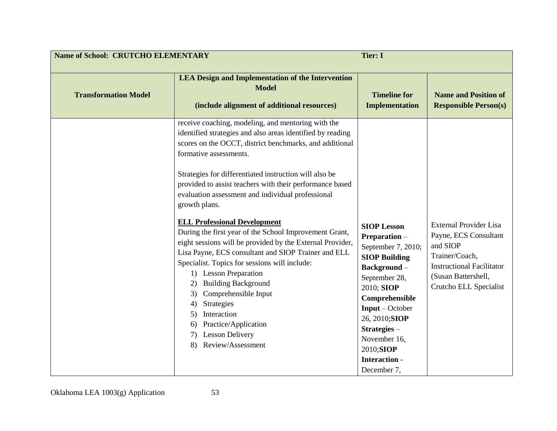| <b>Name of School: CRUTCHO ELEMENTARY</b> |                                                                                                                                                                                                                                                                                                                                                                                                                                                                                                                                                                                                                                                                                                                                                                                                                                                                                                      | <b>Tier: I</b>                                                                                                                                                                                                                                                             |                                                                                                                                                                           |
|-------------------------------------------|------------------------------------------------------------------------------------------------------------------------------------------------------------------------------------------------------------------------------------------------------------------------------------------------------------------------------------------------------------------------------------------------------------------------------------------------------------------------------------------------------------------------------------------------------------------------------------------------------------------------------------------------------------------------------------------------------------------------------------------------------------------------------------------------------------------------------------------------------------------------------------------------------|----------------------------------------------------------------------------------------------------------------------------------------------------------------------------------------------------------------------------------------------------------------------------|---------------------------------------------------------------------------------------------------------------------------------------------------------------------------|
| <b>Transformation Model</b>               | <b>LEA Design and Implementation of the Intervention</b><br><b>Model</b><br>(include alignment of additional resources)                                                                                                                                                                                                                                                                                                                                                                                                                                                                                                                                                                                                                                                                                                                                                                              | <b>Timeline for</b><br><b>Implementation</b>                                                                                                                                                                                                                               | <b>Name and Position of</b><br><b>Responsible Person(s)</b>                                                                                                               |
|                                           | receive coaching, modeling, and mentoring with the<br>identified strategies and also areas identified by reading<br>scores on the OCCT, district benchmarks, and additional<br>formative assessments.<br>Strategies for differentiated instruction will also be<br>provided to assist teachers with their performance based<br>evaluation assessment and individual professional<br>growth plans.<br><b>ELL Professional Development</b><br>During the first year of the School Improvement Grant,<br>eight sessions will be provided by the External Provider,<br>Lisa Payne, ECS consultant and SIOP Trainer and ELL<br>Specialist. Topics for sessions will include:<br>1) Lesson Preparation<br><b>Building Background</b><br>2)<br>Comprehensible Input<br>3)<br>Strategies<br>4)<br>Interaction<br>5)<br>Practice/Application<br>6)<br><b>Lesson Delivery</b><br>7)<br>Review/Assessment<br>8) | <b>SIOP Lesson</b><br>Preparation-<br>September 7, 2010;<br><b>SIOP Building</b><br>Background-<br>September 28,<br>2010; SIOP<br>Comprehensible<br>$Input - October$<br>26, 2010; SIOP<br>Strategies-<br>November 16,<br>2010;SIOP<br><b>Interaction</b> -<br>December 7, | <b>External Provider Lisa</b><br>Payne, ECS Consultant<br>and SIOP<br>Trainer/Coach,<br><b>Instructional Facilitator</b><br>(Susan Battershell,<br>Crutcho ELL Specialist |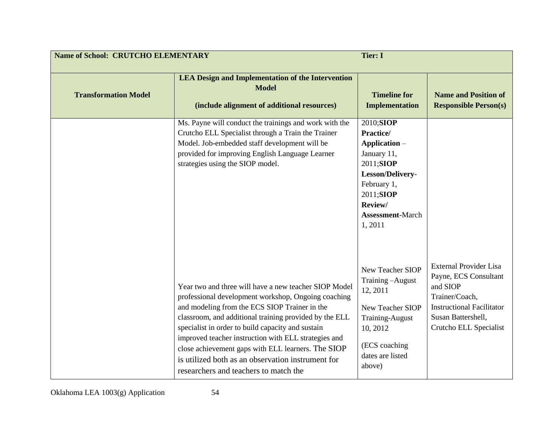| <b>Name of School: CRUTCHO ELEMENTARY</b> |                                                                                                                                                                                                                                                                                                                                                                                                                                                                                          | <b>Tier: I</b>                                                                                                                                                      |                                                                                                                                                                          |
|-------------------------------------------|------------------------------------------------------------------------------------------------------------------------------------------------------------------------------------------------------------------------------------------------------------------------------------------------------------------------------------------------------------------------------------------------------------------------------------------------------------------------------------------|---------------------------------------------------------------------------------------------------------------------------------------------------------------------|--------------------------------------------------------------------------------------------------------------------------------------------------------------------------|
| <b>Transformation Model</b>               | <b>LEA Design and Implementation of the Intervention</b><br><b>Model</b><br>(include alignment of additional resources)                                                                                                                                                                                                                                                                                                                                                                  | <b>Timeline for</b><br><b>Implementation</b>                                                                                                                        | <b>Name and Position of</b><br><b>Responsible Person(s)</b>                                                                                                              |
|                                           | Ms. Payne will conduct the trainings and work with the<br>Crutcho ELL Specialist through a Train the Trainer<br>Model. Job-embedded staff development will be<br>provided for improving English Language Learner<br>strategies using the SIOP model.                                                                                                                                                                                                                                     | 2010;SIOP<br>Practice/<br>Application -<br>January 11,<br>2011;SIOP<br>Lesson/Delivery-<br>February 1,<br>2011;SIOP<br>Review/<br><b>Assessment-March</b><br>1,2011 |                                                                                                                                                                          |
|                                           | Year two and three will have a new teacher SIOP Model<br>professional development workshop, Ongoing coaching<br>and modeling from the ECS SIOP Trainer in the<br>classroom, and additional training provided by the ELL<br>specialist in order to build capacity and sustain<br>improved teacher instruction with ELL strategies and<br>close achievement gaps with ELL learners. The SIOP<br>is utilized both as an observation instrument for<br>researchers and teachers to match the | New Teacher SIOP<br>Training-August<br>12, 2011<br>New Teacher SIOP<br><b>Training-August</b><br>10, 2012<br>(ECS coaching<br>dates are listed<br>above)            | <b>External Provider Lisa</b><br>Payne, ECS Consultant<br>and SIOP<br>Trainer/Coach,<br><b>Instructional Facilitator</b><br>Susan Battershell,<br>Crutcho ELL Specialist |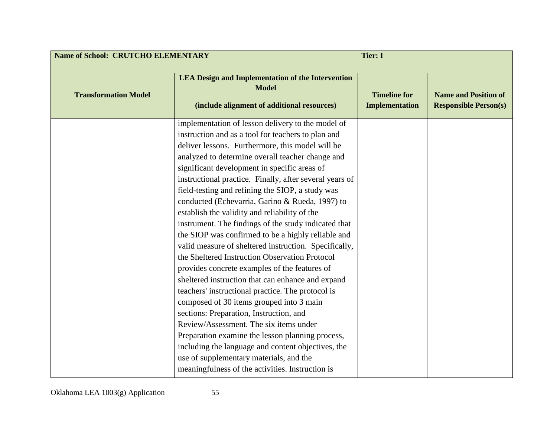| <b>Name of School: CRUTCHO ELEMENTARY</b><br><b>Tier: I</b> |                                                                                                                                                                                                                                                                                                                                                                                                                                                                                                                                                                                                                                                                                                                                                                                                                                                                                                                                                                                                                                                                                                                                                                                                                  |                                              |                                                             |
|-------------------------------------------------------------|------------------------------------------------------------------------------------------------------------------------------------------------------------------------------------------------------------------------------------------------------------------------------------------------------------------------------------------------------------------------------------------------------------------------------------------------------------------------------------------------------------------------------------------------------------------------------------------------------------------------------------------------------------------------------------------------------------------------------------------------------------------------------------------------------------------------------------------------------------------------------------------------------------------------------------------------------------------------------------------------------------------------------------------------------------------------------------------------------------------------------------------------------------------------------------------------------------------|----------------------------------------------|-------------------------------------------------------------|
| <b>Transformation Model</b>                                 | <b>LEA Design and Implementation of the Intervention</b><br><b>Model</b><br>(include alignment of additional resources)                                                                                                                                                                                                                                                                                                                                                                                                                                                                                                                                                                                                                                                                                                                                                                                                                                                                                                                                                                                                                                                                                          | <b>Timeline for</b><br><b>Implementation</b> | <b>Name and Position of</b><br><b>Responsible Person(s)</b> |
|                                                             | implementation of lesson delivery to the model of<br>instruction and as a tool for teachers to plan and<br>deliver lessons. Furthermore, this model will be<br>analyzed to determine overall teacher change and<br>significant development in specific areas of<br>instructional practice. Finally, after several years of<br>field-testing and refining the SIOP, a study was<br>conducted (Echevarria, Garino & Rueda, 1997) to<br>establish the validity and reliability of the<br>instrument. The findings of the study indicated that<br>the SIOP was confirmed to be a highly reliable and<br>valid measure of sheltered instruction. Specifically,<br>the Sheltered Instruction Observation Protocol<br>provides concrete examples of the features of<br>sheltered instruction that can enhance and expand<br>teachers' instructional practice. The protocol is<br>composed of 30 items grouped into 3 main<br>sections: Preparation, Instruction, and<br>Review/Assessment. The six items under<br>Preparation examine the lesson planning process,<br>including the language and content objectives, the<br>use of supplementary materials, and the<br>meaningfulness of the activities. Instruction is |                                              |                                                             |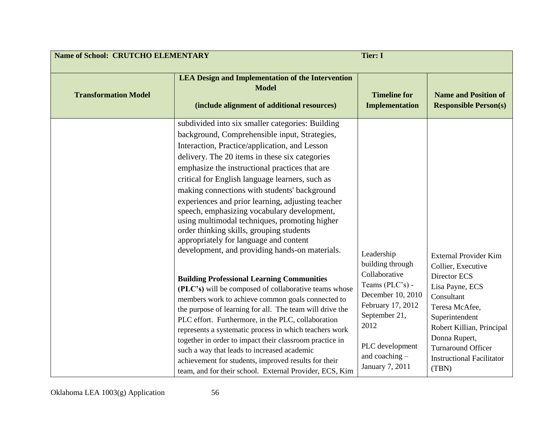| <b>LEA Design and Implementation of the Intervention</b><br><b>Model</b><br><b>Transformation Model</b><br>(include alignment of additional resources)<br>subdivided into six smaller categories: Building<br>background, Comprehensible input, Strategies,<br>Interaction, Practice/application, and Lesson                                                                                                                                                                                                                                                                                                                                                                                                                                                                                                                                                                                                                                                                                                                                                                                                                                          | <b>Timeline for</b><br><b>Name and Position of</b><br><b>Responsible Person(s)</b><br><b>Implementation</b>                                                                                                                                                                                                                  |  |
|-------------------------------------------------------------------------------------------------------------------------------------------------------------------------------------------------------------------------------------------------------------------------------------------------------------------------------------------------------------------------------------------------------------------------------------------------------------------------------------------------------------------------------------------------------------------------------------------------------------------------------------------------------------------------------------------------------------------------------------------------------------------------------------------------------------------------------------------------------------------------------------------------------------------------------------------------------------------------------------------------------------------------------------------------------------------------------------------------------------------------------------------------------|------------------------------------------------------------------------------------------------------------------------------------------------------------------------------------------------------------------------------------------------------------------------------------------------------------------------------|--|
|                                                                                                                                                                                                                                                                                                                                                                                                                                                                                                                                                                                                                                                                                                                                                                                                                                                                                                                                                                                                                                                                                                                                                       |                                                                                                                                                                                                                                                                                                                              |  |
| delivery. The 20 items in these six categories<br>emphasize the instructional practices that are<br>critical for English language learners, such as<br>making connections with students' background<br>experiences and prior learning, adjusting teacher<br>speech, emphasizing vocabulary development,<br>using multimodal techniques, promoting higher<br>order thinking skills, grouping students<br>appropriately for language and content<br>development, and providing hands-on materials.<br>Leadership<br>building through<br>Collaborative<br><b>Building Professional Learning Communities</b><br>Teams (PLC's) -<br>(PLC's) will be composed of collaborative teams whose<br>members work to achieve common goals connected to<br>the purpose of learning for all. The team will drive the<br>September 21,<br>PLC effort. Furthermore, in the PLC, collaboration<br>2012<br>represents a systematic process in which teachers work<br>together in order to impact their classroom practice in<br>such a way that leads to increased academic<br>and coaching -<br>achievement for students, improved results for their<br>January 7, 2011 | <b>External Provider Kim</b><br>Collier, Executive<br>Director ECS<br>Lisa Payne, ECS<br>December 10, 2010<br>Consultant<br>February 17, 2012<br>Teresa McAfee,<br>Superintendent<br>Robert Killian, Principal<br>Donna Rupert,<br>PLC development<br><b>Turnaround Officer</b><br><b>Instructional Facilitator</b><br>(TBN) |  |

Oklahoma LEA 1003(g) Application 56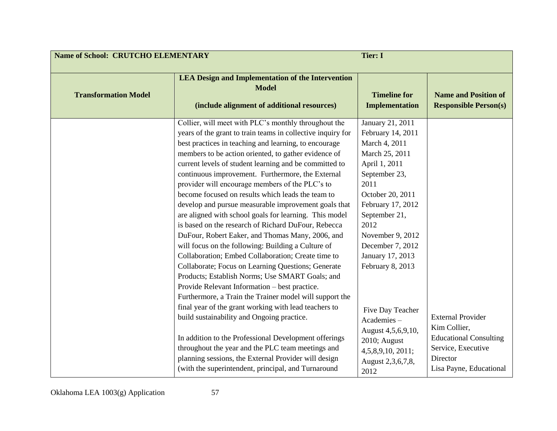| <b>Name of School: CRUTCHO ELEMENTARY</b><br><b>Tier: I</b> |                                                                                                                                                                                                                                                                                                                                                                                                                                                                                                                                                                                                                                                                                                                                                                                                                                                                                                                                                                                                                                                                                                                                                                                                                                                                                                                                                               |                                                                                                                                                                                                                                                                                                                                                                                                    |                                                                                                                                        |
|-------------------------------------------------------------|---------------------------------------------------------------------------------------------------------------------------------------------------------------------------------------------------------------------------------------------------------------------------------------------------------------------------------------------------------------------------------------------------------------------------------------------------------------------------------------------------------------------------------------------------------------------------------------------------------------------------------------------------------------------------------------------------------------------------------------------------------------------------------------------------------------------------------------------------------------------------------------------------------------------------------------------------------------------------------------------------------------------------------------------------------------------------------------------------------------------------------------------------------------------------------------------------------------------------------------------------------------------------------------------------------------------------------------------------------------|----------------------------------------------------------------------------------------------------------------------------------------------------------------------------------------------------------------------------------------------------------------------------------------------------------------------------------------------------------------------------------------------------|----------------------------------------------------------------------------------------------------------------------------------------|
| <b>Transformation Model</b>                                 | <b>LEA Design and Implementation of the Intervention</b><br><b>Model</b><br>(include alignment of additional resources)                                                                                                                                                                                                                                                                                                                                                                                                                                                                                                                                                                                                                                                                                                                                                                                                                                                                                                                                                                                                                                                                                                                                                                                                                                       | <b>Timeline for</b><br><b>Implementation</b>                                                                                                                                                                                                                                                                                                                                                       | <b>Name and Position of</b><br><b>Responsible Person(s)</b>                                                                            |
|                                                             | Collier, will meet with PLC's monthly throughout the<br>years of the grant to train teams in collective inquiry for<br>best practices in teaching and learning, to encourage<br>members to be action oriented, to gather evidence of<br>current levels of student learning and be committed to<br>continuous improvement. Furthermore, the External<br>provider will encourage members of the PLC's to<br>become focused on results which leads the team to<br>develop and pursue measurable improvement goals that<br>are aligned with school goals for learning. This model<br>is based on the research of Richard DuFour, Rebecca<br>DuFour, Robert Eaker, and Thomas Many, 2006, and<br>will focus on the following: Building a Culture of<br>Collaboration; Embed Collaboration; Create time to<br>Collaborate; Focus on Learning Questions; Generate<br>Products; Establish Norms; Use SMART Goals; and<br>Provide Relevant Information - best practice.<br>Furthermore, a Train the Trainer model will support the<br>final year of the grant working with lead teachers to<br>build sustainability and Ongoing practice.<br>In addition to the Professional Development offerings<br>throughout the year and the PLC team meetings and<br>planning sessions, the External Provider will design<br>(with the superintendent, principal, and Turnaround | January 21, 2011<br>February 14, 2011<br>March 4, 2011<br>March 25, 2011<br>April 1, 2011<br>September 23,<br>2011<br>October 20, 2011<br>February 17, 2012<br>September 21,<br>2012<br>November 9, 2012<br>December 7, 2012<br>January 17, 2013<br>February 8, 2013<br>Five Day Teacher<br>Academies-<br>August 4,5,6,9,10,<br>2010; August<br>4, 5, 8, 9, 10, 2011;<br>August 2,3,6,7,8,<br>2012 | <b>External Provider</b><br>Kim Collier,<br><b>Educational Consulting</b><br>Service, Executive<br>Director<br>Lisa Payne, Educational |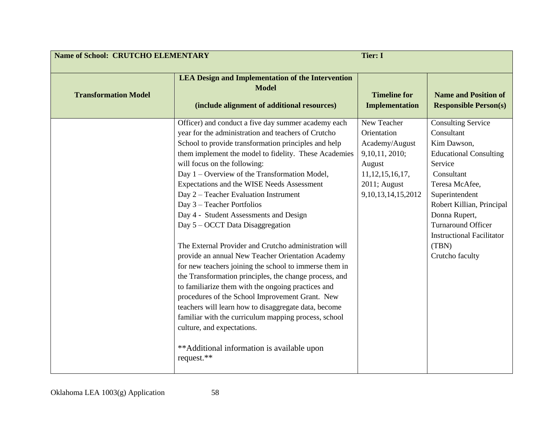|                             | <b>Name of School: CRUTCHO ELEMENTARY</b><br><b>Tier: I</b>                                                                                                                                                                                                                                                                                                                                                                                                                                                                                                                                                                                                                                                                                                                                                                                                                                                                                                                                                                                                          |                                                                                                                                            |                                                                                                                                                                                                                                                                                                 |
|-----------------------------|----------------------------------------------------------------------------------------------------------------------------------------------------------------------------------------------------------------------------------------------------------------------------------------------------------------------------------------------------------------------------------------------------------------------------------------------------------------------------------------------------------------------------------------------------------------------------------------------------------------------------------------------------------------------------------------------------------------------------------------------------------------------------------------------------------------------------------------------------------------------------------------------------------------------------------------------------------------------------------------------------------------------------------------------------------------------|--------------------------------------------------------------------------------------------------------------------------------------------|-------------------------------------------------------------------------------------------------------------------------------------------------------------------------------------------------------------------------------------------------------------------------------------------------|
| <b>Transformation Model</b> | <b>LEA Design and Implementation of the Intervention</b><br><b>Model</b><br>(include alignment of additional resources)                                                                                                                                                                                                                                                                                                                                                                                                                                                                                                                                                                                                                                                                                                                                                                                                                                                                                                                                              | <b>Timeline for</b><br><b>Implementation</b>                                                                                               | <b>Name and Position of</b><br><b>Responsible Person(s)</b>                                                                                                                                                                                                                                     |
|                             | Officer) and conduct a five day summer academy each<br>year for the administration and teachers of Crutcho<br>School to provide transformation principles and help<br>them implement the model to fidelity. These Academies<br>will focus on the following:<br>Day 1 – Overview of the Transformation Model,<br>Expectations and the WISE Needs Assessment<br>Day 2 – Teacher Evaluation Instrument<br>Day 3 - Teacher Portfolios<br>Day 4 - Student Assessments and Design<br>Day 5 – OCCT Data Disaggregation<br>The External Provider and Crutcho administration will<br>provide an annual New Teacher Orientation Academy<br>for new teachers joining the school to immerse them in<br>the Transformation principles, the change process, and<br>to familiarize them with the ongoing practices and<br>procedures of the School Improvement Grant. New<br>teachers will learn how to disaggregate data, become<br>familiar with the curriculum mapping process, school<br>culture, and expectations.<br>**Additional information is available upon<br>request.** | New Teacher<br>Orientation<br>Academy/August<br>9,10,11, 2010;<br>August<br>11, 12, 15, 16, 17,<br>2011; August<br>9, 10, 13, 14, 15, 2012 | <b>Consulting Service</b><br>Consultant<br>Kim Dawson,<br><b>Educational Consulting</b><br>Service<br>Consultant<br>Teresa McAfee,<br>Superintendent<br>Robert Killian, Principal<br>Donna Rupert,<br><b>Turnaround Officer</b><br><b>Instructional Facilitator</b><br>(TBN)<br>Crutcho faculty |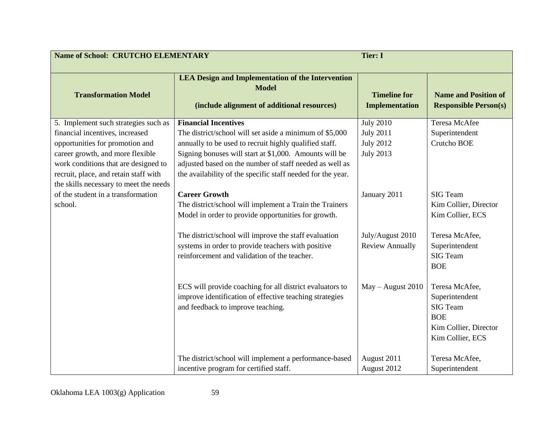| <b>Name of School: CRUTCHO ELEMENTARY</b>                                                                                                                                                                                       |                                                                                                                                                                                                                                                                                                                                      | <b>Tier: I</b>                                                               |                                                                                                                |
|---------------------------------------------------------------------------------------------------------------------------------------------------------------------------------------------------------------------------------|--------------------------------------------------------------------------------------------------------------------------------------------------------------------------------------------------------------------------------------------------------------------------------------------------------------------------------------|------------------------------------------------------------------------------|----------------------------------------------------------------------------------------------------------------|
| <b>Transformation Model</b>                                                                                                                                                                                                     | <b>LEA Design and Implementation of the Intervention</b><br><b>Model</b><br>(include alignment of additional resources)                                                                                                                                                                                                              | <b>Timeline for</b><br><b>Implementation</b>                                 | <b>Name and Position of</b><br><b>Responsible Person(s)</b>                                                    |
| 5. Implement such strategies such as<br>financial incentives, increased<br>opportunities for promotion and<br>career growth, and more flexible<br>work conditions that are designed to<br>recruit, place, and retain staff with | <b>Financial Incentives</b><br>The district/school will set aside a minimum of \$5,000<br>annually to be used to recruit highly qualified staff.<br>Signing bonuses will start at \$1,000. Amounts will be<br>adjusted based on the number of staff needed as well as<br>the availability of the specific staff needed for the year. | <b>July 2010</b><br><b>July 2011</b><br><b>July 2012</b><br><b>July 2013</b> | Teresa McAfee<br>Superintendent<br>Crutcho BOE                                                                 |
| the skills necessary to meet the needs<br>of the student in a transformation<br>school.                                                                                                                                         | <b>Career Growth</b><br>The district/school will implement a Train the Trainers<br>Model in order to provide opportunities for growth.<br>The district/school will improve the staff evaluation                                                                                                                                      | January 2011<br>July/August 2010                                             | <b>SIG Team</b><br>Kim Collier, Director<br>Kim Collier, ECS<br>Teresa McAfee,                                 |
|                                                                                                                                                                                                                                 | systems in order to provide teachers with positive<br>reinforcement and validation of the teacher.                                                                                                                                                                                                                                   | <b>Review Annually</b>                                                       | Superintendent<br><b>SIG Team</b><br><b>BOE</b>                                                                |
|                                                                                                                                                                                                                                 | ECS will provide coaching for all district evaluators to<br>improve identification of effective teaching strategies<br>and feedback to improve teaching.                                                                                                                                                                             | May - August 2010                                                            | Teresa McAfee,<br>Superintendent<br><b>SIG Team</b><br><b>BOE</b><br>Kim Collier, Director<br>Kim Collier, ECS |
|                                                                                                                                                                                                                                 | The district/school will implement a performance-based<br>incentive program for certified staff.                                                                                                                                                                                                                                     | August 2011<br>August 2012                                                   | Teresa McAfee,<br>Superintendent                                                                               |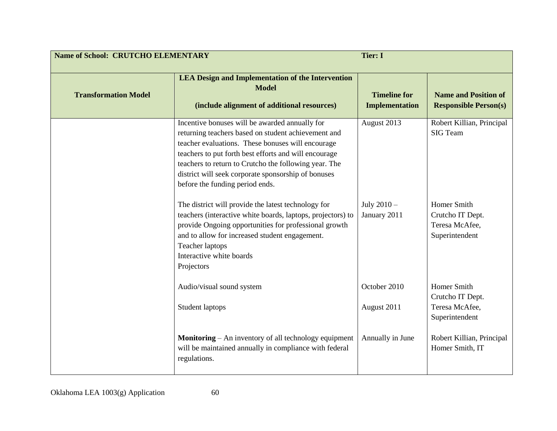| <b>Name of School: CRUTCHO ELEMENTARY</b> |                                                                                                                                                                                                                                                                                                                                                                        | <b>Tier: I</b>                               |                                                                     |
|-------------------------------------------|------------------------------------------------------------------------------------------------------------------------------------------------------------------------------------------------------------------------------------------------------------------------------------------------------------------------------------------------------------------------|----------------------------------------------|---------------------------------------------------------------------|
| <b>Transformation Model</b>               | <b>LEA Design and Implementation of the Intervention</b><br><b>Model</b><br>(include alignment of additional resources)                                                                                                                                                                                                                                                | <b>Timeline for</b><br><b>Implementation</b> | <b>Name and Position of</b><br><b>Responsible Person(s)</b>         |
|                                           | Incentive bonuses will be awarded annually for<br>returning teachers based on student achievement and<br>teacher evaluations. These bonuses will encourage<br>teachers to put forth best efforts and will encourage<br>teachers to return to Crutcho the following year. The<br>district will seek corporate sponsorship of bonuses<br>before the funding period ends. | August 2013                                  | Robert Killian, Principal<br><b>SIG Team</b>                        |
|                                           | The district will provide the latest technology for<br>teachers (interactive white boards, laptops, projectors) to<br>provide Ongoing opportunities for professional growth<br>and to allow for increased student engagement.<br><b>Teacher laptops</b><br>Interactive white boards<br>Projectors                                                                      | July $2010 -$<br>January 2011                | Homer Smith<br>Crutcho IT Dept.<br>Teresa McAfee,<br>Superintendent |
|                                           | Audio/visual sound system<br>Student laptops                                                                                                                                                                                                                                                                                                                           | October 2010<br>August 2011                  | Homer Smith<br>Crutcho IT Dept.<br>Teresa McAfee,<br>Superintendent |
|                                           | <b>Monitoring</b> – An inventory of all technology equipment<br>will be maintained annually in compliance with federal<br>regulations.                                                                                                                                                                                                                                 | Annually in June                             | Robert Killian, Principal<br>Homer Smith, IT                        |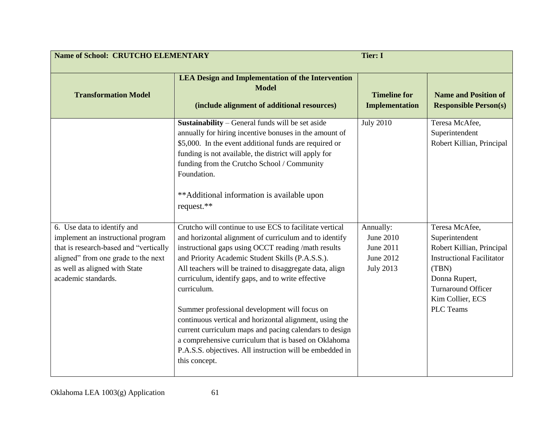| <b>Name of School: CRUTCHO ELEMENTARY</b>                                                                                                                                   | <b>Tier: I</b>                                                                                                                                                                                                                                                                                                                                                                                                                                                                                                                                                                                               |                                                         |                                                                                                                                                                                |
|-----------------------------------------------------------------------------------------------------------------------------------------------------------------------------|--------------------------------------------------------------------------------------------------------------------------------------------------------------------------------------------------------------------------------------------------------------------------------------------------------------------------------------------------------------------------------------------------------------------------------------------------------------------------------------------------------------------------------------------------------------------------------------------------------------|---------------------------------------------------------|--------------------------------------------------------------------------------------------------------------------------------------------------------------------------------|
| <b>Transformation Model</b>                                                                                                                                                 | <b>LEA Design and Implementation of the Intervention</b><br><b>Model</b><br>(include alignment of additional resources)                                                                                                                                                                                                                                                                                                                                                                                                                                                                                      | <b>Timeline for</b><br><b>Implementation</b>            | <b>Name and Position of</b><br><b>Responsible Person(s)</b>                                                                                                                    |
| 6. Use data to identify and                                                                                                                                                 | Sustainability – General funds will be set aside<br>annually for hiring incentive bonuses in the amount of<br>\$5,000. In the event additional funds are required or<br>funding is not available, the district will apply for<br>funding from the Crutcho School / Community<br>Foundation.<br>**Additional information is available upon<br>request.**<br>Crutcho will continue to use ECS to facilitate vertical                                                                                                                                                                                           | <b>July 2010</b><br>Annually:                           | Teresa McAfee,<br>Superintendent<br>Robert Killian, Principal<br>Teresa McAfee,                                                                                                |
| implement an instructional program<br>that is research-based and "vertically<br>aligned" from one grade to the next<br>as well as aligned with State<br>academic standards. | and horizontal alignment of curriculum and to identify<br>instructional gaps using OCCT reading /math results<br>and Priority Academic Student Skills (P.A.S.S.).<br>All teachers will be trained to disaggregate data, align<br>curriculum, identify gaps, and to write effective<br>curriculum.<br>Summer professional development will focus on<br>continuous vertical and horizontal alignment, using the<br>current curriculum maps and pacing calendars to design<br>a comprehensive curriculum that is based on Oklahoma<br>P.A.S.S. objectives. All instruction will be embedded in<br>this concept. | June 2010<br>June 2011<br>June 2012<br><b>July 2013</b> | Superintendent<br>Robert Killian, Principal<br><b>Instructional Facilitator</b><br>(TBN)<br>Donna Rupert,<br><b>Turnaround Officer</b><br>Kim Collier, ECS<br><b>PLC</b> Teams |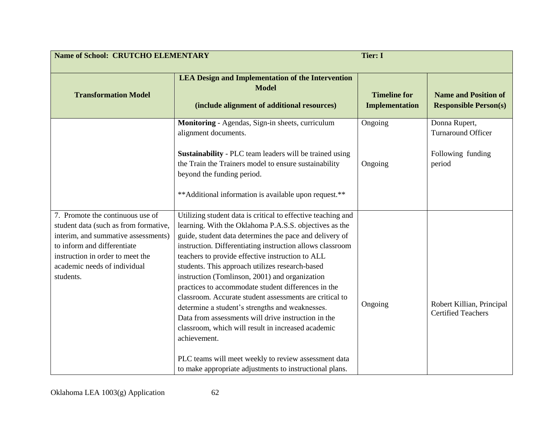| <b>Name of School: CRUTCHO ELEMENTARY</b>                                                                                                                                                                                        | <b>Tier: I</b>                                                                                                                                                                                                                                                                                                                                                                                                                                                                                                                                                                                                                                                                                                                                                                                                               |                                              |                                                                           |
|----------------------------------------------------------------------------------------------------------------------------------------------------------------------------------------------------------------------------------|------------------------------------------------------------------------------------------------------------------------------------------------------------------------------------------------------------------------------------------------------------------------------------------------------------------------------------------------------------------------------------------------------------------------------------------------------------------------------------------------------------------------------------------------------------------------------------------------------------------------------------------------------------------------------------------------------------------------------------------------------------------------------------------------------------------------------|----------------------------------------------|---------------------------------------------------------------------------|
| <b>Transformation Model</b>                                                                                                                                                                                                      | <b>LEA Design and Implementation of the Intervention</b><br><b>Model</b><br>(include alignment of additional resources)                                                                                                                                                                                                                                                                                                                                                                                                                                                                                                                                                                                                                                                                                                      | <b>Timeline for</b><br><b>Implementation</b> | <b>Name and Position of</b><br><b>Responsible Person(s)</b>               |
|                                                                                                                                                                                                                                  | Monitoring - Agendas, Sign-in sheets, curriculum<br>alignment documents.<br><b>Sustainability</b> - PLC team leaders will be trained using<br>the Train the Trainers model to ensure sustainability<br>beyond the funding period.<br>** Additional information is available upon request.**                                                                                                                                                                                                                                                                                                                                                                                                                                                                                                                                  | Ongoing<br>Ongoing                           | Donna Rupert,<br><b>Turnaround Officer</b><br>Following funding<br>period |
| 7. Promote the continuous use of<br>student data (such as from formative,<br>interim, and summative assessments)<br>to inform and differentiate<br>instruction in order to meet the<br>academic needs of individual<br>students. | Utilizing student data is critical to effective teaching and<br>learning. With the Oklahoma P.A.S.S. objectives as the<br>guide, student data determines the pace and delivery of<br>instruction. Differentiating instruction allows classroom<br>teachers to provide effective instruction to ALL<br>students. This approach utilizes research-based<br>instruction (Tomlinson, 2001) and organization<br>practices to accommodate student differences in the<br>classroom. Accurate student assessments are critical to<br>determine a student's strengths and weaknesses.<br>Data from assessments will drive instruction in the<br>classroom, which will result in increased academic<br>achievement.<br>PLC teams will meet weekly to review assessment data<br>to make appropriate adjustments to instructional plans. | Ongoing                                      | Robert Killian, Principal<br><b>Certified Teachers</b>                    |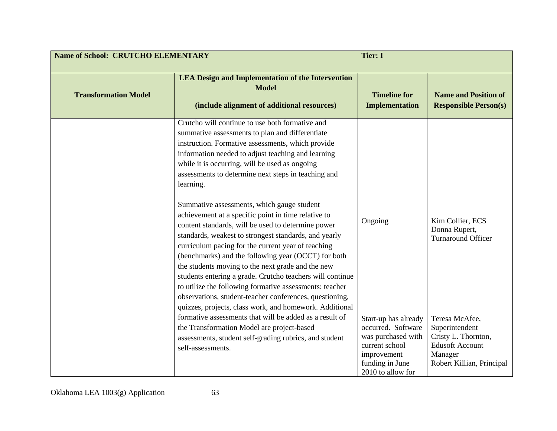| <b>Name of School: CRUTCHO ELEMENTARY</b><br><b>Tier: I</b> |                                                                                                                                                                                                                                                                                                                                                                                                                                                                                                                                                                                                                                                                                                                                                                                                                                                                                                                                                                         |                                                                                                                                           |                                                                                                                           |
|-------------------------------------------------------------|-------------------------------------------------------------------------------------------------------------------------------------------------------------------------------------------------------------------------------------------------------------------------------------------------------------------------------------------------------------------------------------------------------------------------------------------------------------------------------------------------------------------------------------------------------------------------------------------------------------------------------------------------------------------------------------------------------------------------------------------------------------------------------------------------------------------------------------------------------------------------------------------------------------------------------------------------------------------------|-------------------------------------------------------------------------------------------------------------------------------------------|---------------------------------------------------------------------------------------------------------------------------|
| <b>Transformation Model</b>                                 | <b>LEA Design and Implementation of the Intervention</b><br><b>Model</b><br>(include alignment of additional resources)                                                                                                                                                                                                                                                                                                                                                                                                                                                                                                                                                                                                                                                                                                                                                                                                                                                 | <b>Timeline for</b><br><b>Implementation</b>                                                                                              | <b>Name and Position of</b><br><b>Responsible Person(s)</b>                                                               |
|                                                             | Crutcho will continue to use both formative and<br>summative assessments to plan and differentiate<br>instruction. Formative assessments, which provide<br>information needed to adjust teaching and learning<br>while it is occurring, will be used as ongoing<br>assessments to determine next steps in teaching and<br>learning.<br>Summative assessments, which gauge student<br>achievement at a specific point in time relative to<br>content standards, will be used to determine power<br>standards, weakest to strongest standards, and yearly<br>curriculum pacing for the current year of teaching<br>(benchmarks) and the following year (OCCT) for both<br>the students moving to the next grade and the new<br>students entering a grade. Crutcho teachers will continue<br>to utilize the following formative assessments: teacher<br>observations, student-teacher conferences, questioning,<br>quizzes, projects, class work, and homework. Additional | Ongoing                                                                                                                                   | Kim Collier, ECS<br>Donna Rupert,<br><b>Turnaround Officer</b>                                                            |
|                                                             | formative assessments that will be added as a result of<br>the Transformation Model are project-based<br>assessments, student self-grading rubrics, and student<br>self-assessments.                                                                                                                                                                                                                                                                                                                                                                                                                                                                                                                                                                                                                                                                                                                                                                                    | Start-up has already<br>occurred. Software<br>was purchased with<br>current school<br>improvement<br>funding in June<br>2010 to allow for | Teresa McAfee,<br>Superintendent<br>Cristy L. Thornton,<br><b>Edusoft Account</b><br>Manager<br>Robert Killian, Principal |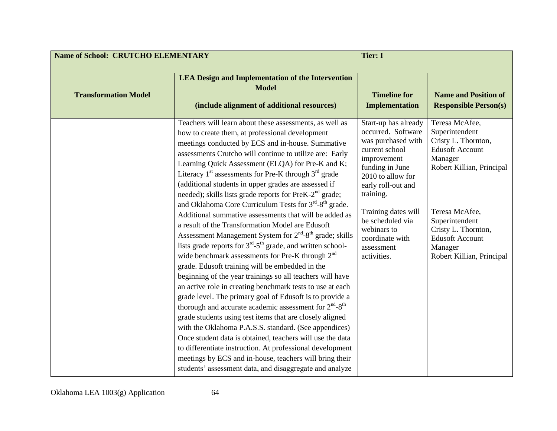| <b>Name of School: CRUTCHO ELEMENTARY</b> |                                                                                                                                                                                                                                                                                                                                                                                                                                                                                                                                                                                                                                                                                                                                                                                                                                                                                                                                                                                                                                                                                                                                                                                                                                                                                                                                                                                                                                                                                                                                                                        | <b>Tier: I</b>                                                                                                                                                                                                                                                                         |                                                                                                                                                                                                                                                        |
|-------------------------------------------|------------------------------------------------------------------------------------------------------------------------------------------------------------------------------------------------------------------------------------------------------------------------------------------------------------------------------------------------------------------------------------------------------------------------------------------------------------------------------------------------------------------------------------------------------------------------------------------------------------------------------------------------------------------------------------------------------------------------------------------------------------------------------------------------------------------------------------------------------------------------------------------------------------------------------------------------------------------------------------------------------------------------------------------------------------------------------------------------------------------------------------------------------------------------------------------------------------------------------------------------------------------------------------------------------------------------------------------------------------------------------------------------------------------------------------------------------------------------------------------------------------------------------------------------------------------------|----------------------------------------------------------------------------------------------------------------------------------------------------------------------------------------------------------------------------------------------------------------------------------------|--------------------------------------------------------------------------------------------------------------------------------------------------------------------------------------------------------------------------------------------------------|
| <b>Transformation Model</b>               | <b>LEA Design and Implementation of the Intervention</b><br><b>Model</b><br>(include alignment of additional resources)                                                                                                                                                                                                                                                                                                                                                                                                                                                                                                                                                                                                                                                                                                                                                                                                                                                                                                                                                                                                                                                                                                                                                                                                                                                                                                                                                                                                                                                | <b>Timeline for</b><br><b>Implementation</b>                                                                                                                                                                                                                                           | <b>Name and Position of</b><br><b>Responsible Person(s)</b>                                                                                                                                                                                            |
|                                           | Teachers will learn about these assessments, as well as<br>how to create them, at professional development<br>meetings conducted by ECS and in-house. Summative<br>assessments Crutcho will continue to utilize are: Early<br>Learning Quick Assessment (ELQA) for Pre-K and K;<br>Literacy $1st$ assessments for Pre-K through $3rd$ grade<br>(additional students in upper grades are assessed if<br>needed); skills lists grade reports for PreK-2 <sup>nd</sup> grade;<br>and Oklahoma Core Curriculum Tests for 3 <sup>rd</sup> -8 <sup>th</sup> grade.<br>Additional summative assessments that will be added as<br>a result of the Transformation Model are Edusoft<br>Assessment Management System for 2 <sup>nd</sup> -8 <sup>th</sup> grade; skills<br>lists grade reports for $3rd-5th$ grade, and written school-<br>wide benchmark assessments for Pre-K through 2 <sup>nd</sup><br>grade. Edusoft training will be embedded in the<br>beginning of the year trainings so all teachers will have<br>an active role in creating benchmark tests to use at each<br>grade level. The primary goal of Edusoft is to provide a<br>thorough and accurate academic assessment for $2nd-8th$<br>grade students using test items that are closely aligned<br>with the Oklahoma P.A.S.S. standard. (See appendices)<br>Once student data is obtained, teachers will use the data<br>to differentiate instruction. At professional development<br>meetings by ECS and in-house, teachers will bring their<br>students' assessment data, and disaggregate and analyze | Start-up has already<br>occurred. Software<br>was purchased with<br>current school<br>improvement<br>funding in June<br>2010 to allow for<br>early roll-out and<br>training.<br>Training dates will<br>be scheduled via<br>webinars to<br>coordinate with<br>assessment<br>activities. | Teresa McAfee,<br>Superintendent<br>Cristy L. Thornton,<br><b>Edusoft Account</b><br>Manager<br>Robert Killian, Principal<br>Teresa McAfee,<br>Superintendent<br>Cristy L. Thornton,<br><b>Edusoft Account</b><br>Manager<br>Robert Killian, Principal |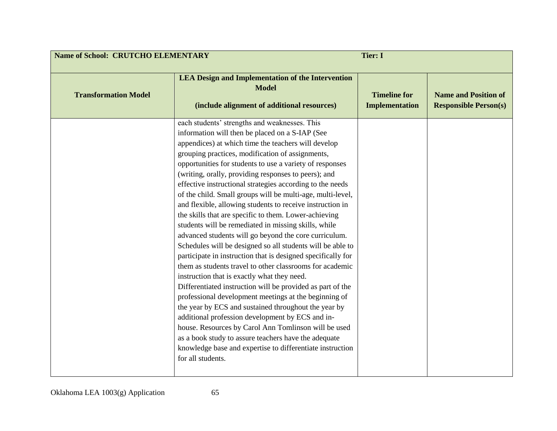| <b>Name of School: CRUTCHO ELEMENTARY</b><br><b>Tier: I</b> |                                                                                                                                                                                                                                                                                                                                                                                                                                                                                                                                                                                                                                                                                                                                                                                                                                                                                                                                                                                                                                                                                                                                                                                                                                                                                                                                                                                 |                                              |                                                             |
|-------------------------------------------------------------|---------------------------------------------------------------------------------------------------------------------------------------------------------------------------------------------------------------------------------------------------------------------------------------------------------------------------------------------------------------------------------------------------------------------------------------------------------------------------------------------------------------------------------------------------------------------------------------------------------------------------------------------------------------------------------------------------------------------------------------------------------------------------------------------------------------------------------------------------------------------------------------------------------------------------------------------------------------------------------------------------------------------------------------------------------------------------------------------------------------------------------------------------------------------------------------------------------------------------------------------------------------------------------------------------------------------------------------------------------------------------------|----------------------------------------------|-------------------------------------------------------------|
| <b>Transformation Model</b>                                 | <b>LEA Design and Implementation of the Intervention</b><br><b>Model</b><br>(include alignment of additional resources)                                                                                                                                                                                                                                                                                                                                                                                                                                                                                                                                                                                                                                                                                                                                                                                                                                                                                                                                                                                                                                                                                                                                                                                                                                                         | <b>Timeline for</b><br><b>Implementation</b> | <b>Name and Position of</b><br><b>Responsible Person(s)</b> |
|                                                             | each students' strengths and weaknesses. This<br>information will then be placed on a S-IAP (See<br>appendices) at which time the teachers will develop<br>grouping practices, modification of assignments,<br>opportunities for students to use a variety of responses<br>(writing, orally, providing responses to peers); and<br>effective instructional strategies according to the needs<br>of the child. Small groups will be multi-age, multi-level,<br>and flexible, allowing students to receive instruction in<br>the skills that are specific to them. Lower-achieving<br>students will be remediated in missing skills, while<br>advanced students will go beyond the core curriculum.<br>Schedules will be designed so all students will be able to<br>participate in instruction that is designed specifically for<br>them as students travel to other classrooms for academic<br>instruction that is exactly what they need.<br>Differentiated instruction will be provided as part of the<br>professional development meetings at the beginning of<br>the year by ECS and sustained throughout the year by<br>additional profession development by ECS and in-<br>house. Resources by Carol Ann Tomlinson will be used<br>as a book study to assure teachers have the adequate<br>knowledge base and expertise to differentiate instruction<br>for all students. |                                              |                                                             |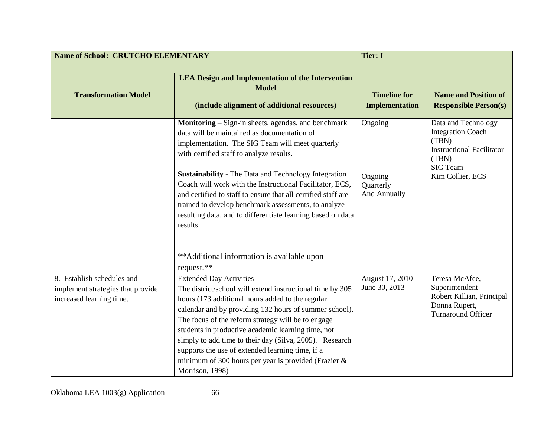| <b>Name of School: CRUTCHO ELEMENTARY</b>                                                   | <b>Tier: I</b>                                                                                                                                                                                                                                                                                                                                                                                                                                                                                                                    |                                                 |                                                                                                                                       |
|---------------------------------------------------------------------------------------------|-----------------------------------------------------------------------------------------------------------------------------------------------------------------------------------------------------------------------------------------------------------------------------------------------------------------------------------------------------------------------------------------------------------------------------------------------------------------------------------------------------------------------------------|-------------------------------------------------|---------------------------------------------------------------------------------------------------------------------------------------|
| <b>Transformation Model</b>                                                                 | <b>LEA Design and Implementation of the Intervention</b><br><b>Model</b><br>(include alignment of additional resources)                                                                                                                                                                                                                                                                                                                                                                                                           | <b>Timeline for</b><br><b>Implementation</b>    | <b>Name and Position of</b><br><b>Responsible Person(s)</b>                                                                           |
|                                                                                             | Monitoring – Sign-in sheets, agendas, and benchmark<br>data will be maintained as documentation of<br>implementation. The SIG Team will meet quarterly<br>with certified staff to analyze results.<br><b>Sustainability</b> - The Data and Technology Integration<br>Coach will work with the Instructional Facilitator, ECS,<br>and certified to staff to ensure that all certified staff are<br>trained to develop benchmark assessments, to analyze<br>resulting data, and to differentiate learning based on data<br>results. | Ongoing<br>Ongoing<br>Quarterly<br>And Annually | Data and Technology<br><b>Integration Coach</b><br>(TBN)<br><b>Instructional Facilitator</b><br>(TBN)<br>SIG Team<br>Kim Collier, ECS |
|                                                                                             | **Additional information is available upon<br>request.**                                                                                                                                                                                                                                                                                                                                                                                                                                                                          |                                                 |                                                                                                                                       |
| 8. Establish schedules and<br>implement strategies that provide<br>increased learning time. | <b>Extended Day Activities</b><br>The district/school will extend instructional time by 305<br>hours (173 additional hours added to the regular<br>calendar and by providing 132 hours of summer school).<br>The focus of the reform strategy will be to engage<br>students in productive academic learning time, not<br>simply to add time to their day (Silva, 2005). Research<br>supports the use of extended learning time, if a<br>minimum of 300 hours per year is provided (Frazier &<br>Morrison, 1998)                   | August 17, 2010 -<br>June 30, 2013              | Teresa McAfee,<br>Superintendent<br>Robert Killian, Principal<br>Donna Rupert,<br><b>Turnaround Officer</b>                           |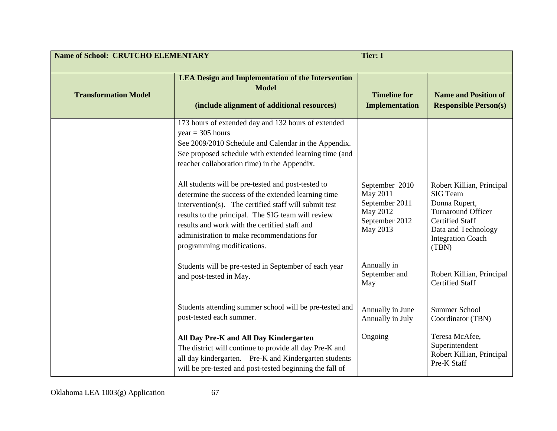| <b>Name of School: CRUTCHO ELEMENTARY</b><br><b>Tier: I</b> |                                                                                                                                                                                                                                                                                                                                                       |                                                                                        |                                                                                                                                                                                  |
|-------------------------------------------------------------|-------------------------------------------------------------------------------------------------------------------------------------------------------------------------------------------------------------------------------------------------------------------------------------------------------------------------------------------------------|----------------------------------------------------------------------------------------|----------------------------------------------------------------------------------------------------------------------------------------------------------------------------------|
| <b>Transformation Model</b>                                 | <b>LEA Design and Implementation of the Intervention</b><br><b>Model</b><br>(include alignment of additional resources)                                                                                                                                                                                                                               | <b>Timeline for</b><br><b>Implementation</b>                                           | <b>Name and Position of</b><br><b>Responsible Person(s)</b>                                                                                                                      |
|                                                             | 173 hours of extended day and 132 hours of extended<br>$year = 305 hours$<br>See 2009/2010 Schedule and Calendar in the Appendix.<br>See proposed schedule with extended learning time (and<br>teacher collaboration time) in the Appendix.                                                                                                           |                                                                                        |                                                                                                                                                                                  |
|                                                             | All students will be pre-tested and post-tested to<br>determine the success of the extended learning time<br>intervention(s). The certified staff will submit test<br>results to the principal. The SIG team will review<br>results and work with the certified staff and<br>administration to make recommendations for<br>programming modifications. | September 2010<br>May 2011<br>September 2011<br>May 2012<br>September 2012<br>May 2013 | Robert Killian, Principal<br><b>SIG Team</b><br>Donna Rupert,<br><b>Turnaround Officer</b><br><b>Certified Staff</b><br>Data and Technology<br><b>Integration Coach</b><br>(TBN) |
|                                                             | Students will be pre-tested in September of each year<br>and post-tested in May.                                                                                                                                                                                                                                                                      | Annually in<br>September and<br>May                                                    | Robert Killian, Principal<br><b>Certified Staff</b>                                                                                                                              |
|                                                             | Students attending summer school will be pre-tested and<br>post-tested each summer.                                                                                                                                                                                                                                                                   | Annually in June<br>Annually in July                                                   | Summer School<br>Coordinator (TBN)                                                                                                                                               |
|                                                             | All Day Pre-K and All Day Kindergarten<br>The district will continue to provide all day Pre-K and<br>all day kindergarten. Pre-K and Kindergarten students<br>will be pre-tested and post-tested beginning the fall of                                                                                                                                | Ongoing                                                                                | Teresa McAfee,<br>Superintendent<br>Robert Killian, Principal<br>Pre-K Staff                                                                                                     |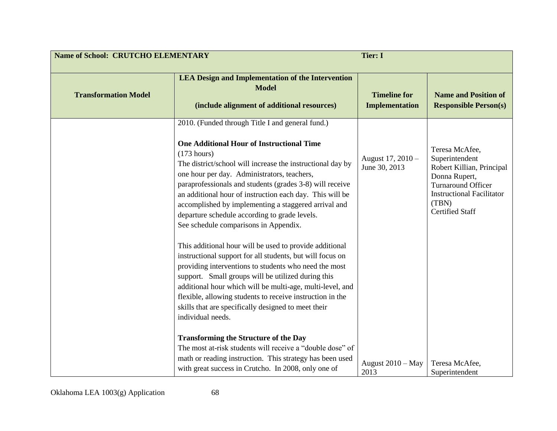| <b>Name of School: CRUTCHO ELEMENTARY</b> |                                                                                                                                                                                                                                                                                                                                                                                                                                                                                                                                                                                                                                                                                                                                                                                                                                                                                                                                                                                                                                                                        | <b>Tier: I</b>                               |                                                                                                                                                                                    |
|-------------------------------------------|------------------------------------------------------------------------------------------------------------------------------------------------------------------------------------------------------------------------------------------------------------------------------------------------------------------------------------------------------------------------------------------------------------------------------------------------------------------------------------------------------------------------------------------------------------------------------------------------------------------------------------------------------------------------------------------------------------------------------------------------------------------------------------------------------------------------------------------------------------------------------------------------------------------------------------------------------------------------------------------------------------------------------------------------------------------------|----------------------------------------------|------------------------------------------------------------------------------------------------------------------------------------------------------------------------------------|
| <b>Transformation Model</b>               | <b>LEA Design and Implementation of the Intervention</b><br><b>Model</b><br>(include alignment of additional resources)                                                                                                                                                                                                                                                                                                                                                                                                                                                                                                                                                                                                                                                                                                                                                                                                                                                                                                                                                | <b>Timeline for</b><br><b>Implementation</b> | <b>Name and Position of</b><br><b>Responsible Person(s)</b>                                                                                                                        |
|                                           | 2010. (Funded through Title I and general fund.)<br><b>One Additional Hour of Instructional Time</b><br>$(173$ hours)<br>The district/school will increase the instructional day by<br>one hour per day. Administrators, teachers,<br>paraprofessionals and students (grades 3-8) will receive<br>an additional hour of instruction each day. This will be<br>accomplished by implementing a staggered arrival and<br>departure schedule according to grade levels.<br>See schedule comparisons in Appendix.<br>This additional hour will be used to provide additional<br>instructional support for all students, but will focus on<br>providing interventions to students who need the most<br>support. Small groups will be utilized during this<br>additional hour which will be multi-age, multi-level, and<br>flexible, allowing students to receive instruction in the<br>skills that are specifically designed to meet their<br>individual needs.<br><b>Transforming the Structure of the Day</b><br>The most at-risk students will receive a "double dose" of | August 17, 2010 -<br>June 30, 2013           | Teresa McAfee,<br>Superintendent<br>Robert Killian, Principal<br>Donna Rupert,<br><b>Turnaround Officer</b><br><b>Instructional Facilitator</b><br>(TBN)<br><b>Certified Staff</b> |
|                                           | math or reading instruction. This strategy has been used<br>with great success in Crutcho. In 2008, only one of                                                                                                                                                                                                                                                                                                                                                                                                                                                                                                                                                                                                                                                                                                                                                                                                                                                                                                                                                        | August 2010 - May<br>2013                    | Teresa McAfee,<br>Superintendent                                                                                                                                                   |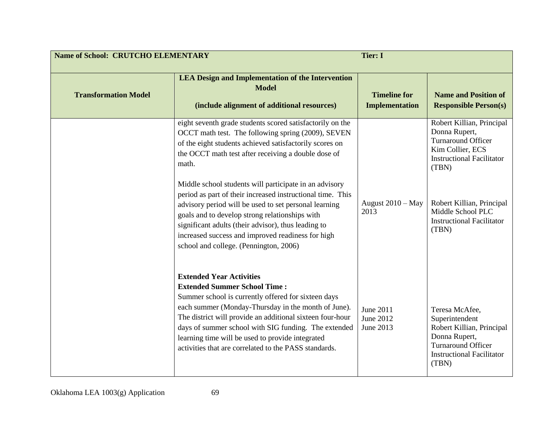| <b>Name of School: CRUTCHO ELEMENTARY</b><br><b>Tier: I</b> |                                                                                                                                                                                                                                                                                                                                                                                                                        |                                              |                                                                                                                                                          |
|-------------------------------------------------------------|------------------------------------------------------------------------------------------------------------------------------------------------------------------------------------------------------------------------------------------------------------------------------------------------------------------------------------------------------------------------------------------------------------------------|----------------------------------------------|----------------------------------------------------------------------------------------------------------------------------------------------------------|
| <b>Transformation Model</b>                                 | <b>LEA Design and Implementation of the Intervention</b><br><b>Model</b><br>(include alignment of additional resources)                                                                                                                                                                                                                                                                                                | <b>Timeline for</b><br><b>Implementation</b> | <b>Name and Position of</b><br><b>Responsible Person(s)</b>                                                                                              |
|                                                             | eight seventh grade students scored satisfactorily on the<br>OCCT math test. The following spring (2009), SEVEN<br>of the eight students achieved satisfactorily scores on<br>the OCCT math test after receiving a double dose of<br>math.                                                                                                                                                                             |                                              | Robert Killian, Principal<br>Donna Rupert,<br><b>Turnaround Officer</b><br>Kim Collier, ECS<br><b>Instructional Facilitator</b><br>(TBN)                 |
|                                                             | Middle school students will participate in an advisory<br>period as part of their increased instructional time. This<br>advisory period will be used to set personal learning<br>goals and to develop strong relationships with<br>significant adults (their advisor), thus leading to<br>increased success and improved readiness for high<br>school and college. (Pennington, 2006)                                  | August 2010 - May<br>2013                    | Robert Killian, Principal<br>Middle School PLC<br><b>Instructional Facilitator</b><br>(TBN)                                                              |
|                                                             | <b>Extended Year Activities</b><br><b>Extended Summer School Time:</b><br>Summer school is currently offered for sixteen days<br>each summer (Monday-Thursday in the month of June).<br>The district will provide an additional sixteen four-hour<br>days of summer school with SIG funding. The extended<br>learning time will be used to provide integrated<br>activities that are correlated to the PASS standards. | June 2011<br>June 2012<br>June 2013          | Teresa McAfee,<br>Superintendent<br>Robert Killian, Principal<br>Donna Rupert,<br><b>Turnaround Officer</b><br><b>Instructional Facilitator</b><br>(TBN) |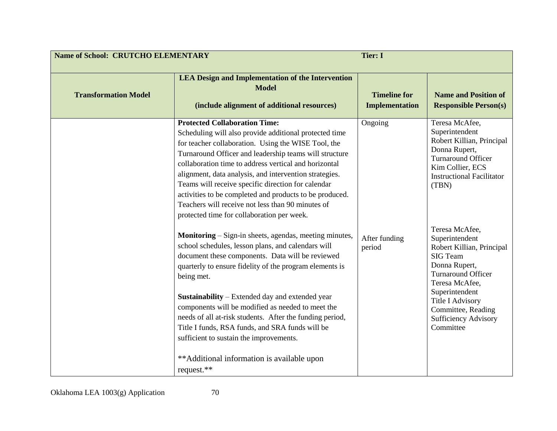| <b>Name of School: CRUTCHO ELEMENTARY</b> |                                                                                                                                                                                                                                                                                                                                                                                                                                                                                                                                                                  | <b>Tier: I</b>                               |                                                                                                                                                                                                                                                                 |
|-------------------------------------------|------------------------------------------------------------------------------------------------------------------------------------------------------------------------------------------------------------------------------------------------------------------------------------------------------------------------------------------------------------------------------------------------------------------------------------------------------------------------------------------------------------------------------------------------------------------|----------------------------------------------|-----------------------------------------------------------------------------------------------------------------------------------------------------------------------------------------------------------------------------------------------------------------|
| <b>Transformation Model</b>               | <b>LEA Design and Implementation of the Intervention</b><br><b>Model</b><br>(include alignment of additional resources)                                                                                                                                                                                                                                                                                                                                                                                                                                          | <b>Timeline for</b><br><b>Implementation</b> | <b>Name and Position of</b><br><b>Responsible Person(s)</b>                                                                                                                                                                                                     |
|                                           | <b>Protected Collaboration Time:</b><br>Scheduling will also provide additional protected time<br>for teacher collaboration. Using the WISE Tool, the<br>Turnaround Officer and leadership teams will structure<br>collaboration time to address vertical and horizontal<br>alignment, data analysis, and intervention strategies.<br>Teams will receive specific direction for calendar<br>activities to be completed and products to be produced.<br>Teachers will receive not less than 90 minutes of<br>protected time for collaboration per week.           | Ongoing                                      | Teresa McAfee,<br>Superintendent<br>Robert Killian, Principal<br>Donna Rupert,<br><b>Turnaround Officer</b><br>Kim Collier, ECS<br><b>Instructional Facilitator</b><br>(TBN)                                                                                    |
|                                           | <b>Monitoring</b> – Sign-in sheets, agendas, meeting minutes,<br>school schedules, lesson plans, and calendars will<br>document these components. Data will be reviewed<br>quarterly to ensure fidelity of the program elements is<br>being met.<br>Sustainability - Extended day and extended year<br>components will be modified as needed to meet the<br>needs of all at-risk students. After the funding period,<br>Title I funds, RSA funds, and SRA funds will be<br>sufficient to sustain the improvements.<br>**Additional information is available upon | After funding<br>period                      | Teresa McAfee,<br>Superintendent<br>Robert Killian, Principal<br><b>SIG</b> Team<br>Donna Rupert,<br><b>Turnaround Officer</b><br>Teresa McAfee,<br>Superintendent<br><b>Title I Advisory</b><br>Committee, Reading<br><b>Sufficiency Advisory</b><br>Committee |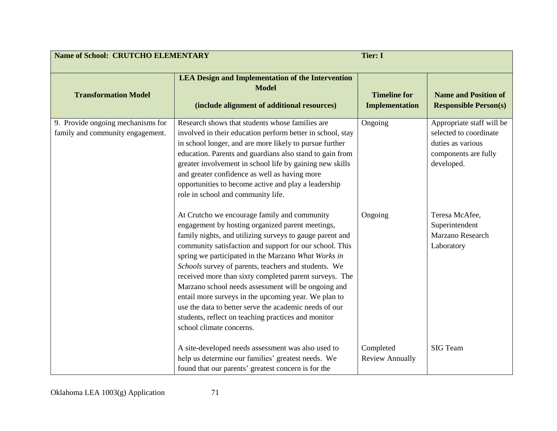| <b>Name of School: CRUTCHO ELEMENTARY</b>                             |                                                                                                                                                                                                                                                                                                                                                                                                                                                                                                                                                                                                                                                              | <b>Tier: I</b>                               |                                                                                                                |
|-----------------------------------------------------------------------|--------------------------------------------------------------------------------------------------------------------------------------------------------------------------------------------------------------------------------------------------------------------------------------------------------------------------------------------------------------------------------------------------------------------------------------------------------------------------------------------------------------------------------------------------------------------------------------------------------------------------------------------------------------|----------------------------------------------|----------------------------------------------------------------------------------------------------------------|
| <b>Transformation Model</b>                                           | <b>LEA Design and Implementation of the Intervention</b><br><b>Model</b><br>(include alignment of additional resources)                                                                                                                                                                                                                                                                                                                                                                                                                                                                                                                                      | <b>Timeline for</b><br><b>Implementation</b> | <b>Name and Position of</b><br><b>Responsible Person(s)</b>                                                    |
| 9. Provide ongoing mechanisms for<br>family and community engagement. | Research shows that students whose families are<br>involved in their education perform better in school, stay<br>in school longer, and are more likely to pursue further<br>education. Parents and guardians also stand to gain from<br>greater involvement in school life by gaining new skills<br>and greater confidence as well as having more<br>opportunities to become active and play a leadership<br>role in school and community life.                                                                                                                                                                                                              | Ongoing                                      | Appropriate staff will be<br>selected to coordinate<br>duties as various<br>components are fully<br>developed. |
|                                                                       | At Crutcho we encourage family and community<br>engagement by hosting organized parent meetings,<br>family nights, and utilizing surveys to gauge parent and<br>community satisfaction and support for our school. This<br>spring we participated in the Marzano What Works in<br>Schools survey of parents, teachers and students. We<br>received more than sixty completed parent surveys. The<br>Marzano school needs assessment will be ongoing and<br>entail more surveys in the upcoming year. We plan to<br>use the data to better serve the academic needs of our<br>students, reflect on teaching practices and monitor<br>school climate concerns. | Ongoing                                      | Teresa McAfee,<br>Superintendent<br>Marzano Research<br>Laboratory                                             |
|                                                                       | A site-developed needs assessment was also used to<br>help us determine our families' greatest needs. We<br>found that our parents' greatest concern is for the                                                                                                                                                                                                                                                                                                                                                                                                                                                                                              | Completed<br><b>Review Annually</b>          | <b>SIG</b> Team                                                                                                |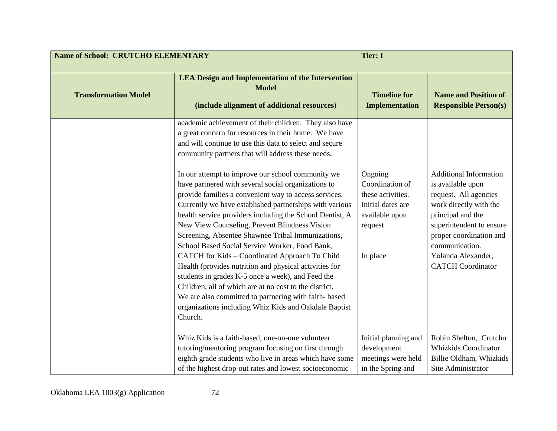| <b>Name of School: CRUTCHO ELEMENTARY</b> |                                                                                                                                                                                                                                                                                                                                                                                                                                                                                                                                                                                                                                                                                                                                      | <b>Tier: I</b>                                                                                                |                                                                                                                                                                                                                                                       |
|-------------------------------------------|--------------------------------------------------------------------------------------------------------------------------------------------------------------------------------------------------------------------------------------------------------------------------------------------------------------------------------------------------------------------------------------------------------------------------------------------------------------------------------------------------------------------------------------------------------------------------------------------------------------------------------------------------------------------------------------------------------------------------------------|---------------------------------------------------------------------------------------------------------------|-------------------------------------------------------------------------------------------------------------------------------------------------------------------------------------------------------------------------------------------------------|
| <b>Transformation Model</b>               | <b>LEA Design and Implementation of the Intervention</b><br><b>Model</b><br>(include alignment of additional resources)                                                                                                                                                                                                                                                                                                                                                                                                                                                                                                                                                                                                              | <b>Timeline for</b><br><b>Implementation</b>                                                                  | <b>Name and Position of</b><br><b>Responsible Person(s)</b>                                                                                                                                                                                           |
|                                           | academic achievement of their children. They also have<br>a great concern for resources in their home. We have<br>and will continue to use this data to select and secure<br>community partners that will address these needs.                                                                                                                                                                                                                                                                                                                                                                                                                                                                                                       |                                                                                                               |                                                                                                                                                                                                                                                       |
|                                           | In our attempt to improve our school community we<br>have partnered with several social organizations to<br>provide families a convenient way to access services.<br>Currently we have established partnerships with various<br>health service providers including the School Dentist, A<br>New View Counseling, Prevent Blindness Vision<br>Screening, Absentee Shawnee Tribal Immunizations,<br>School Based Social Service Worker, Food Bank,<br>CATCH for Kids - Coordinated Approach To Child<br>Health (provides nutrition and physical activities for<br>students in grades K-5 once a week), and Feed the<br>Children, all of which are at no cost to the district.<br>We are also committed to partnering with faith- based | Ongoing<br>Coordination of<br>these activities.<br>Initial dates are<br>available upon<br>request<br>In place | <b>Additional Information</b><br>is available upon<br>request. All agencies<br>work directly with the<br>principal and the<br>superintendent to ensure<br>proper coordination and<br>communication.<br>Yolanda Alexander,<br><b>CATCH</b> Coordinator |
|                                           | organizations including Whiz Kids and Oakdale Baptist<br>Church.<br>Whiz Kids is a faith-based, one-on-one volunteer<br>tutoring/mentoring program focusing on first through<br>eighth grade students who live in areas which have some<br>of the highest drop-out rates and lowest socioeconomic                                                                                                                                                                                                                                                                                                                                                                                                                                    | Initial planning and<br>development<br>meetings were held<br>in the Spring and                                | Robin Shelton, Crutcho<br>Whizkids Coordinator<br>Billie Oldham, Whizkids<br>Site Administrator                                                                                                                                                       |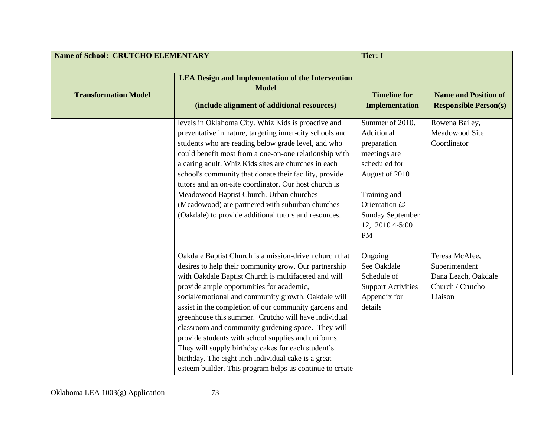| <b>Name of School: CRUTCHO ELEMENTARY</b> |                                                                                                                                                                                                                                                                                                                                                                                                                                                                                                                                                                                                                                                                                    | <b>Tier: I</b>                                                                                                                                                                              |                                                                                        |
|-------------------------------------------|------------------------------------------------------------------------------------------------------------------------------------------------------------------------------------------------------------------------------------------------------------------------------------------------------------------------------------------------------------------------------------------------------------------------------------------------------------------------------------------------------------------------------------------------------------------------------------------------------------------------------------------------------------------------------------|---------------------------------------------------------------------------------------------------------------------------------------------------------------------------------------------|----------------------------------------------------------------------------------------|
| <b>Transformation Model</b>               | <b>LEA Design and Implementation of the Intervention</b><br><b>Model</b><br>(include alignment of additional resources)                                                                                                                                                                                                                                                                                                                                                                                                                                                                                                                                                            | <b>Timeline for</b><br><b>Implementation</b>                                                                                                                                                | <b>Name and Position of</b><br><b>Responsible Person(s)</b>                            |
|                                           | levels in Oklahoma City. Whiz Kids is proactive and<br>preventative in nature, targeting inner-city schools and<br>students who are reading below grade level, and who<br>could benefit most from a one-on-one relationship with<br>a caring adult. Whiz Kids sites are churches in each<br>school's community that donate their facility, provide<br>tutors and an on-site coordinator. Our host church is<br>Meadowood Baptist Church. Urban churches<br>(Meadowood) are partnered with suburban churches<br>(Oakdale) to provide additional tutors and resources.                                                                                                               | Summer of 2010.<br>Additional<br>preparation<br>meetings are<br>scheduled for<br>August of 2010<br>Training and<br>Orientation @<br><b>Sunday September</b><br>12, 2010 4-5:00<br><b>PM</b> | Rowena Bailey,<br>Meadowood Site<br>Coordinator                                        |
|                                           | Oakdale Baptist Church is a mission-driven church that<br>desires to help their community grow. Our partnership<br>with Oakdale Baptist Church is multifaceted and will<br>provide ample opportunities for academic,<br>social/emotional and community growth. Oakdale will<br>assist in the completion of our community gardens and<br>greenhouse this summer. Crutcho will have individual<br>classroom and community gardening space. They will<br>provide students with school supplies and uniforms.<br>They will supply birthday cakes for each student's<br>birthday. The eight inch individual cake is a great<br>esteem builder. This program helps us continue to create | Ongoing<br>See Oakdale<br>Schedule of<br><b>Support Activities</b><br>Appendix for<br>details                                                                                               | Teresa McAfee,<br>Superintendent<br>Dana Leach, Oakdale<br>Church / Crutcho<br>Liaison |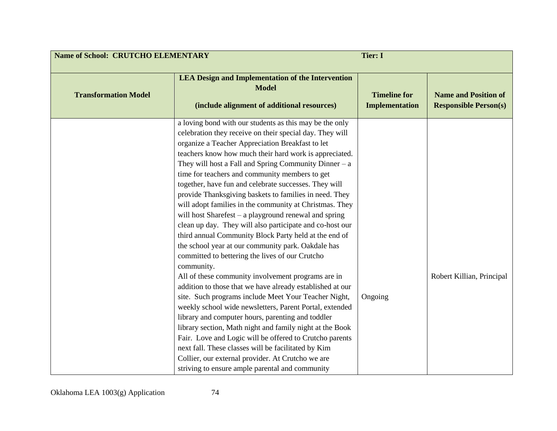| <b>Name of School: CRUTCHO ELEMENTARY</b><br><b>Tier: I</b> |                                                                                                                                                                                                                                                                                                                                                                                                                                                                                                                                                                                                                                                                                                                                                                                                                                                                                                                                                                                                                                                                                                                                                                                                                                                                                                                                                                                                                    |                                              |                                                             |
|-------------------------------------------------------------|--------------------------------------------------------------------------------------------------------------------------------------------------------------------------------------------------------------------------------------------------------------------------------------------------------------------------------------------------------------------------------------------------------------------------------------------------------------------------------------------------------------------------------------------------------------------------------------------------------------------------------------------------------------------------------------------------------------------------------------------------------------------------------------------------------------------------------------------------------------------------------------------------------------------------------------------------------------------------------------------------------------------------------------------------------------------------------------------------------------------------------------------------------------------------------------------------------------------------------------------------------------------------------------------------------------------------------------------------------------------------------------------------------------------|----------------------------------------------|-------------------------------------------------------------|
| <b>Transformation Model</b>                                 | <b>LEA Design and Implementation of the Intervention</b><br><b>Model</b><br>(include alignment of additional resources)                                                                                                                                                                                                                                                                                                                                                                                                                                                                                                                                                                                                                                                                                                                                                                                                                                                                                                                                                                                                                                                                                                                                                                                                                                                                                            | <b>Timeline for</b><br><b>Implementation</b> | <b>Name and Position of</b><br><b>Responsible Person(s)</b> |
|                                                             | a loving bond with our students as this may be the only<br>celebration they receive on their special day. They will<br>organize a Teacher Appreciation Breakfast to let<br>teachers know how much their hard work is appreciated.<br>They will host a Fall and Spring Community Dinner $-$ a<br>time for teachers and community members to get<br>together, have fun and celebrate successes. They will<br>provide Thanksgiving baskets to families in need. They<br>will adopt families in the community at Christmas. They<br>will host Sharefest – a playground renewal and spring<br>clean up day. They will also participate and co-host our<br>third annual Community Block Party held at the end of<br>the school year at our community park. Oakdale has<br>committed to bettering the lives of our Crutcho<br>community.<br>All of these community involvement programs are in<br>addition to those that we have already established at our<br>site. Such programs include Meet Your Teacher Night,<br>weekly school wide newsletters, Parent Portal, extended<br>library and computer hours, parenting and toddler<br>library section, Math night and family night at the Book<br>Fair. Love and Logic will be offered to Crutcho parents<br>next fall. These classes will be facilitated by Kim<br>Collier, our external provider. At Crutcho we are<br>striving to ensure ample parental and community | Ongoing                                      | Robert Killian, Principal                                   |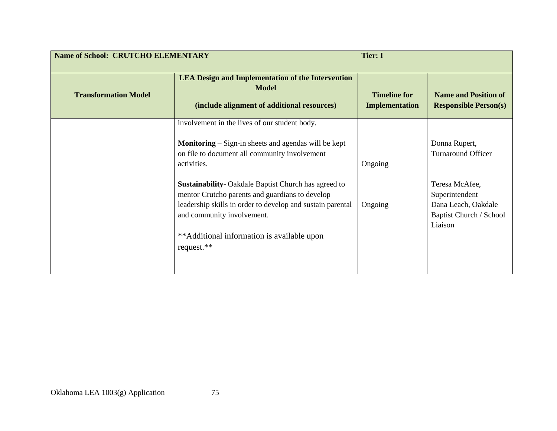| <b>Name of School: CRUTCHO ELEMENTARY</b> |                                                                                                                                                                                                                                                                        | <b>Tier: I</b>                               |                                                                                               |
|-------------------------------------------|------------------------------------------------------------------------------------------------------------------------------------------------------------------------------------------------------------------------------------------------------------------------|----------------------------------------------|-----------------------------------------------------------------------------------------------|
| <b>Transformation Model</b>               | <b>LEA Design and Implementation of the Intervention</b><br><b>Model</b><br>(include alignment of additional resources)                                                                                                                                                | <b>Timeline for</b><br><b>Implementation</b> | <b>Name and Position of</b><br><b>Responsible Person(s)</b>                                   |
|                                           | involvement in the lives of our student body.<br><b>Monitoring</b> $-$ Sign-in sheets and agendas will be kept<br>on file to document all community involvement<br>activities.                                                                                         | Ongoing                                      | Donna Rupert,<br><b>Turnaround Officer</b>                                                    |
|                                           | <b>Sustainability-</b> Oakdale Baptist Church has agreed to<br>mentor Crutcho parents and guardians to develop<br>leadership skills in order to develop and sustain parental<br>and community involvement.<br>**Additional information is available upon<br>request.** | Ongoing                                      | Teresa McAfee,<br>Superintendent<br>Dana Leach, Oakdale<br>Baptist Church / School<br>Liaison |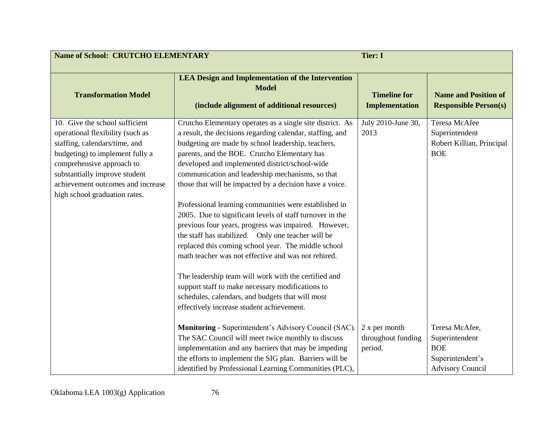| <b>Name of School: CRUTCHO ELEMENTARY</b>                                                                                                                                                                                                                                  | <b>Tier: I</b>                                                                                                                                                                                                                                                                                                                                                                                                                                                                                                                                                                                                                                                                                                                                                                                                                                                                                                                                              |                                                |                                                                                               |
|----------------------------------------------------------------------------------------------------------------------------------------------------------------------------------------------------------------------------------------------------------------------------|-------------------------------------------------------------------------------------------------------------------------------------------------------------------------------------------------------------------------------------------------------------------------------------------------------------------------------------------------------------------------------------------------------------------------------------------------------------------------------------------------------------------------------------------------------------------------------------------------------------------------------------------------------------------------------------------------------------------------------------------------------------------------------------------------------------------------------------------------------------------------------------------------------------------------------------------------------------|------------------------------------------------|-----------------------------------------------------------------------------------------------|
| <b>Transformation Model</b>                                                                                                                                                                                                                                                | <b>LEA Design and Implementation of the Intervention</b><br><b>Model</b><br>(include alignment of additional resources)                                                                                                                                                                                                                                                                                                                                                                                                                                                                                                                                                                                                                                                                                                                                                                                                                                     | <b>Timeline for</b><br><b>Implementation</b>   | <b>Name and Position of</b><br><b>Responsible Person(s)</b>                                   |
| 10. Give the school sufficient<br>operational flexibility (such as<br>staffing, calendars/time, and<br>budgeting) to implement fully a<br>comprehensive approach to<br>substantially improve student<br>achievement outcomes and increase<br>high school graduation rates. | Crutcho Elementary operates as a single site district. As<br>a result, the decisions regarding calendar, staffing, and<br>budgeting are made by school leadership, teachers,<br>parents, and the BOE. Crutcho Elementary has<br>developed and implemented district/school-wide<br>communication and leadership mechanisms, so that<br>those that will be impacted by a decision have a voice.<br>Professional learning communities were established in<br>2005. Due to significant levels of staff turnover in the<br>previous four years, progress was impaired. However,<br>the staff has stabilized. Only one teacher will be<br>replaced this coming school year. The middle school<br>math teacher was not effective and was not rehired.<br>The leadership team will work with the certified and<br>support staff to make necessary modifications to<br>schedules, calendars, and budgets that will most<br>effectively increase student achievement. | July 2010-June 30,<br>2013                     | Teresa McAfee<br>Superintendent<br>Robert Killian, Principal<br><b>BOE</b>                    |
|                                                                                                                                                                                                                                                                            | Monitoring - Superintendent's Advisory Council (SAC).<br>The SAC Council will meet twice monthly to discuss<br>implementation and any barriers that may be impeding<br>the efforts to implement the SIG plan. Barriers will be<br>identified by Professional Learning Communities (PLC),                                                                                                                                                                                                                                                                                                                                                                                                                                                                                                                                                                                                                                                                    | 2 x per month<br>throughout funding<br>period. | Teresa McAfee,<br>Superintendent<br><b>BOE</b><br>Superintendent's<br><b>Advisory Council</b> |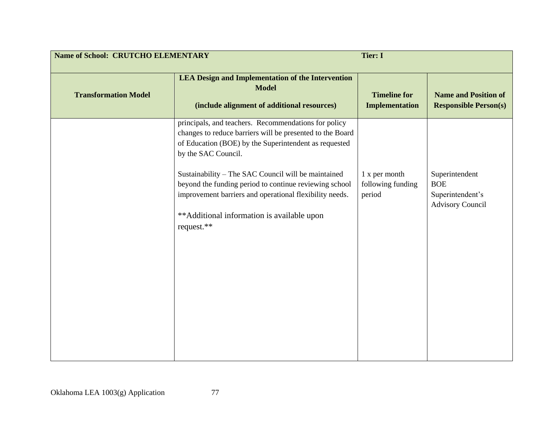| <b>Name of School: CRUTCHO ELEMENTARY</b> |                                                                                                                                                                                                                                                                                                                                                                                                                                           | <b>Tier: I</b>                               |                                                                             |
|-------------------------------------------|-------------------------------------------------------------------------------------------------------------------------------------------------------------------------------------------------------------------------------------------------------------------------------------------------------------------------------------------------------------------------------------------------------------------------------------------|----------------------------------------------|-----------------------------------------------------------------------------|
| <b>Transformation Model</b>               | <b>LEA Design and Implementation of the Intervention</b><br><b>Model</b><br>(include alignment of additional resources)                                                                                                                                                                                                                                                                                                                   | <b>Timeline for</b><br><b>Implementation</b> | <b>Name and Position of</b><br><b>Responsible Person(s)</b>                 |
|                                           | principals, and teachers. Recommendations for policy<br>changes to reduce barriers will be presented to the Board<br>of Education (BOE) by the Superintendent as requested<br>by the SAC Council.<br>Sustainability - The SAC Council will be maintained<br>beyond the funding period to continue reviewing school<br>improvement barriers and operational flexibility needs.<br>**Additional information is available upon<br>request.** | 1 x per month<br>following funding<br>period | Superintendent<br><b>BOE</b><br>Superintendent's<br><b>Advisory Council</b> |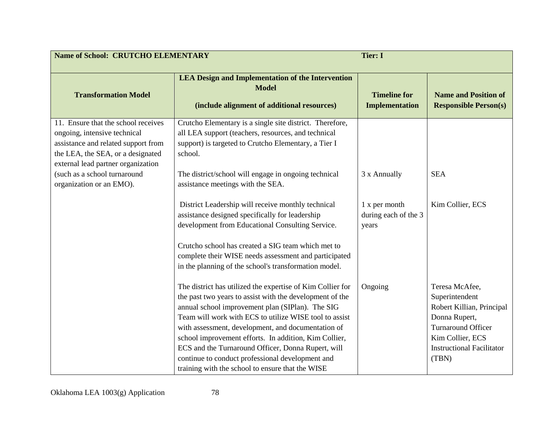| <b>Name of School: CRUTCHO ELEMENTARY</b>                                                                                                                                                                             |                                                                                                                                                                                                                                                                                                                                                                                                              | <b>Tier: I</b>                                 |                                                                                                             |
|-----------------------------------------------------------------------------------------------------------------------------------------------------------------------------------------------------------------------|--------------------------------------------------------------------------------------------------------------------------------------------------------------------------------------------------------------------------------------------------------------------------------------------------------------------------------------------------------------------------------------------------------------|------------------------------------------------|-------------------------------------------------------------------------------------------------------------|
| <b>Transformation Model</b>                                                                                                                                                                                           | <b>LEA Design and Implementation of the Intervention</b><br><b>Model</b><br>(include alignment of additional resources)                                                                                                                                                                                                                                                                                      | <b>Timeline for</b><br><b>Implementation</b>   | <b>Name and Position of</b><br><b>Responsible Person(s)</b>                                                 |
| 11. Ensure that the school receives<br>ongoing, intensive technical<br>assistance and related support from<br>the LEA, the SEA, or a designated<br>external lead partner organization<br>(such as a school turnaround | Crutcho Elementary is a single site district. Therefore,<br>all LEA support (teachers, resources, and technical<br>support) is targeted to Crutcho Elementary, a Tier I<br>school.<br>The district/school will engage in ongoing technical                                                                                                                                                                   | 3 x Annually                                   | <b>SEA</b>                                                                                                  |
| organization or an EMO).                                                                                                                                                                                              | assistance meetings with the SEA.<br>District Leadership will receive monthly technical<br>assistance designed specifically for leadership<br>development from Educational Consulting Service.<br>Crutcho school has created a SIG team which met to                                                                                                                                                         | 1 x per month<br>during each of the 3<br>years | Kim Collier, ECS                                                                                            |
|                                                                                                                                                                                                                       | complete their WISE needs assessment and participated<br>in the planning of the school's transformation model.<br>The district has utilized the expertise of Kim Collier for<br>the past two years to assist with the development of the<br>annual school improvement plan (SIPlan). The SIG<br>Team will work with ECS to utilize WISE tool to assist<br>with assessment, development, and documentation of | Ongoing                                        | Teresa McAfee,<br>Superintendent<br>Robert Killian, Principal<br>Donna Rupert,<br><b>Turnaround Officer</b> |
|                                                                                                                                                                                                                       | school improvement efforts. In addition, Kim Collier,<br>ECS and the Turnaround Officer, Donna Rupert, will<br>continue to conduct professional development and<br>training with the school to ensure that the WISE                                                                                                                                                                                          |                                                | Kim Collier, ECS<br><b>Instructional Facilitator</b><br>(TBN)                                               |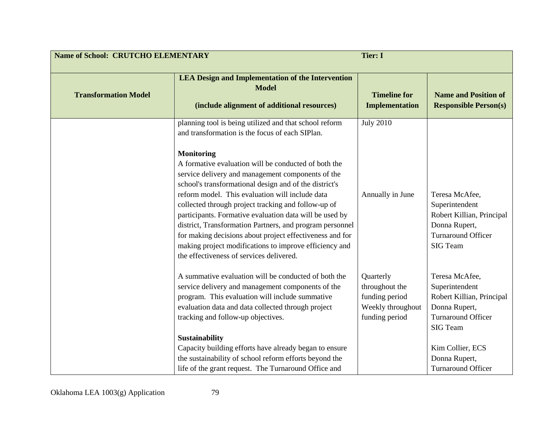| <b>Name of School: CRUTCHO ELEMENTARY</b> |                                                                                                                                                                                                                                                                                                                                                                                                                                                                                                                                                                                                    | <b>Tier: I</b>                                                                       |                                                                                                                                                                                                                     |
|-------------------------------------------|----------------------------------------------------------------------------------------------------------------------------------------------------------------------------------------------------------------------------------------------------------------------------------------------------------------------------------------------------------------------------------------------------------------------------------------------------------------------------------------------------------------------------------------------------------------------------------------------------|--------------------------------------------------------------------------------------|---------------------------------------------------------------------------------------------------------------------------------------------------------------------------------------------------------------------|
| <b>Transformation Model</b>               | <b>LEA Design and Implementation of the Intervention</b><br><b>Model</b><br>(include alignment of additional resources)                                                                                                                                                                                                                                                                                                                                                                                                                                                                            | <b>Timeline for</b><br><b>Implementation</b>                                         | <b>Name and Position of</b><br><b>Responsible Person(s)</b>                                                                                                                                                         |
|                                           | planning tool is being utilized and that school reform<br>and transformation is the focus of each SIPlan.<br><b>Monitoring</b><br>A formative evaluation will be conducted of both the<br>service delivery and management components of the<br>school's transformational design and of the district's<br>reform model. This evaluation will include data<br>collected through project tracking and follow-up of<br>participants. Formative evaluation data will be used by<br>district, Transformation Partners, and program personnel<br>for making decisions about project effectiveness and for | <b>July 2010</b><br>Annually in June                                                 | Teresa McAfee,<br>Superintendent<br>Robert Killian, Principal<br>Donna Rupert,<br><b>Turnaround Officer</b>                                                                                                         |
|                                           | making project modifications to improve efficiency and<br>the effectiveness of services delivered.<br>A summative evaluation will be conducted of both the<br>service delivery and management components of the<br>program. This evaluation will include summative<br>evaluation data and data collected through project<br>tracking and follow-up objectives.<br>Sustainability<br>Capacity building efforts have already began to ensure<br>the sustainability of school reform efforts beyond the<br>life of the grant request. The Turnaround Office and                                       | Quarterly<br>throughout the<br>funding period<br>Weekly throughout<br>funding period | <b>SIG Team</b><br>Teresa McAfee,<br>Superintendent<br>Robert Killian, Principal<br>Donna Rupert,<br><b>Turnaround Officer</b><br><b>SIG Team</b><br>Kim Collier, ECS<br>Donna Rupert,<br><b>Turnaround Officer</b> |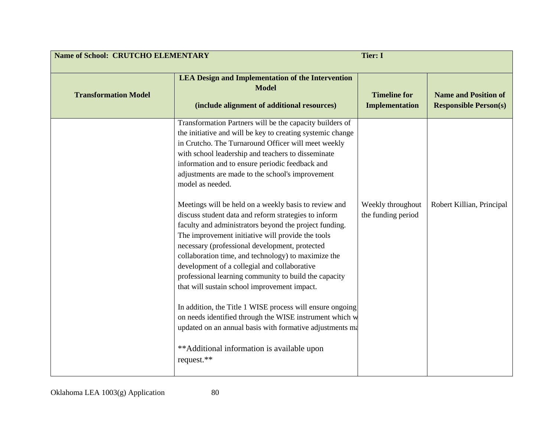| <b>Name of School: CRUTCHO ELEMENTARY</b><br><b>Tier: I</b> |                                                                                                                                                                                                                                                                                                                                                                                                                                                                                                                                                                                                                                                                                                                                                                                                                                                                                                                                                                                                                                                                                                                  |                                              |                                                             |
|-------------------------------------------------------------|------------------------------------------------------------------------------------------------------------------------------------------------------------------------------------------------------------------------------------------------------------------------------------------------------------------------------------------------------------------------------------------------------------------------------------------------------------------------------------------------------------------------------------------------------------------------------------------------------------------------------------------------------------------------------------------------------------------------------------------------------------------------------------------------------------------------------------------------------------------------------------------------------------------------------------------------------------------------------------------------------------------------------------------------------------------------------------------------------------------|----------------------------------------------|-------------------------------------------------------------|
| <b>Transformation Model</b>                                 | <b>LEA Design and Implementation of the Intervention</b><br><b>Model</b><br>(include alignment of additional resources)                                                                                                                                                                                                                                                                                                                                                                                                                                                                                                                                                                                                                                                                                                                                                                                                                                                                                                                                                                                          | <b>Timeline for</b><br><b>Implementation</b> | <b>Name and Position of</b><br><b>Responsible Person(s)</b> |
|                                                             | Transformation Partners will be the capacity builders of<br>the initiative and will be key to creating systemic change<br>in Crutcho. The Turnaround Officer will meet weekly<br>with school leadership and teachers to disseminate<br>information and to ensure periodic feedback and<br>adjustments are made to the school's improvement<br>model as needed.<br>Meetings will be held on a weekly basis to review and<br>discuss student data and reform strategies to inform<br>faculty and administrators beyond the project funding.<br>The improvement initiative will provide the tools<br>necessary (professional development, protected<br>collaboration time, and technology) to maximize the<br>development of a collegial and collaborative<br>professional learning community to build the capacity<br>that will sustain school improvement impact.<br>In addition, the Title 1 WISE process will ensure ongoing<br>on needs identified through the WISE instrument which w<br>updated on an annual basis with formative adjustments ma<br>**Additional information is available upon<br>request.** | Weekly throughout<br>the funding period      | Robert Killian, Principal                                   |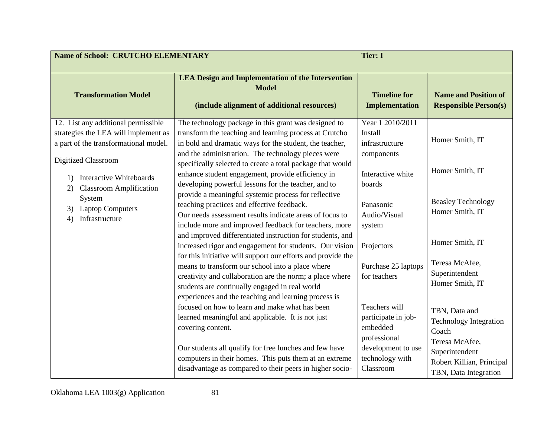| <b>Name of School: CRUTCHO ELEMENTARY</b>                                                                                                   |                                                                                                                                                                                                                                 | <b>Tier: I</b>                                                     |                                                                           |
|---------------------------------------------------------------------------------------------------------------------------------------------|---------------------------------------------------------------------------------------------------------------------------------------------------------------------------------------------------------------------------------|--------------------------------------------------------------------|---------------------------------------------------------------------------|
| <b>Transformation Model</b>                                                                                                                 | <b>LEA Design and Implementation of the Intervention</b><br><b>Model</b><br>(include alignment of additional resources)                                                                                                         | <b>Timeline for</b><br><b>Implementation</b>                       | <b>Name and Position of</b><br><b>Responsible Person(s)</b>               |
| 12. List any additional permissible<br>strategies the LEA will implement as<br>a part of the transformational model.<br>Digitized Classroom | The technology package in this grant was designed to<br>transform the teaching and learning process at Crutcho<br>in bold and dramatic ways for the student, the teacher,<br>and the administration. The technology pieces were | Year 1 2010/2011<br><b>Install</b><br>infrastructure<br>components | Homer Smith, IT                                                           |
| <b>Interactive Whiteboards</b><br>1)<br><b>Classroom Amplification</b><br>2)                                                                | specifically selected to create a total package that would<br>enhance student engagement, provide efficiency in<br>developing powerful lessons for the teacher, and to                                                          | Interactive white<br>boards                                        | Homer Smith, IT                                                           |
| System<br><b>Laptop Computers</b><br>3)<br>Infrastructure<br>4)                                                                             | provide a meaningful systemic process for reflective<br>teaching practices and effective feedback.<br>Our needs assessment results indicate areas of focus to<br>include more and improved feedback for teachers, more          | Panasonic<br>Audio/Visual<br>system                                | <b>Beasley Technology</b><br>Homer Smith, IT                              |
|                                                                                                                                             | and improved differentiated instruction for students, and<br>increased rigor and engagement for students. Our vision<br>for this initiative will support our efforts and provide the                                            | Projectors                                                         | Homer Smith, IT                                                           |
|                                                                                                                                             | means to transform our school into a place where<br>creativity and collaboration are the norm; a place where<br>students are continually engaged in real world<br>experiences and the teaching and learning process is          | Purchase 25 laptops<br>for teachers                                | Teresa McAfee,<br>Superintendent<br>Homer Smith, IT                       |
|                                                                                                                                             | focused on how to learn and make what has been<br>learned meaningful and applicable. It is not just<br>covering content.                                                                                                        | Teachers will<br>participate in job-<br>embedded<br>professional   | TBN, Data and<br><b>Technology Integration</b><br>Coach<br>Teresa McAfee, |
|                                                                                                                                             | Our students all qualify for free lunches and few have<br>computers in their homes. This puts them at an extreme<br>disadvantage as compared to their peers in higher socio-                                                    | development to use<br>technology with<br>Classroom                 | Superintendent<br>Robert Killian, Principal<br>TBN, Data Integration      |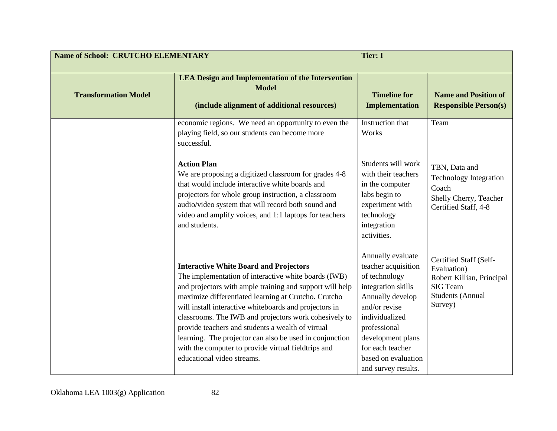| <b>Name of School: CRUTCHO ELEMENTARY</b> |                                                                                                                                                                                                                                                                                                                                                                                                                                                                                                                                                   | <b>Tier: I</b>                                                                                                                                                                                                                                |                                                                                                                      |
|-------------------------------------------|---------------------------------------------------------------------------------------------------------------------------------------------------------------------------------------------------------------------------------------------------------------------------------------------------------------------------------------------------------------------------------------------------------------------------------------------------------------------------------------------------------------------------------------------------|-----------------------------------------------------------------------------------------------------------------------------------------------------------------------------------------------------------------------------------------------|----------------------------------------------------------------------------------------------------------------------|
| <b>Transformation Model</b>               | <b>LEA Design and Implementation of the Intervention</b><br><b>Model</b><br>(include alignment of additional resources)                                                                                                                                                                                                                                                                                                                                                                                                                           | <b>Timeline for</b><br><b>Implementation</b>                                                                                                                                                                                                  | <b>Name and Position of</b><br><b>Responsible Person(s)</b>                                                          |
|                                           | economic regions. We need an opportunity to even the<br>playing field, so our students can become more<br>successful.                                                                                                                                                                                                                                                                                                                                                                                                                             | Instruction that<br>Works                                                                                                                                                                                                                     | Team                                                                                                                 |
|                                           | <b>Action Plan</b><br>We are proposing a digitized classroom for grades 4-8<br>that would include interactive white boards and<br>projectors for whole group instruction, a classroom<br>audio/video system that will record both sound and<br>video and amplify voices, and 1:1 laptops for teachers<br>and students.                                                                                                                                                                                                                            | Students will work<br>with their teachers<br>in the computer<br>labs begin to<br>experiment with<br>technology<br>integration<br>activities.                                                                                                  | TBN, Data and<br><b>Technology Integration</b><br>Coach<br>Shelly Cherry, Teacher<br>Certified Staff, 4-8            |
|                                           | <b>Interactive White Board and Projectors</b><br>The implementation of interactive white boards (IWB)<br>and projectors with ample training and support will help<br>maximize differentiated learning at Crutcho. Crutcho<br>will install interactive whiteboards and projectors in<br>classrooms. The IWB and projectors work cohesively to<br>provide teachers and students a wealth of virtual<br>learning. The projector can also be used in conjunction<br>with the computer to provide virtual fieldtrips and<br>educational video streams. | Annually evaluate<br>teacher acquisition<br>of technology<br>integration skills<br>Annually develop<br>and/or revise<br>individualized<br>professional<br>development plans<br>for each teacher<br>based on evaluation<br>and survey results. | Certified Staff (Self-<br>Evaluation)<br>Robert Killian, Principal<br>SIG Team<br><b>Students (Annual</b><br>Survey) |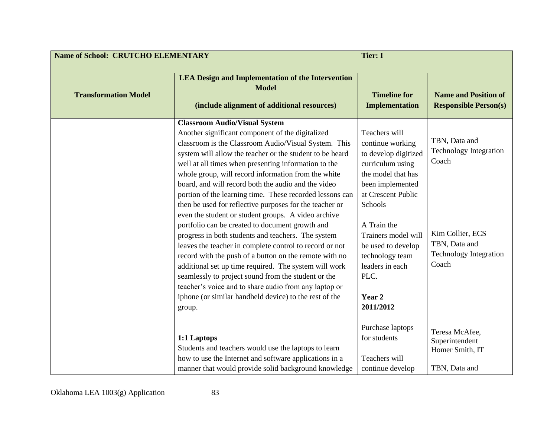| <b>Name of School: CRUTCHO ELEMENTARY</b> |                                                                                                                                                                                                                                                                                                                                                                                                                                                                                                                                                                                                                                                                                                                                                                                                                                                                                                                                                                                                                                             | <b>Tier: I</b>                                                                                                                                                                                                                                                                            |                                                                                                                                        |
|-------------------------------------------|---------------------------------------------------------------------------------------------------------------------------------------------------------------------------------------------------------------------------------------------------------------------------------------------------------------------------------------------------------------------------------------------------------------------------------------------------------------------------------------------------------------------------------------------------------------------------------------------------------------------------------------------------------------------------------------------------------------------------------------------------------------------------------------------------------------------------------------------------------------------------------------------------------------------------------------------------------------------------------------------------------------------------------------------|-------------------------------------------------------------------------------------------------------------------------------------------------------------------------------------------------------------------------------------------------------------------------------------------|----------------------------------------------------------------------------------------------------------------------------------------|
| <b>Transformation Model</b>               | <b>LEA Design and Implementation of the Intervention</b><br><b>Model</b><br>(include alignment of additional resources)                                                                                                                                                                                                                                                                                                                                                                                                                                                                                                                                                                                                                                                                                                                                                                                                                                                                                                                     | <b>Timeline for</b><br><b>Implementation</b>                                                                                                                                                                                                                                              | <b>Name and Position of</b><br><b>Responsible Person(s)</b>                                                                            |
|                                           | <b>Classroom Audio/Visual System</b><br>Another significant component of the digitalized<br>classroom is the Classroom Audio/Visual System. This<br>system will allow the teacher or the student to be heard<br>well at all times when presenting information to the<br>whole group, will record information from the white<br>board, and will record both the audio and the video<br>portion of the learning time. These recorded lessons can<br>then be used for reflective purposes for the teacher or<br>even the student or student groups. A video archive<br>portfolio can be created to document growth and<br>progress in both students and teachers. The system<br>leaves the teacher in complete control to record or not<br>record with the push of a button on the remote with no<br>additional set up time required. The system will work<br>seamlessly to project sound from the student or the<br>teacher's voice and to share audio from any laptop or<br>iphone (or similar handheld device) to the rest of the<br>group. | Teachers will<br>continue working<br>to develop digitized<br>curriculum using<br>the model that has<br>been implemented<br>at Crescent Public<br>Schools<br>A Train the<br>Trainers model will<br>be used to develop<br>technology team<br>leaders in each<br>PLC.<br>Year 2<br>2011/2012 | TBN, Data and<br><b>Technology Integration</b><br>Coach<br>Kim Collier, ECS<br>TBN, Data and<br><b>Technology Integration</b><br>Coach |
|                                           | 1:1 Laptops<br>Students and teachers would use the laptops to learn<br>how to use the Internet and software applications in a<br>manner that would provide solid background knowledge                                                                                                                                                                                                                                                                                                                                                                                                                                                                                                                                                                                                                                                                                                                                                                                                                                                       | Purchase laptops<br>for students<br>Teachers will<br>continue develop                                                                                                                                                                                                                     | Teresa McAfee,<br>Superintendent<br>Homer Smith, IT<br>TBN, Data and                                                                   |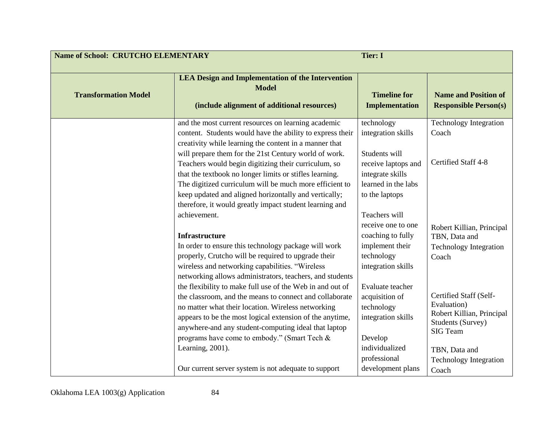| <b>Name of School: CRUTCHO ELEMENTARY</b> | <b>Tier: I</b>                                                                                                                                                                                                                                                                                                                                                                                                |                                                                                              |                                                                                         |
|-------------------------------------------|---------------------------------------------------------------------------------------------------------------------------------------------------------------------------------------------------------------------------------------------------------------------------------------------------------------------------------------------------------------------------------------------------------------|----------------------------------------------------------------------------------------------|-----------------------------------------------------------------------------------------|
| <b>Transformation Model</b>               | <b>LEA Design and Implementation of the Intervention</b><br><b>Model</b><br>(include alignment of additional resources)                                                                                                                                                                                                                                                                                       | <b>Timeline for</b><br><b>Implementation</b>                                                 | <b>Name and Position of</b><br><b>Responsible Person(s)</b>                             |
|                                           | and the most current resources on learning academic<br>content. Students would have the ability to express their<br>creativity while learning the content in a manner that<br>will prepare them for the 21st Century world of work.                                                                                                                                                                           | technology<br>integration skills<br>Students will                                            | <b>Technology Integration</b><br>Coach                                                  |
|                                           | Teachers would begin digitizing their curriculum, so<br>that the textbook no longer limits or stifles learning.<br>The digitized curriculum will be much more efficient to                                                                                                                                                                                                                                    | receive laptops and<br>integrate skills<br>learned in the labs                               | Certified Staff 4-8                                                                     |
|                                           | keep updated and aligned horizontally and vertically;<br>therefore, it would greatly impact student learning and<br>achievement.                                                                                                                                                                                                                                                                              | to the laptops<br>Teachers will<br>receive one to one                                        |                                                                                         |
|                                           | <b>Infrastructure</b><br>In order to ensure this technology package will work<br>properly, Crutcho will be required to upgrade their                                                                                                                                                                                                                                                                          | coaching to fully<br>implement their<br>technology                                           | Robert Killian, Principal<br>TBN, Data and<br><b>Technology Integration</b><br>Coach    |
|                                           | wireless and networking capabilities. "Wireless<br>networking allows administrators, teachers, and students<br>the flexibility to make full use of the Web in and out of<br>the classroom, and the means to connect and collaborate<br>no matter what their location. Wireless networking<br>appears to be the most logical extension of the anytime,<br>anywhere-and any student-computing ideal that laptop | integration skills<br>Evaluate teacher<br>acquisition of<br>technology<br>integration skills | Certified Staff (Self-<br>Evaluation)<br>Robert Killian, Principal<br>Students (Survey) |
|                                           | programs have come to embody." (Smart Tech &<br>Learning, 2001).<br>Our current server system is not adequate to support                                                                                                                                                                                                                                                                                      | Develop<br>individualized<br>professional<br>development plans                               | SIG Team<br>TBN, Data and<br><b>Technology Integration</b><br>Coach                     |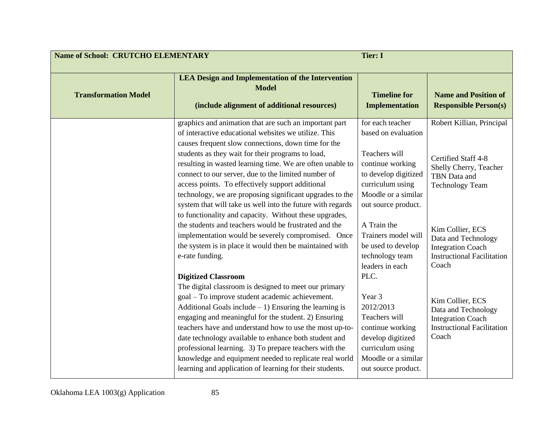| <b>Name of School: CRUTCHO ELEMENTARY</b><br><b>Tier: I</b> |                                                                                                                                                                                                                                                                                                                                                                                                                                                                                                                                                                                                                                                                                                                                                                                     |                                                                                                                                                                                                                                                                          |                                                                                                                                                                                                                                           |
|-------------------------------------------------------------|-------------------------------------------------------------------------------------------------------------------------------------------------------------------------------------------------------------------------------------------------------------------------------------------------------------------------------------------------------------------------------------------------------------------------------------------------------------------------------------------------------------------------------------------------------------------------------------------------------------------------------------------------------------------------------------------------------------------------------------------------------------------------------------|--------------------------------------------------------------------------------------------------------------------------------------------------------------------------------------------------------------------------------------------------------------------------|-------------------------------------------------------------------------------------------------------------------------------------------------------------------------------------------------------------------------------------------|
| <b>Transformation Model</b>                                 | <b>LEA Design and Implementation of the Intervention</b><br><b>Model</b><br>(include alignment of additional resources)                                                                                                                                                                                                                                                                                                                                                                                                                                                                                                                                                                                                                                                             | <b>Timeline for</b><br><b>Implementation</b>                                                                                                                                                                                                                             | <b>Name and Position of</b><br><b>Responsible Person(s)</b>                                                                                                                                                                               |
|                                                             | graphics and animation that are such an important part<br>of interactive educational websites we utilize. This<br>causes frequent slow connections, down time for the<br>students as they wait for their programs to load,<br>resulting in wasted learning time. We are often unable to<br>connect to our server, due to the limited number of<br>access points. To effectively support additional<br>technology, we are proposing significant upgrades to the<br>system that will take us well into the future with regards<br>to functionality and capacity. Without these upgrades,<br>the students and teachers would be frustrated and the<br>implementation would be severely compromised. Once<br>the system is in place it would then be maintained with<br>e-rate funding. | for each teacher<br>based on evaluation<br>Teachers will<br>continue working<br>to develop digitized<br>curriculum using<br>Moodle or a similar<br>out source product.<br>A Train the<br>Trainers model will<br>be used to develop<br>technology team<br>leaders in each | Robert Killian, Principal<br>Certified Staff 4-8<br>Shelly Cherry, Teacher<br>TBN Data and<br><b>Technology Team</b><br>Kim Collier, ECS<br>Data and Technology<br><b>Integration Coach</b><br><b>Instructional Facilitation</b><br>Coach |
|                                                             | <b>Digitized Classroom</b><br>The digital classroom is designed to meet our primary<br>goal - To improve student academic achievement.<br>Additional Goals include $-1$ ) Ensuring the learning is<br>engaging and meaningful for the student. 2) Ensuring<br>teachers have and understand how to use the most up-to-<br>date technology available to enhance both student and<br>professional learning. 3) To prepare teachers with the<br>knowledge and equipment needed to replicate real world<br>learning and application of learning for their students.                                                                                                                                                                                                                      | PLC.<br>Year 3<br>2012/2013<br>Teachers will<br>continue working<br>develop digitized<br>curriculum using<br>Moodle or a similar<br>out source product.                                                                                                                  | Kim Collier, ECS<br>Data and Technology<br><b>Integration Coach</b><br><b>Instructional Facilitation</b><br>Coach                                                                                                                         |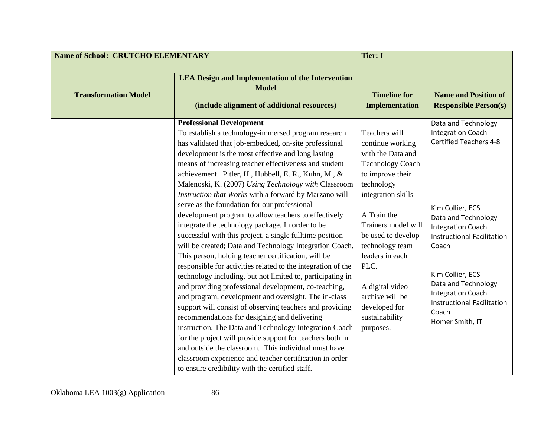| <b>Name of School: CRUTCHO ELEMENTARY</b><br><b>Tier: I</b> |                                                                                                                                                                                                                                                                                                                                                                                                                                                                                                                                                                                                                                                                                                                                                                                                                                                                                                                                                                                                                                                                                                                                                                                                                                                                                                                                                                                                                                          |                                                                                                                                                                                                                                                                                                                                           |                                                                                                                                                                                                                                                                                                                                               |
|-------------------------------------------------------------|------------------------------------------------------------------------------------------------------------------------------------------------------------------------------------------------------------------------------------------------------------------------------------------------------------------------------------------------------------------------------------------------------------------------------------------------------------------------------------------------------------------------------------------------------------------------------------------------------------------------------------------------------------------------------------------------------------------------------------------------------------------------------------------------------------------------------------------------------------------------------------------------------------------------------------------------------------------------------------------------------------------------------------------------------------------------------------------------------------------------------------------------------------------------------------------------------------------------------------------------------------------------------------------------------------------------------------------------------------------------------------------------------------------------------------------|-------------------------------------------------------------------------------------------------------------------------------------------------------------------------------------------------------------------------------------------------------------------------------------------------------------------------------------------|-----------------------------------------------------------------------------------------------------------------------------------------------------------------------------------------------------------------------------------------------------------------------------------------------------------------------------------------------|
| <b>Transformation Model</b>                                 | <b>LEA Design and Implementation of the Intervention</b><br><b>Model</b><br>(include alignment of additional resources)                                                                                                                                                                                                                                                                                                                                                                                                                                                                                                                                                                                                                                                                                                                                                                                                                                                                                                                                                                                                                                                                                                                                                                                                                                                                                                                  | <b>Timeline for</b><br><b>Implementation</b>                                                                                                                                                                                                                                                                                              | <b>Name and Position of</b><br><b>Responsible Person(s)</b>                                                                                                                                                                                                                                                                                   |
|                                                             | <b>Professional Development</b><br>To establish a technology-immersed program research<br>has validated that job-embedded, on-site professional<br>development is the most effective and long lasting<br>means of increasing teacher effectiveness and student<br>achievement. Pitler, H., Hubbell, E. R., Kuhn, M., &<br>Malenoski, K. (2007) Using Technology with Classroom<br>Instruction that Works with a forward by Marzano will<br>serve as the foundation for our professional<br>development program to allow teachers to effectively<br>integrate the technology package. In order to be<br>successful with this project, a single fulltime position<br>will be created; Data and Technology Integration Coach.<br>This person, holding teacher certification, will be<br>responsible for activities related to the integration of the<br>technology including, but not limited to, participating in<br>and providing professional development, co-teaching,<br>and program, development and oversight. The in-class<br>support will consist of observing teachers and providing<br>recommendations for designing and delivering<br>instruction. The Data and Technology Integration Coach<br>for the project will provide support for teachers both in<br>and outside the classroom. This individual must have<br>classroom experience and teacher certification in order<br>to ensure credibility with the certified staff. | Teachers will<br>continue working<br>with the Data and<br><b>Technology Coach</b><br>to improve their<br>technology<br>integration skills<br>A Train the<br>Trainers model will<br>be used to develop<br>technology team<br>leaders in each<br>PLC.<br>A digital video<br>archive will be<br>developed for<br>sustainability<br>purposes. | Data and Technology<br><b>Integration Coach</b><br><b>Certified Teachers 4-8</b><br>Kim Collier, ECS<br>Data and Technology<br><b>Integration Coach</b><br><b>Instructional Facilitation</b><br>Coach<br>Kim Collier, ECS<br>Data and Technology<br><b>Integration Coach</b><br><b>Instructional Facilitation</b><br>Coach<br>Homer Smith, IT |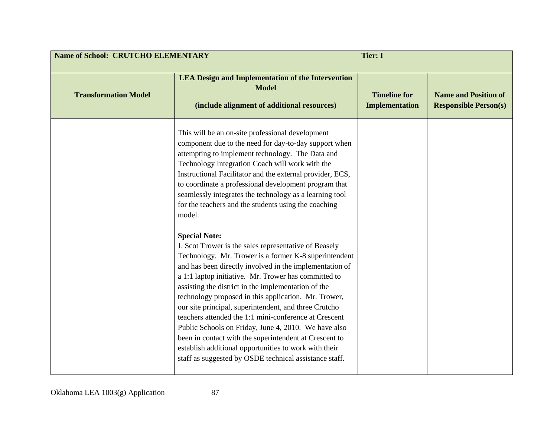| <b>Name of School: CRUTCHO ELEMENTARY</b><br><b>Tier: I</b> |                                                                                                                                                                                                                                                                                                                                                                                                                                                                                                                                                                                                                                                                                                                                                                                                                                                                                                                                                                                                                                                                                                                                                                                                        |                                              |                                                             |
|-------------------------------------------------------------|--------------------------------------------------------------------------------------------------------------------------------------------------------------------------------------------------------------------------------------------------------------------------------------------------------------------------------------------------------------------------------------------------------------------------------------------------------------------------------------------------------------------------------------------------------------------------------------------------------------------------------------------------------------------------------------------------------------------------------------------------------------------------------------------------------------------------------------------------------------------------------------------------------------------------------------------------------------------------------------------------------------------------------------------------------------------------------------------------------------------------------------------------------------------------------------------------------|----------------------------------------------|-------------------------------------------------------------|
| <b>Transformation Model</b>                                 | <b>LEA Design and Implementation of the Intervention</b><br><b>Model</b><br>(include alignment of additional resources)                                                                                                                                                                                                                                                                                                                                                                                                                                                                                                                                                                                                                                                                                                                                                                                                                                                                                                                                                                                                                                                                                | <b>Timeline for</b><br><b>Implementation</b> | <b>Name and Position of</b><br><b>Responsible Person(s)</b> |
|                                                             | This will be an on-site professional development<br>component due to the need for day-to-day support when<br>attempting to implement technology. The Data and<br>Technology Integration Coach will work with the<br>Instructional Facilitator and the external provider, ECS,<br>to coordinate a professional development program that<br>seamlessly integrates the technology as a learning tool<br>for the teachers and the students using the coaching<br>model.<br><b>Special Note:</b><br>J. Scot Trower is the sales representative of Beasely<br>Technology. Mr. Trower is a former K-8 superintendent<br>and has been directly involved in the implementation of<br>a 1:1 laptop initiative. Mr. Trower has committed to<br>assisting the district in the implementation of the<br>technology proposed in this application. Mr. Trower,<br>our site principal, superintendent, and three Crutcho<br>teachers attended the 1:1 mini-conference at Crescent<br>Public Schools on Friday, June 4, 2010. We have also<br>been in contact with the superintendent at Crescent to<br>establish additional opportunities to work with their<br>staff as suggested by OSDE technical assistance staff. |                                              |                                                             |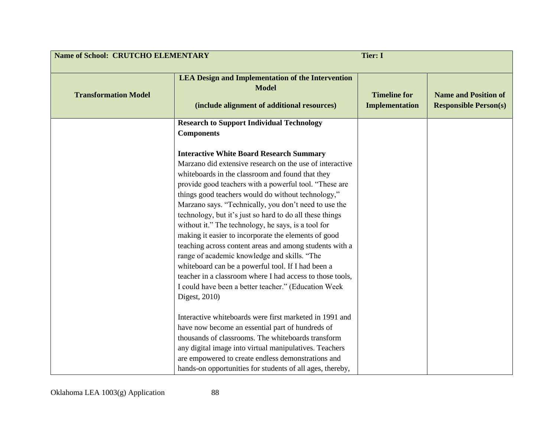| <b>Name of School: CRUTCHO ELEMENTARY</b> |                                                                                                                                                                                                                                                                                                                                                                                                                                                                                                                                                                                                                                                                                                                                                                                                                                                                                       | <b>Tier: I</b>                               |                                                             |
|-------------------------------------------|---------------------------------------------------------------------------------------------------------------------------------------------------------------------------------------------------------------------------------------------------------------------------------------------------------------------------------------------------------------------------------------------------------------------------------------------------------------------------------------------------------------------------------------------------------------------------------------------------------------------------------------------------------------------------------------------------------------------------------------------------------------------------------------------------------------------------------------------------------------------------------------|----------------------------------------------|-------------------------------------------------------------|
| <b>Transformation Model</b>               | <b>LEA Design and Implementation of the Intervention</b><br><b>Model</b><br>(include alignment of additional resources)                                                                                                                                                                                                                                                                                                                                                                                                                                                                                                                                                                                                                                                                                                                                                               | <b>Timeline for</b><br><b>Implementation</b> | <b>Name and Position of</b><br><b>Responsible Person(s)</b> |
|                                           | <b>Research to Support Individual Technology</b><br><b>Components</b>                                                                                                                                                                                                                                                                                                                                                                                                                                                                                                                                                                                                                                                                                                                                                                                                                 |                                              |                                                             |
|                                           | <b>Interactive White Board Research Summary</b><br>Marzano did extensive research on the use of interactive<br>whiteboards in the classroom and found that they<br>provide good teachers with a powerful tool. "These are<br>things good teachers would do without technology,"<br>Marzano says. "Technically, you don't need to use the<br>technology, but it's just so hard to do all these things<br>without it." The technology, he says, is a tool for<br>making it easier to incorporate the elements of good<br>teaching across content areas and among students with a<br>range of academic knowledge and skills. "The<br>whiteboard can be a powerful tool. If I had been a<br>teacher in a classroom where I had access to those tools,<br>I could have been a better teacher." (Education Week<br>Digest, 2010)<br>Interactive whiteboards were first marketed in 1991 and |                                              |                                                             |
|                                           | have now become an essential part of hundreds of<br>thousands of classrooms. The whiteboards transform<br>any digital image into virtual manipulatives. Teachers                                                                                                                                                                                                                                                                                                                                                                                                                                                                                                                                                                                                                                                                                                                      |                                              |                                                             |
|                                           | are empowered to create endless demonstrations and<br>hands-on opportunities for students of all ages, thereby,                                                                                                                                                                                                                                                                                                                                                                                                                                                                                                                                                                                                                                                                                                                                                                       |                                              |                                                             |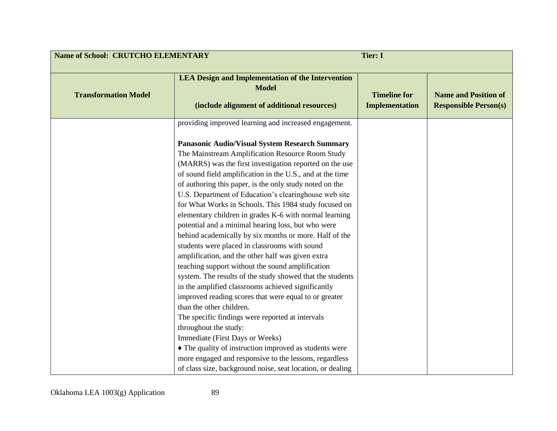| <b>Name of School: CRUTCHO ELEMENTARY</b><br><b>Tier: I</b> |                                                                                                                                                                                                                                                                                                                                                                                                                                                                                                                                                                                                                                                                                                                                                                                                                                                                                                                                                                                                                                         |                                              |                                                             |
|-------------------------------------------------------------|-----------------------------------------------------------------------------------------------------------------------------------------------------------------------------------------------------------------------------------------------------------------------------------------------------------------------------------------------------------------------------------------------------------------------------------------------------------------------------------------------------------------------------------------------------------------------------------------------------------------------------------------------------------------------------------------------------------------------------------------------------------------------------------------------------------------------------------------------------------------------------------------------------------------------------------------------------------------------------------------------------------------------------------------|----------------------------------------------|-------------------------------------------------------------|
| <b>Transformation Model</b>                                 | <b>LEA Design and Implementation of the Intervention</b><br><b>Model</b><br>(include alignment of additional resources)                                                                                                                                                                                                                                                                                                                                                                                                                                                                                                                                                                                                                                                                                                                                                                                                                                                                                                                 | <b>Timeline for</b><br><b>Implementation</b> | <b>Name and Position of</b><br><b>Responsible Person(s)</b> |
|                                                             | providing improved learning and increased engagement.                                                                                                                                                                                                                                                                                                                                                                                                                                                                                                                                                                                                                                                                                                                                                                                                                                                                                                                                                                                   |                                              |                                                             |
|                                                             | <b>Panasonic Audio/Visual System Research Summary</b><br>The Mainstream Amplification Resource Room Study<br>(MARRS) was the first investigation reported on the use<br>of sound field amplification in the U.S., and at the time<br>of authoring this paper, is the only study noted on the<br>U.S. Department of Education's clearinghouse web site<br>for What Works in Schools. This 1984 study focused on<br>elementary children in grades K-6 with normal learning<br>potential and a minimal hearing loss, but who were<br>behind academically by six months or more. Half of the<br>students were placed in classrooms with sound<br>amplification, and the other half was given extra<br>teaching support without the sound amplification<br>system. The results of the study showed that the students<br>in the amplified classrooms achieved significantly<br>improved reading scores that were equal to or greater<br>than the other children.<br>The specific findings were reported at intervals<br>throughout the study: |                                              |                                                             |
|                                                             | Immediate (First Days or Weeks)<br>• The quality of instruction improved as students were                                                                                                                                                                                                                                                                                                                                                                                                                                                                                                                                                                                                                                                                                                                                                                                                                                                                                                                                               |                                              |                                                             |
|                                                             | more engaged and responsive to the lessons, regardless                                                                                                                                                                                                                                                                                                                                                                                                                                                                                                                                                                                                                                                                                                                                                                                                                                                                                                                                                                                  |                                              |                                                             |
|                                                             | of class size, background noise, seat location, or dealing                                                                                                                                                                                                                                                                                                                                                                                                                                                                                                                                                                                                                                                                                                                                                                                                                                                                                                                                                                              |                                              |                                                             |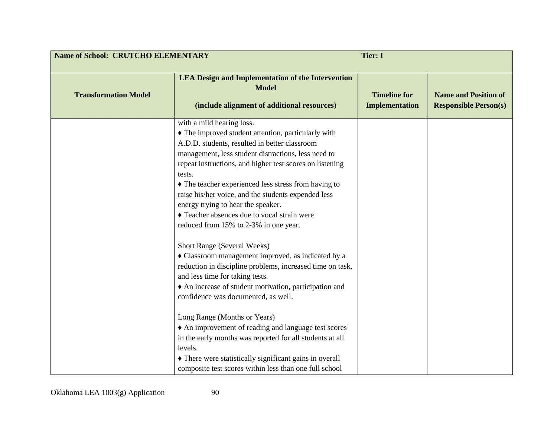| <b>Name of School: CRUTCHO ELEMENTARY</b><br><b>Tier: I</b> |                                                                                                                                                                                                                                                                                                                                                                                                                                                                                                                                                                                                                                                                                                                                                                                                                                                                                                                                                                                                                                |                                              |                                                             |
|-------------------------------------------------------------|--------------------------------------------------------------------------------------------------------------------------------------------------------------------------------------------------------------------------------------------------------------------------------------------------------------------------------------------------------------------------------------------------------------------------------------------------------------------------------------------------------------------------------------------------------------------------------------------------------------------------------------------------------------------------------------------------------------------------------------------------------------------------------------------------------------------------------------------------------------------------------------------------------------------------------------------------------------------------------------------------------------------------------|----------------------------------------------|-------------------------------------------------------------|
| <b>Transformation Model</b>                                 | <b>LEA Design and Implementation of the Intervention</b><br><b>Model</b><br>(include alignment of additional resources)                                                                                                                                                                                                                                                                                                                                                                                                                                                                                                                                                                                                                                                                                                                                                                                                                                                                                                        | <b>Timeline for</b><br><b>Implementation</b> | <b>Name and Position of</b><br><b>Responsible Person(s)</b> |
|                                                             | with a mild hearing loss.<br>• The improved student attention, particularly with<br>A.D.D. students, resulted in better classroom<br>management, less student distractions, less need to<br>repeat instructions, and higher test scores on listening<br>tests.<br>• The teacher experienced less stress from having to<br>raise his/her voice, and the students expended less<br>energy trying to hear the speaker.<br>• Teacher absences due to vocal strain were<br>reduced from 15% to 2-3% in one year.<br><b>Short Range (Several Weeks)</b><br>Classroom management improved, as indicated by a<br>reduction in discipline problems, increased time on task,<br>and less time for taking tests.<br>An increase of student motivation, participation and<br>confidence was documented, as well.<br>Long Range (Months or Years)<br>• An improvement of reading and language test scores<br>in the early months was reported for all students at all<br>levels.<br>• There were statistically significant gains in overall |                                              |                                                             |
|                                                             | composite test scores within less than one full school                                                                                                                                                                                                                                                                                                                                                                                                                                                                                                                                                                                                                                                                                                                                                                                                                                                                                                                                                                         |                                              |                                                             |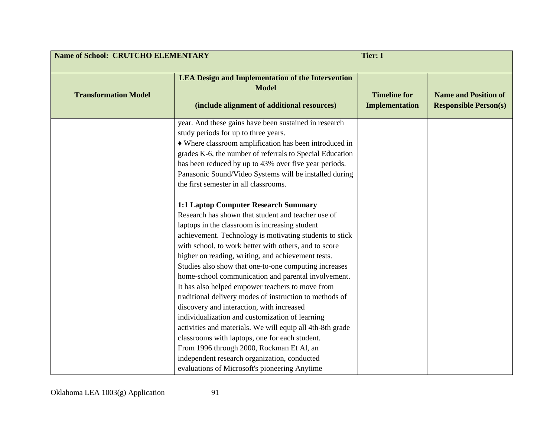| <b>Name of School: CRUTCHO ELEMENTARY</b><br><b>Tier: I</b> |                                                                                                                                                                                                                                                                                                                                                                                                                                                                                                                                                                                                                                                                                                                                                                                                                                                                   |                                              |                                                             |
|-------------------------------------------------------------|-------------------------------------------------------------------------------------------------------------------------------------------------------------------------------------------------------------------------------------------------------------------------------------------------------------------------------------------------------------------------------------------------------------------------------------------------------------------------------------------------------------------------------------------------------------------------------------------------------------------------------------------------------------------------------------------------------------------------------------------------------------------------------------------------------------------------------------------------------------------|----------------------------------------------|-------------------------------------------------------------|
| <b>Transformation Model</b>                                 | <b>LEA Design and Implementation of the Intervention</b><br><b>Model</b><br>(include alignment of additional resources)                                                                                                                                                                                                                                                                                                                                                                                                                                                                                                                                                                                                                                                                                                                                           | <b>Timeline for</b><br><b>Implementation</b> | <b>Name and Position of</b><br><b>Responsible Person(s)</b> |
|                                                             | year. And these gains have been sustained in research<br>study periods for up to three years.<br>• Where classroom amplification has been introduced in<br>grades K-6, the number of referrals to Special Education<br>has been reduced by up to 43% over five year periods.<br>Panasonic Sound/Video Systems will be installed during<br>the first semester in all classrooms.                                                                                                                                                                                                                                                                                                                                                                                                                                                                                   |                                              |                                                             |
|                                                             | 1:1 Laptop Computer Research Summary<br>Research has shown that student and teacher use of<br>laptops in the classroom is increasing student<br>achievement. Technology is motivating students to stick<br>with school, to work better with others, and to score<br>higher on reading, writing, and achievement tests.<br>Studies also show that one-to-one computing increases<br>home-school communication and parental involvement.<br>It has also helped empower teachers to move from<br>traditional delivery modes of instruction to methods of<br>discovery and interaction, with increased<br>individualization and customization of learning<br>activities and materials. We will equip all 4th-8th grade<br>classrooms with laptops, one for each student.<br>From 1996 through 2000, Rockman Et Al, an<br>independent research organization, conducted |                                              |                                                             |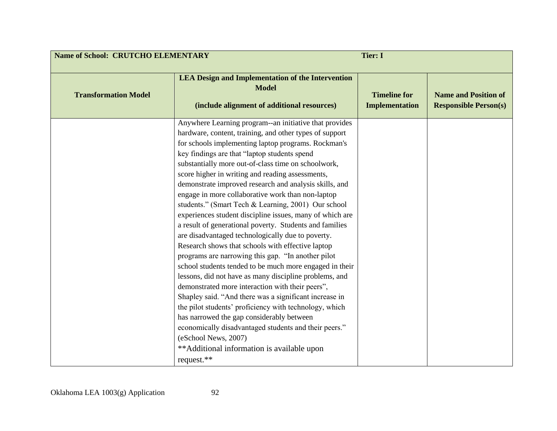|                             | <b>Name of School: CRUTCHO ELEMENTARY</b><br><b>Tier: I</b>                                                                                                                                                                                                                                                                                                                                                                                                                                                                                                                                                                                                                                                                                                                                                                                                                                                                                                                                                                                                                                                                                                                                                                                                                              |                                              |                                                             |
|-----------------------------|------------------------------------------------------------------------------------------------------------------------------------------------------------------------------------------------------------------------------------------------------------------------------------------------------------------------------------------------------------------------------------------------------------------------------------------------------------------------------------------------------------------------------------------------------------------------------------------------------------------------------------------------------------------------------------------------------------------------------------------------------------------------------------------------------------------------------------------------------------------------------------------------------------------------------------------------------------------------------------------------------------------------------------------------------------------------------------------------------------------------------------------------------------------------------------------------------------------------------------------------------------------------------------------|----------------------------------------------|-------------------------------------------------------------|
| <b>Transformation Model</b> | <b>LEA Design and Implementation of the Intervention</b><br><b>Model</b><br>(include alignment of additional resources)                                                                                                                                                                                                                                                                                                                                                                                                                                                                                                                                                                                                                                                                                                                                                                                                                                                                                                                                                                                                                                                                                                                                                                  | <b>Timeline for</b><br><b>Implementation</b> | <b>Name and Position of</b><br><b>Responsible Person(s)</b> |
|                             | Anywhere Learning program--an initiative that provides<br>hardware, content, training, and other types of support<br>for schools implementing laptop programs. Rockman's<br>key findings are that "laptop students spend<br>substantially more out-of-class time on schoolwork,<br>score higher in writing and reading assessments,<br>demonstrate improved research and analysis skills, and<br>engage in more collaborative work than non-laptop<br>students." (Smart Tech & Learning, 2001) Our school<br>experiences student discipline issues, many of which are<br>a result of generational poverty. Students and families<br>are disadvantaged technologically due to poverty.<br>Research shows that schools with effective laptop<br>programs are narrowing this gap. "In another pilot<br>school students tended to be much more engaged in their<br>lessons, did not have as many discipline problems, and<br>demonstrated more interaction with their peers",<br>Shapley said. "And there was a significant increase in<br>the pilot students' proficiency with technology, which<br>has narrowed the gap considerably between<br>economically disadvantaged students and their peers."<br>(eSchool News, 2007)<br>** Additional information is available upon<br>request.** |                                              |                                                             |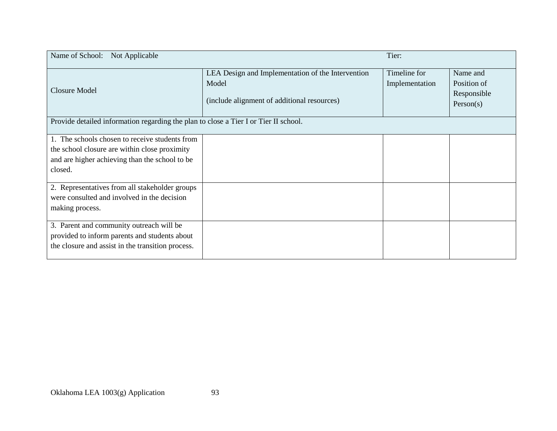| Name of School: Not Applicable                                                                                                                               |                                                                                                           | Tier:                          |                                                     |
|--------------------------------------------------------------------------------------------------------------------------------------------------------------|-----------------------------------------------------------------------------------------------------------|--------------------------------|-----------------------------------------------------|
| <b>Closure Model</b>                                                                                                                                         | LEA Design and Implementation of the Intervention<br>Model<br>(include alignment of additional resources) | Timeline for<br>Implementation | Name and<br>Position of<br>Responsible<br>Person(s) |
| Provide detailed information regarding the plan to close a Tier I or Tier II school.                                                                         |                                                                                                           |                                |                                                     |
| 1. The schools chosen to receive students from<br>the school closure are within close proximity<br>and are higher achieving than the school to be<br>closed. |                                                                                                           |                                |                                                     |
| 2. Representatives from all stakeholder groups<br>were consulted and involved in the decision<br>making process.                                             |                                                                                                           |                                |                                                     |
| 3. Parent and community outreach will be<br>provided to inform parents and students about<br>the closure and assist in the transition process.               |                                                                                                           |                                |                                                     |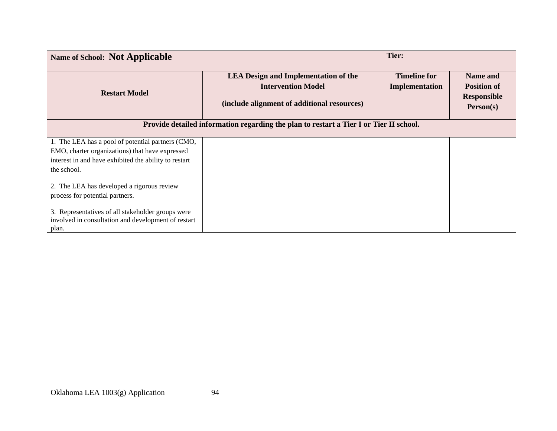| <b>Name of School: Not Applicable</b>                                                                |                                                                                                                         | Tier:                                 |                                                                   |
|------------------------------------------------------------------------------------------------------|-------------------------------------------------------------------------------------------------------------------------|---------------------------------------|-------------------------------------------------------------------|
| <b>Restart Model</b>                                                                                 | <b>LEA Design and Implementation of the</b><br><b>Intervention Model</b><br>(include alignment of additional resources) | <b>Timeline for</b><br>Implementation | Name and<br><b>Position of</b><br><b>Responsible</b><br>Person(s) |
|                                                                                                      | Provide detailed information regarding the plan to restart a Tier I or Tier II school.                                  |                                       |                                                                   |
| 1. The LEA has a pool of potential partners (CMO,<br>EMO, charter organizations) that have expressed |                                                                                                                         |                                       |                                                                   |
| interest in and have exhibited the ability to restart                                                |                                                                                                                         |                                       |                                                                   |
| the school.                                                                                          |                                                                                                                         |                                       |                                                                   |
| 2. The LEA has developed a rigorous review                                                           |                                                                                                                         |                                       |                                                                   |
| process for potential partners.                                                                      |                                                                                                                         |                                       |                                                                   |
| 3. Representatives of all stakeholder groups were                                                    |                                                                                                                         |                                       |                                                                   |
| involved in consultation and development of restart<br>plan.                                         |                                                                                                                         |                                       |                                                                   |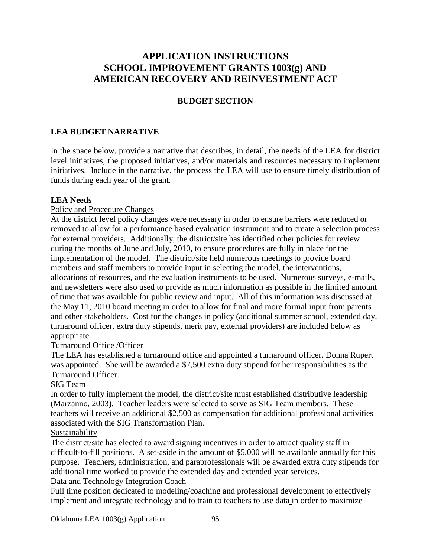# **APPLICATION INSTRUCTIONS SCHOOL IMPROVEMENT GRANTS 1003(g) AND AMERICAN RECOVERY AND REINVESTMENT ACT**

## **BUDGET SECTION**

### **LEA BUDGET NARRATIVE**

In the space below, provide a narrative that describes, in detail, the needs of the LEA for district level initiatives, the proposed initiatives, and/or materials and resources necessary to implement initiatives. Include in the narrative, the process the LEA will use to ensure timely distribution of funds during each year of the grant.

#### **LEA Needs**

#### Policy and Procedure Changes

At the district level policy changes were necessary in order to ensure barriers were reduced or removed to allow for a performance based evaluation instrument and to create a selection process for external providers. Additionally, the district/site has identified other policies for review during the months of June and July, 2010, to ensure procedures are fully in place for the implementation of the model. The district/site held numerous meetings to provide board members and staff members to provide input in selecting the model, the interventions, allocations of resources, and the evaluation instruments to be used. Numerous surveys, e-mails, and newsletters were also used to provide as much information as possible in the limited amount of time that was available for public review and input. All of this information was discussed at the May 11, 2010 board meeting in order to allow for final and more formal input from parents and other stakeholders. Cost for the changes in policy (additional summer school, extended day, turnaround officer, extra duty stipends, merit pay, external providers) are included below as appropriate.

#### Turnaround Office /Officer

The LEA has established a turnaround office and appointed a turnaround officer. Donna Rupert was appointed. She will be awarded a \$7,500 extra duty stipend for her responsibilities as the Turnaround Officer.

#### SIG Team

In order to fully implement the model, the district/site must established distributive leadership (Marzanno, 2003). Teacher leaders were selected to serve as SIG Team members. These teachers will receive an additional \$2,500 as compensation for additional professional activities associated with the SIG Transformation Plan.

### **Sustainability**

The district/site has elected to award signing incentives in order to attract quality staff in difficult-to-fill positions. A set-aside in the amount of \$5,000 will be available annually for this purpose. Teachers, administration, and paraprofessionals will be awarded extra duty stipends for additional time worked to provide the extended day and extended year services.

Data and Technology Integration Coach

Full time position dedicated to modeling/coaching and professional development to effectively implement and integrate technology and to train to teachers to use data in order to maximize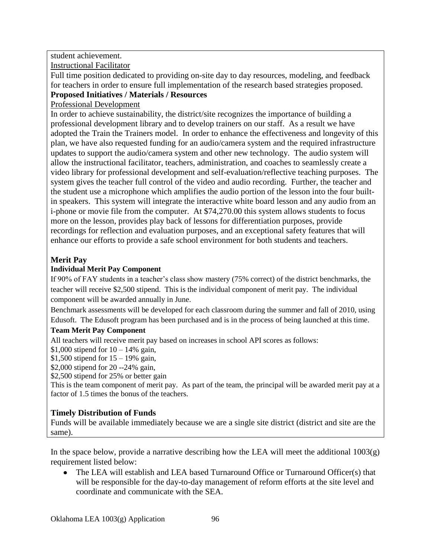### student achievement.

Instructional Facilitator

Full time position dedicated to providing on-site day to day resources, modeling, and feedback for teachers in order to ensure full implementation of the research based strategies proposed. **Proposed Initiatives / Materials / Resources**

### Professional Development

In order to achieve sustainability, the district/site recognizes the importance of building a professional development library and to develop trainers on our staff. As a result we have adopted the Train the Trainers model. In order to enhance the effectiveness and longevity of this plan, we have also requested funding for an audio/camera system and the required infrastructure updates to support the audio/camera system and other new technology. The audio system will allow the instructional facilitator, teachers, administration, and coaches to seamlessly create a video library for professional development and self-evaluation/reflective teaching purposes. The system gives the teacher full control of the video and audio recording. Further, the teacher and the student use a microphone which amplifies the audio portion of the lesson into the four builtin speakers. This system will integrate the interactive white board lesson and any audio from an i-phone or movie file from the computer. At \$74,270.00 this system allows students to focus more on the lesson, provides play back of lessons for differentiation purposes, provide recordings for reflection and evaluation purposes, and an exceptional safety features that will enhance our efforts to provide a safe school environment for both students and teachers.

### **Merit Pay**

# **Individual Merit Pay Component**

If 90% of FAY students in a teacher's class show mastery (75% correct) of the district benchmarks, the teacher will receive \$2,500 stipend. This is the individual component of merit pay. The individual component will be awarded annually in June.

Benchmark assessments will be developed for each classroom during the summer and fall of 2010, using Edusoft. The Edusoft program has been purchased and is in the process of being launched at this time.

# **Team Merit Pay Component**

All teachers will receive merit pay based on increases in school API scores as follows:

\$1,000 stipend for  $10 - 14%$  gain,

\$1,500 stipend for  $15 - 19\%$  gain,

\$2,000 stipend for 20 --24% gain,

\$2,500 stipend for 25% or better gain

This is the team component of merit pay. As part of the team, the principal will be awarded merit pay at a factor of 1.5 times the bonus of the teachers.

# **Timely Distribution of Funds**

Funds will be available immediately because we are a single site district (district and site are the same).

In the space below, provide a narrative describing how the LEA will meet the additional  $1003(g)$ requirement listed below:

The LEA will establish and LEA based Turnaround Office or Turnaround Officer(s) that  $\bullet$ will be responsible for the day-to-day management of reform efforts at the site level and coordinate and communicate with the SEA.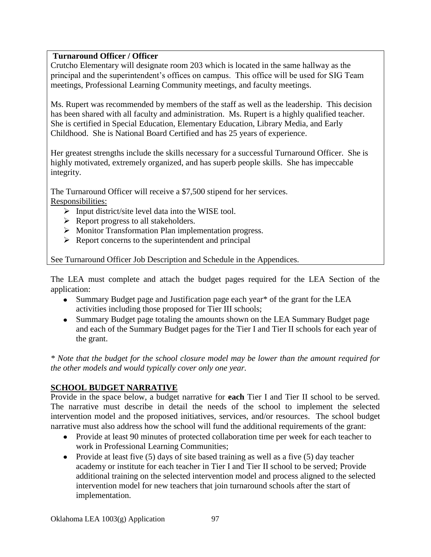### **Turnaround Officer / Officer**

Crutcho Elementary will designate room 203 which is located in the same hallway as the principal and the superintendent's offices on campus. This office will be used for SIG Team meetings, Professional Learning Community meetings, and faculty meetings.

Ms. Rupert was recommended by members of the staff as well as the leadership. This decision has been shared with all faculty and administration. Ms. Rupert is a highly qualified teacher. She is certified in Special Education, Elementary Education, Library Media, and Early Childhood. She is National Board Certified and has 25 years of experience.

Her greatest strengths include the skills necessary for a successful Turnaround Officer. She is highly motivated, extremely organized, and has superb people skills. She has impeccable integrity.

The Turnaround Officer will receive a \$7,500 stipend for her services. Responsibilities:

- $\triangleright$  Input district/site level data into the WISE tool.
- $\triangleright$  Report progress to all stakeholders.
- Monitor Transformation Plan implementation progress.
- $\triangleright$  Report concerns to the superintendent and principal

See Turnaround Officer Job Description and Schedule in the Appendices.

The LEA must complete and attach the budget pages required for the LEA Section of the application:

- Summary Budget page and Justification page each year<sup>\*</sup> of the grant for the LEA activities including those proposed for Tier III schools;
- Summary Budget page totaling the amounts shown on the LEA Summary Budget page  $\bullet$ and each of the Summary Budget pages for the Tier I and Tier II schools for each year of the grant.

*\* Note that the budget for the school closure model may be lower than the amount required for the other models and would typically cover only one year.*

# **SCHOOL BUDGET NARRATIVE**

Provide in the space below, a budget narrative for **each** Tier I and Tier II school to be served. The narrative must describe in detail the needs of the school to implement the selected intervention model and the proposed initiatives, services, and/or resources. The school budget narrative must also address how the school will fund the additional requirements of the grant:

- Provide at least 90 minutes of protected collaboration time per week for each teacher to work in Professional Learning Communities;
- Provide at least five  $(5)$  days of site based training as well as a five  $(5)$  day teacher academy or institute for each teacher in Tier I and Tier II school to be served; Provide additional training on the selected intervention model and process aligned to the selected intervention model for new teachers that join turnaround schools after the start of implementation.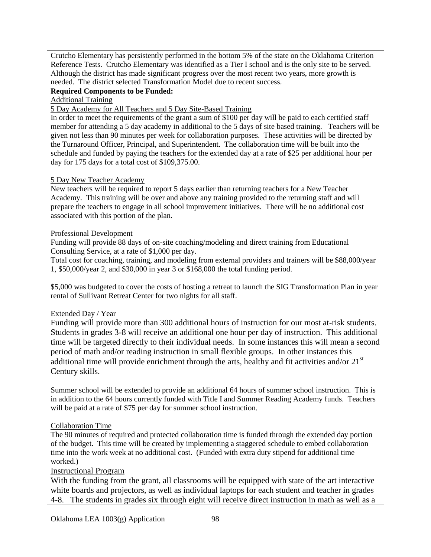Crutcho Elementary has persistently performed in the bottom 5% of the state on the Oklahoma Criterion Reference Tests. Crutcho Elementary was identified as a Tier I school and is the only site to be served. Although the district has made significant progress over the most recent two years, more growth is needed. The district selected Transformation Model due to recent success.

#### **Required Components to be Funded:**

Additional Training

5 Day Academy for All Teachers and 5 Day Site-Based Training

In order to meet the requirements of the grant a sum of \$100 per day will be paid to each certified staff member for attending a 5 day academy in additional to the 5 days of site based training. Teachers will be given not less than 90 minutes per week for collaboration purposes. These activities will be directed by the Turnaround Officer, Principal, and Superintendent. The collaboration time will be built into the schedule and funded by paying the teachers for the extended day at a rate of \$25 per additional hour per day for 175 days for a total cost of \$109,375.00.

#### 5 Day New Teacher Academy

New teachers will be required to report 5 days earlier than returning teachers for a New Teacher Academy. This training will be over and above any training provided to the returning staff and will prepare the teachers to engage in all school improvement initiatives. There will be no additional cost associated with this portion of the plan.

#### Professional Development

Funding will provide 88 days of on-site coaching/modeling and direct training from Educational Consulting Service, at a rate of \$1,000 per day.

Total cost for coaching, training, and modeling from external providers and trainers will be \$88,000/year 1, \$50,000/year 2, and \$30,000 in year 3 or \$168,000 the total funding period.

\$5,000 was budgeted to cover the costs of hosting a retreat to launch the SIG Transformation Plan in year rental of Sullivant Retreat Center for two nights for all staff.

### Extended Day / Year

Funding will provide more than 300 additional hours of instruction for our most at-risk students. Students in grades 3-8 will receive an additional one hour per day of instruction. This additional time will be targeted directly to their individual needs. In some instances this will mean a second period of math and/or reading instruction in small flexible groups. In other instances this additional time will provide enrichment through the arts, healthy and fit activities and/or  $21<sup>st</sup>$ Century skills.

Summer school will be extended to provide an additional 64 hours of summer school instruction. This is in addition to the 64 hours currently funded with Title I and Summer Reading Academy funds. Teachers will be paid at a rate of \$75 per day for summer school instruction.

### Collaboration Time

The 90 minutes of required and protected collaboration time is funded through the extended day portion of the budget. This time will be created by implementing a staggered schedule to embed collaboration time into the work week at no additional cost. (Funded with extra duty stipend for additional time worked.)

### Instructional Program

With the funding from the grant, all classrooms will be equipped with state of the art interactive white boards and projectors, as well as individual laptops for each student and teacher in grades 4-8. The students in grades six through eight will receive direct instruction in math as well as a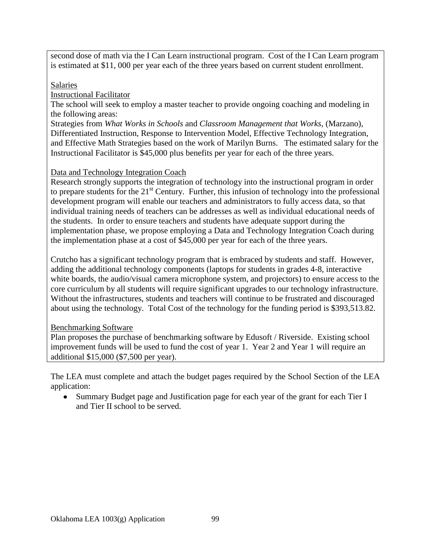second dose of math via the I Can Learn instructional program. Cost of the I Can Learn program is estimated at \$11, 000 per year each of the three years based on current student enrollment.

#### Salaries

Instructional Facilitator

The school will seek to employ a master teacher to provide ongoing coaching and modeling in the following areas:

Strategies from *What Works in Schools* and *Classroom Management that Works*, (Marzano), Differentiated Instruction, Response to Intervention Model, Effective Technology Integration, and Effective Math Strategies based on the work of Marilyn Burns. The estimated salary for the Instructional Facilitator is \$45,000 plus benefits per year for each of the three years.

### Data and Technology Integration Coach

Research strongly supports the integration of technology into the instructional program in order to prepare students for the  $21<sup>st</sup>$  Century. Further, this infusion of technology into the professional development program will enable our teachers and administrators to fully access data, so that individual training needs of teachers can be addresses as well as individual educational needs of the students. In order to ensure teachers and students have adequate support during the implementation phase, we propose employing a Data and Technology Integration Coach during the implementation phase at a cost of \$45,000 per year for each of the three years.

Crutcho has a significant technology program that is embraced by students and staff. However, adding the additional technology components (laptops for students in grades 4-8, interactive white boards, the audio/visual camera microphone system, and projectors) to ensure access to the core curriculum by all students will require significant upgrades to our technology infrastructure. Without the infrastructures, students and teachers will continue to be frustrated and discouraged about using the technology. Total Cost of the technology for the funding period is \$393,513.82.

### Benchmarking Software

Plan proposes the purchase of benchmarking software by Edusoft / Riverside. Existing school improvement funds will be used to fund the cost of year 1. Year 2 and Year 1 will require an additional \$15,000 (\$7,500 per year).

The LEA must complete and attach the budget pages required by the School Section of the LEA application:

Summary Budget page and Justification page for each year of the grant for each Tier I and Tier II school to be served.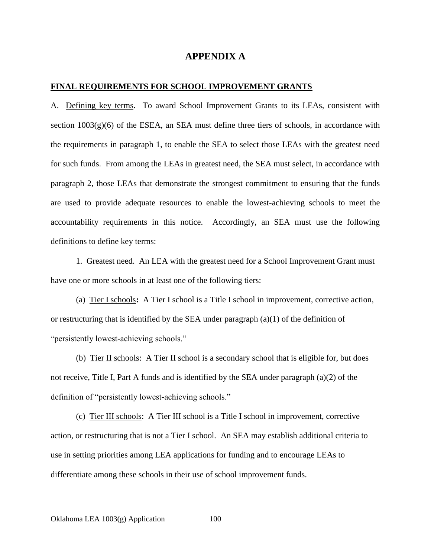#### **APPENDIX A**

#### **FINAL REQUIREMENTS FOR SCHOOL IMPROVEMENT GRANTS**

A. Defining key terms. To award School Improvement Grants to its LEAs, consistent with section  $1003(g)(6)$  of the ESEA, an SEA must define three tiers of schools, in accordance with the requirements in paragraph 1, to enable the SEA to select those LEAs with the greatest need for such funds. From among the LEAs in greatest need, the SEA must select, in accordance with paragraph 2, those LEAs that demonstrate the strongest commitment to ensuring that the funds are used to provide adequate resources to enable the lowest-achieving schools to meet the accountability requirements in this notice. Accordingly, an SEA must use the following definitions to define key terms:

1. Greatest need. An LEA with the greatest need for a School Improvement Grant must have one or more schools in at least one of the following tiers:

(a) Tier I schools**:** A Tier I school is a Title I school in improvement, corrective action, or restructuring that is identified by the SEA under paragraph  $(a)(1)$  of the definition of "persistently lowest-achieving schools."

(b) Tier II schools: A Tier II school is a secondary school that is eligible for, but does not receive, Title I, Part A funds and is identified by the SEA under paragraph (a)(2) of the definition of "persistently lowest-achieving schools."

(c) Tier III schools: A Tier III school is a Title I school in improvement, corrective action, or restructuring that is not a Tier I school. An SEA may establish additional criteria to use in setting priorities among LEA applications for funding and to encourage LEAs to differentiate among these schools in their use of school improvement funds.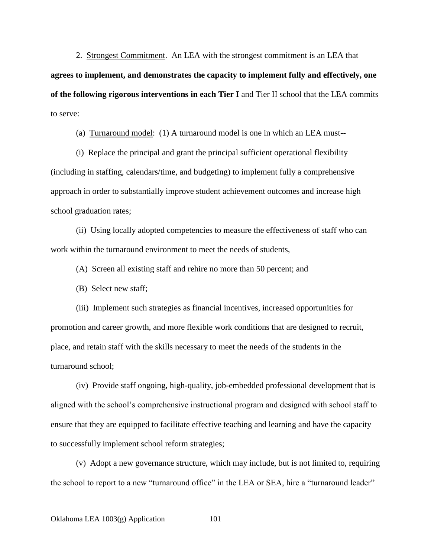2. Strongest Commitment. An LEA with the strongest commitment is an LEA that **agrees to implement, and demonstrates the capacity to implement fully and effectively, one of the following rigorous interventions in each Tier I** and Tier II school that the LEA commits to serve:

(a) Turnaround model: (1) A turnaround model is one in which an LEA must--

(i) Replace the principal and grant the principal sufficient operational flexibility (including in staffing, calendars/time, and budgeting) to implement fully a comprehensive approach in order to substantially improve student achievement outcomes and increase high school graduation rates;

(ii) Using locally adopted competencies to measure the effectiveness of staff who can work within the turnaround environment to meet the needs of students,

(A) Screen all existing staff and rehire no more than 50 percent; and

(B) Select new staff;

(iii) Implement such strategies as financial incentives, increased opportunities for promotion and career growth, and more flexible work conditions that are designed to recruit, place, and retain staff with the skills necessary to meet the needs of the students in the turnaround school;

(iv) Provide staff ongoing, high-quality, job-embedded professional development that is aligned with the school's comprehensive instructional program and designed with school staff to ensure that they are equipped to facilitate effective teaching and learning and have the capacity to successfully implement school reform strategies;

(v) Adopt a new governance structure, which may include, but is not limited to, requiring the school to report to a new "turnaround office" in the LEA or SEA, hire a "turnaround leader"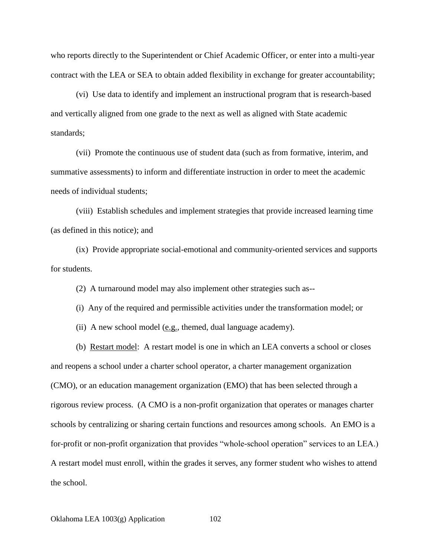who reports directly to the Superintendent or Chief Academic Officer, or enter into a multi-year contract with the LEA or SEA to obtain added flexibility in exchange for greater accountability;

(vi) Use data to identify and implement an instructional program that is research-based and vertically aligned from one grade to the next as well as aligned with State academic standards;

(vii) Promote the continuous use of student data (such as from formative, interim, and summative assessments) to inform and differentiate instruction in order to meet the academic needs of individual students;

(viii) Establish schedules and implement strategies that provide increased learning time (as defined in this notice); and

(ix) Provide appropriate social-emotional and community-oriented services and supports for students.

(2) A turnaround model may also implement other strategies such as--

(i) Any of the required and permissible activities under the transformation model; or

(ii) A new school model (e.g., themed, dual language academy).

(b) Restart model: A restart model is one in which an LEA converts a school or closes and reopens a school under a charter school operator, a charter management organization (CMO), or an education management organization (EMO) that has been selected through a rigorous review process. (A CMO is a non-profit organization that operates or manages charter schools by centralizing or sharing certain functions and resources among schools. An EMO is a for-profit or non-profit organization that provides "whole-school operation" services to an LEA.) A restart model must enroll, within the grades it serves, any former student who wishes to attend the school.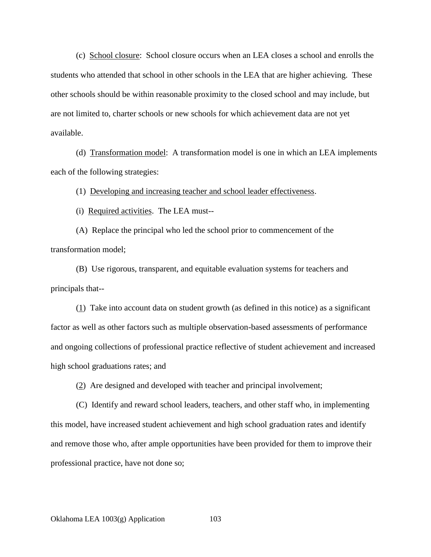(c) School closure: School closure occurs when an LEA closes a school and enrolls the students who attended that school in other schools in the LEA that are higher achieving. These other schools should be within reasonable proximity to the closed school and may include, but are not limited to, charter schools or new schools for which achievement data are not yet available.

(d) Transformation model: A transformation model is one in which an LEA implements each of the following strategies:

(1) Developing and increasing teacher and school leader effectiveness.

(i) Required activities. The LEA must--

(A) Replace the principal who led the school prior to commencement of the transformation model;

(B) Use rigorous, transparent, and equitable evaluation systems for teachers and principals that--

 $(1)$  Take into account data on student growth (as defined in this notice) as a significant factor as well as other factors such as multiple observation-based assessments of performance and ongoing collections of professional practice reflective of student achievement and increased high school graduations rates; and

(2) Are designed and developed with teacher and principal involvement;

(C) Identify and reward school leaders, teachers, and other staff who, in implementing this model, have increased student achievement and high school graduation rates and identify and remove those who, after ample opportunities have been provided for them to improve their professional practice, have not done so;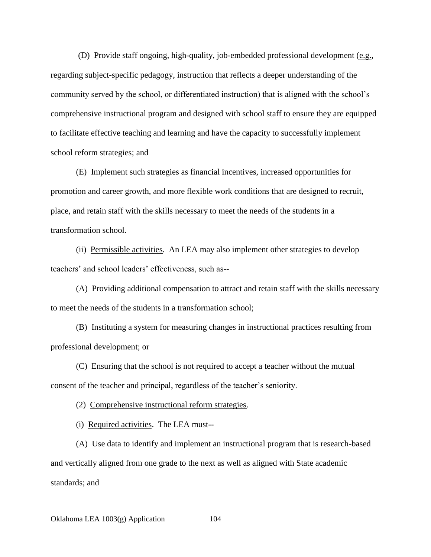(D) Provide staff ongoing, high-quality, job-embedded professional development (e.g., regarding subject-specific pedagogy, instruction that reflects a deeper understanding of the community served by the school, or differentiated instruction) that is aligned with the school's comprehensive instructional program and designed with school staff to ensure they are equipped to facilitate effective teaching and learning and have the capacity to successfully implement school reform strategies; and

(E) Implement such strategies as financial incentives, increased opportunities for promotion and career growth, and more flexible work conditions that are designed to recruit, place, and retain staff with the skills necessary to meet the needs of the students in a transformation school.

(ii) Permissible activities. An LEA may also implement other strategies to develop teachers' and school leaders' effectiveness, such as--

(A) Providing additional compensation to attract and retain staff with the skills necessary to meet the needs of the students in a transformation school;

(B) Instituting a system for measuring changes in instructional practices resulting from professional development; or

(C) Ensuring that the school is not required to accept a teacher without the mutual consent of the teacher and principal, regardless of the teacher's seniority.

(2) Comprehensive instructional reform strategies.

(i) Required activities. The LEA must--

(A) Use data to identify and implement an instructional program that is research-based and vertically aligned from one grade to the next as well as aligned with State academic standards; and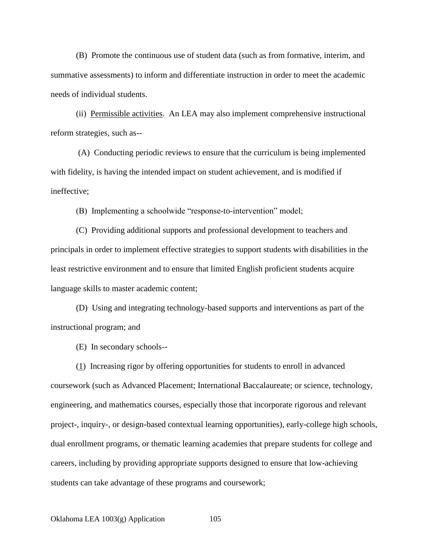(B) Promote the continuous use of student data (such as from formative, interim, and summative assessments) to inform and differentiate instruction in order to meet the academic needs of individual students.

(ii) Permissible activities. An LEA may also implement comprehensive instructional reform strategies, such as--

(A) Conducting periodic reviews to ensure that the curriculum is being implemented with fidelity, is having the intended impact on student achievement, and is modified if ineffective;

(B) Implementing a schoolwide "response-to-intervention" model;

(C) Providing additional supports and professional development to teachers and principals in order to implement effective strategies to support students with disabilities in the least restrictive environment and to ensure that limited English proficient students acquire language skills to master academic content;

(D) Using and integrating technology-based supports and interventions as part of the instructional program; and

(E) In secondary schools--

(1) Increasing rigor by offering opportunities for students to enroll in advanced coursework (such as Advanced Placement; International Baccalaureate; or science, technology, engineering, and mathematics courses, especially those that incorporate rigorous and relevant project-, inquiry-, or design-based contextual learning opportunities), early-college high schools, dual enrollment programs, or thematic learning academies that prepare students for college and careers, including by providing appropriate supports designed to ensure that low-achieving students can take advantage of these programs and coursework;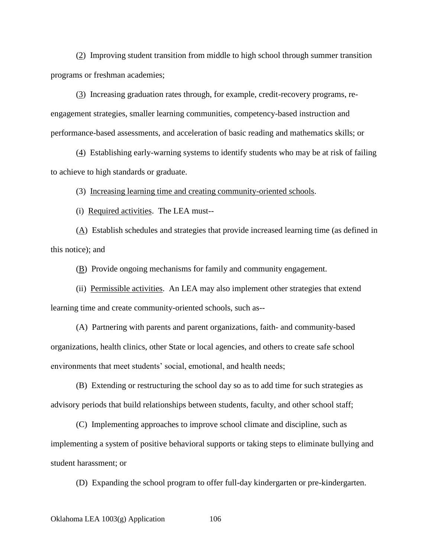(2) Improving student transition from middle to high school through summer transition programs or freshman academies;

(3) Increasing graduation rates through, for example, credit-recovery programs, reengagement strategies, smaller learning communities, competency-based instruction and performance-based assessments, and acceleration of basic reading and mathematics skills; or

(4) Establishing early-warning systems to identify students who may be at risk of failing to achieve to high standards or graduate.

(3) Increasing learning time and creating community-oriented schools.

(i) Required activities. The LEA must--

(A) Establish schedules and strategies that provide increased learning time (as defined in this notice); and

(B) Provide ongoing mechanisms for family and community engagement.

(ii) Permissible activities. An LEA may also implement other strategies that extend learning time and create community-oriented schools, such as--

(A) Partnering with parents and parent organizations, faith- and community-based organizations, health clinics, other State or local agencies, and others to create safe school environments that meet students' social, emotional, and health needs;

(B) Extending or restructuring the school day so as to add time for such strategies as advisory periods that build relationships between students, faculty, and other school staff;

(C) Implementing approaches to improve school climate and discipline, such as implementing a system of positive behavioral supports or taking steps to eliminate bullying and student harassment; or

(D) Expanding the school program to offer full-day kindergarten or pre-kindergarten.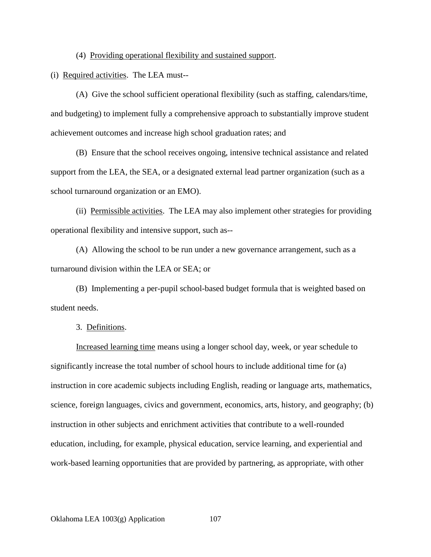(4) Providing operational flexibility and sustained support.

(i) Required activities. The LEA must--

(A) Give the school sufficient operational flexibility (such as staffing, calendars/time, and budgeting) to implement fully a comprehensive approach to substantially improve student achievement outcomes and increase high school graduation rates; and

(B) Ensure that the school receives ongoing, intensive technical assistance and related support from the LEA, the SEA, or a designated external lead partner organization (such as a school turnaround organization or an EMO).

(ii) Permissible activities. The LEA may also implement other strategies for providing operational flexibility and intensive support, such as--

(A) Allowing the school to be run under a new governance arrangement, such as a turnaround division within the LEA or SEA; or

(B) Implementing a per-pupil school-based budget formula that is weighted based on student needs.

3. Definitions.

Increased learning time means using a longer school day, week, or year schedule to significantly increase the total number of school hours to include additional time for (a) instruction in core academic subjects including English, reading or language arts, mathematics, science, foreign languages, civics and government, economics, arts, history, and geography; (b) instruction in other subjects and enrichment activities that contribute to a well-rounded education, including, for example, physical education, service learning, and experiential and work-based learning opportunities that are provided by partnering, as appropriate, with other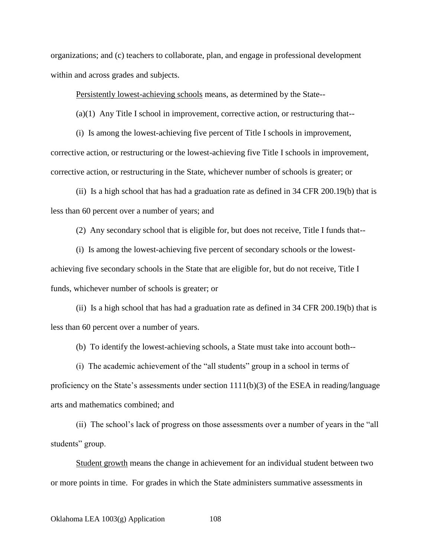organizations; and (c) teachers to collaborate, plan, and engage in professional development within and across grades and subjects.

Persistently lowest-achieving schools means, as determined by the State--

(a)(1) Any Title I school in improvement, corrective action, or restructuring that--

(i) Is among the lowest-achieving five percent of Title I schools in improvement, corrective action, or restructuring or the lowest-achieving five Title I schools in improvement, corrective action, or restructuring in the State, whichever number of schools is greater; or

(ii) Is a high school that has had a graduation rate as defined in 34 CFR 200.19(b) that is less than 60 percent over a number of years; and

(2) Any secondary school that is eligible for, but does not receive, Title I funds that--

(i) Is among the lowest-achieving five percent of secondary schools or the lowestachieving five secondary schools in the State that are eligible for, but do not receive, Title I funds, whichever number of schools is greater; or

(ii) Is a high school that has had a graduation rate as defined in 34 CFR 200.19(b) that is less than 60 percent over a number of years.

(b) To identify the lowest-achieving schools, a State must take into account both--

(i) The academic achievement of the "all students" group in a school in terms of proficiency on the State's assessments under section 1111(b)(3) of the ESEA in reading/language arts and mathematics combined; and

(ii) The school's lack of progress on those assessments over a number of years in the "all students" group.

Student growth means the change in achievement for an individual student between two or more points in time. For grades in which the State administers summative assessments in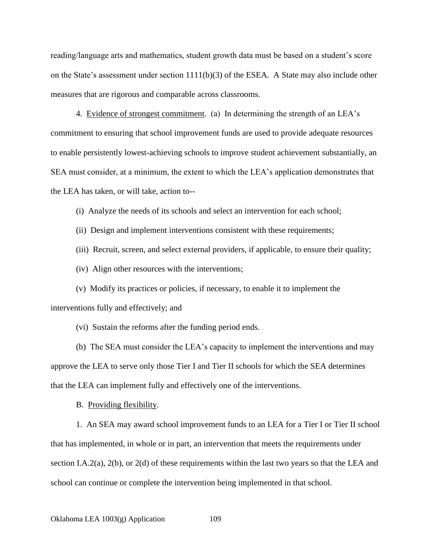reading/language arts and mathematics, student growth data must be based on a student's score on the State's assessment under section  $1111(b)(3)$  of the ESEA. A State may also include other measures that are rigorous and comparable across classrooms.

4. Evidence of strongest commitment. (a) In determining the strength of an LEA's commitment to ensuring that school improvement funds are used to provide adequate resources to enable persistently lowest-achieving schools to improve student achievement substantially, an SEA must consider, at a minimum, the extent to which the LEA's application demonstrates that the LEA has taken, or will take, action to--

(i) Analyze the needs of its schools and select an intervention for each school;

(ii) Design and implement interventions consistent with these requirements;

(iii) Recruit, screen, and select external providers, if applicable, to ensure their quality;

(iv) Align other resources with the interventions;

(v) Modify its practices or policies, if necessary, to enable it to implement the interventions fully and effectively; and

(vi) Sustain the reforms after the funding period ends.

(b) The SEA must consider the LEA's capacity to implement the interventions and may approve the LEA to serve only those Tier I and Tier II schools for which the SEA determines that the LEA can implement fully and effectively one of the interventions.

B. Providing flexibility.

1. An SEA may award school improvement funds to an LEA for a Tier I or Tier II school that has implemented, in whole or in part, an intervention that meets the requirements under section I.A.2(a), 2(b), or 2(d) of these requirements within the last two years so that the LEA and school can continue or complete the intervention being implemented in that school.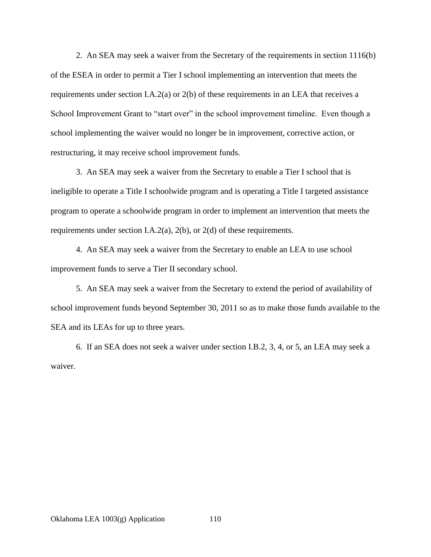2. An SEA may seek a waiver from the Secretary of the requirements in section 1116(b) of the ESEA in order to permit a Tier I school implementing an intervention that meets the requirements under section I.A.2(a) or 2(b) of these requirements in an LEA that receives a School Improvement Grant to "start over" in the school improvement timeline. Even though a school implementing the waiver would no longer be in improvement, corrective action, or restructuring, it may receive school improvement funds.

3. An SEA may seek a waiver from the Secretary to enable a Tier I school that is ineligible to operate a Title I schoolwide program and is operating a Title I targeted assistance program to operate a schoolwide program in order to implement an intervention that meets the requirements under section I.A.2(a), 2(b), or 2(d) of these requirements.

4. An SEA may seek a waiver from the Secretary to enable an LEA to use school improvement funds to serve a Tier II secondary school.

5. An SEA may seek a waiver from the Secretary to extend the period of availability of school improvement funds beyond September 30, 2011 so as to make those funds available to the SEA and its LEAs for up to three years.

6. If an SEA does not seek a waiver under section I.B.2, 3, 4, or 5, an LEA may seek a waiver.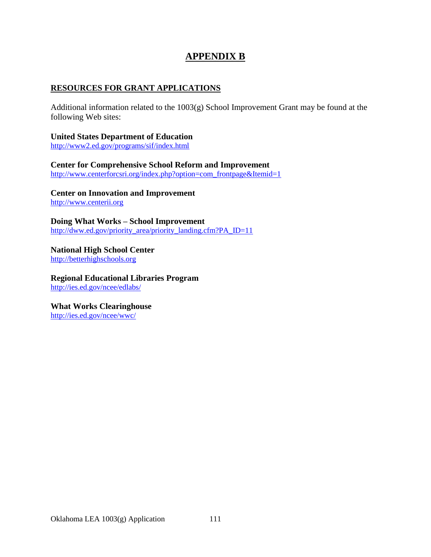# **APPENDIX B**

#### **RESOURCES FOR GRANT APPLICATIONS**

Additional information related to the 1003(g) School Improvement Grant may be found at the following Web sites:

**United States Department of Education** <http://www2.ed.gov/programs/sif/index.html>

**Center for Comprehensive School Reform and Improvement** [http://www.centerforcsri.org/index.php?option=com\\_frontpage&Itemid=1](http://www.centerforcsri.org/index.php?option=com_frontpage&Itemid=1)

**Center on Innovation and Improvement** [http://www.centerii.org](http://www.centerii.org/)

**Doing What Works – School Improvement** [http://dww.ed.gov/priority\\_area/priority\\_landing.cfm?PA\\_ID=11](http://dww.ed.gov/priority_area/priority_landing.cfm?PA_ID=11)

**National High School Center** [http://betterhighschools.org](http://betterhighschools.org/)

**Regional Educational Libraries Program** <http://ies.ed.gov/ncee/edlabs/>

**What Works Clearinghouse** <http://ies.ed.gov/ncee/wwc/>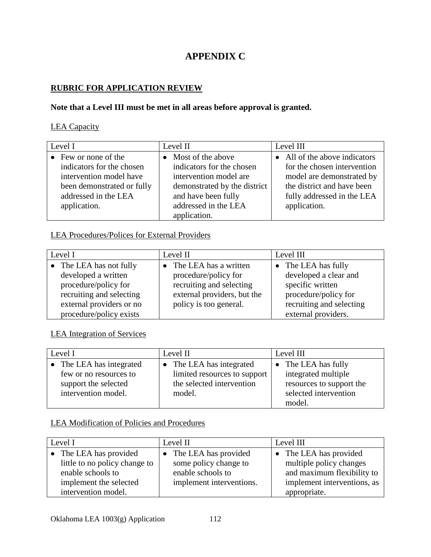# **APPENDIX C**

#### **RUBRIC FOR APPLICATION REVIEW**

#### **Note that a Level III must be met in all areas before approval is granted.**

#### LEA Capacity

| Level I |                              | Level II |                              | Level III |                               |
|---------|------------------------------|----------|------------------------------|-----------|-------------------------------|
|         | $\bullet$ Few or none of the |          | • Most of the above          |           | • All of the above indicators |
|         | indicators for the chosen    |          | indicators for the chosen    |           | for the chosen intervention   |
|         | intervention model have      |          | intervention model are       |           | model are demonstrated by     |
|         | been demonstrated or fully   |          | demonstrated by the district |           | the district and have been    |
|         | addressed in the LEA         |          | and have been fully          |           | fully addressed in the LEA    |
|         | application.                 |          | addressed in the LEA         |           | application.                  |
|         |                              |          | application.                 |           |                               |

#### LEA Procedures/Polices for External Providers

| Level I                  | Level II                    | Level III                |  |
|--------------------------|-----------------------------|--------------------------|--|
| The LEA has not fully    | The LEA has a written       | The LEA has fully        |  |
| developed a written      | procedure/policy for        | developed a clear and    |  |
| procedure/policy for     | recruiting and selecting    | specific written         |  |
| recruiting and selecting | external providers, but the | procedure/policy for     |  |
| external providers or no | policy is too general.      | recruiting and selecting |  |
| procedure/policy exists  |                             | external providers.      |  |

### LEA Integration of Services

| Level I                  | Level II                            | Level III                   |  |
|--------------------------|-------------------------------------|-----------------------------|--|
| • The LEA has integrated | The LEA has integrated<br>$\bullet$ | $\bullet$ The LEA has fully |  |
| few or no resources to   | limited resources to support        | integrated multiple         |  |
| support the selected     | the selected intervention           | resources to support the    |  |
| intervention model.      | model.                              | selected intervention       |  |
|                          |                                     | model.                      |  |

#### LEA Modification of Policies and Procedures

| Level I                       | Level II                 | Level III                   |  |
|-------------------------------|--------------------------|-----------------------------|--|
| • The LEA has provided        | The LEA has provided     | The LEA has provided        |  |
| little to no policy change to | some policy change to    | multiple policy changes     |  |
| enable schools to             | enable schools to        | and maximum flexibility to  |  |
| implement the selected        | implement interventions. | implement interventions, as |  |
| intervention model.           |                          | appropriate.                |  |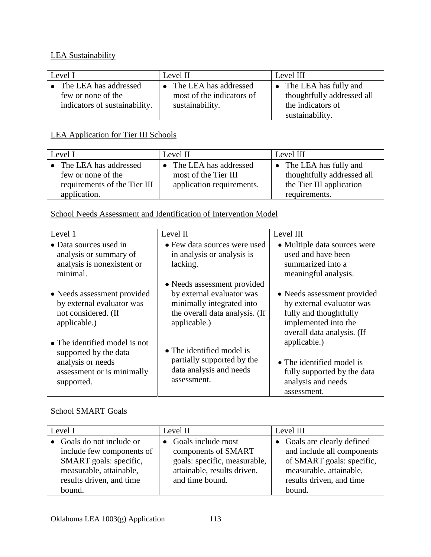#### LEA Sustainability

| Level I                                                                      | Level II                                                                | Level III                                                                                     |  |
|------------------------------------------------------------------------------|-------------------------------------------------------------------------|-----------------------------------------------------------------------------------------------|--|
| The LEA has addressed<br>few or none of the<br>indicators of sustainability. | • The LEA has addressed<br>most of the indicators of<br>sustainability. | • The LEA has fully and<br>thoughtfully addressed all<br>the indicators of<br>sustainability. |  |

## LEA Application for Tier III Schools

| Level I                      | Level II                  | Level III                  |  |
|------------------------------|---------------------------|----------------------------|--|
| The LEA has addressed        | The LEA has addressed     | • The LEA has fully and    |  |
| few or none of the           | most of the Tier III      | thoughtfully addressed all |  |
| requirements of the Tier III | application requirements. | the Tier III application   |  |
| application.                 |                           | requirements.              |  |

#### School Needs Assessment and Identification of Intervention Model

| Level 1                                                                                                                         | Level II                                                                                                                                | Level III                                                                                                                                |
|---------------------------------------------------------------------------------------------------------------------------------|-----------------------------------------------------------------------------------------------------------------------------------------|------------------------------------------------------------------------------------------------------------------------------------------|
| • Data sources used in<br>analysis or summary of<br>analysis is nonexistent or<br>minimal.                                      | • Few data sources were used<br>in analysis or analysis is<br>lacking.                                                                  | • Multiple data sources were<br>used and have been<br>summarized into a<br>meaningful analysis.                                          |
| • Needs assessment provided<br>by external evaluator was<br>not considered. (If<br>applicable.)                                 | • Needs assessment provided<br>by external evaluator was<br>minimally integrated into<br>the overall data analysis. (If<br>applicable.) | • Needs assessment provided<br>by external evaluator was<br>fully and thoughtfully<br>implemented into the<br>overall data analysis. (If |
| $\bullet$ The identified model is not<br>supported by the data<br>analysis or needs<br>assessment or is minimally<br>supported. | • The identified model is<br>partially supported by the<br>data analysis and needs<br>assessment.                                       | applicable.)<br>• The identified model is<br>fully supported by the data<br>analysis and needs<br>assessment.                            |

### School SMART Goals

| Level I                                                                                 | Level II                                                                       | Level III                                                                                  |  |
|-----------------------------------------------------------------------------------------|--------------------------------------------------------------------------------|--------------------------------------------------------------------------------------------|--|
| • Goals do not include or<br>include few components of                                  | • Goals include most<br>components of SMART                                    | • Goals are clearly defined<br>and include all components                                  |  |
| SMART goals: specific,<br>measurable, attainable,<br>results driven, and time<br>bound. | goals: specific, measurable,<br>attainable, results driven,<br>and time bound. | of SMART goals: specific,<br>measurable, attainable,<br>results driven, and time<br>bound. |  |